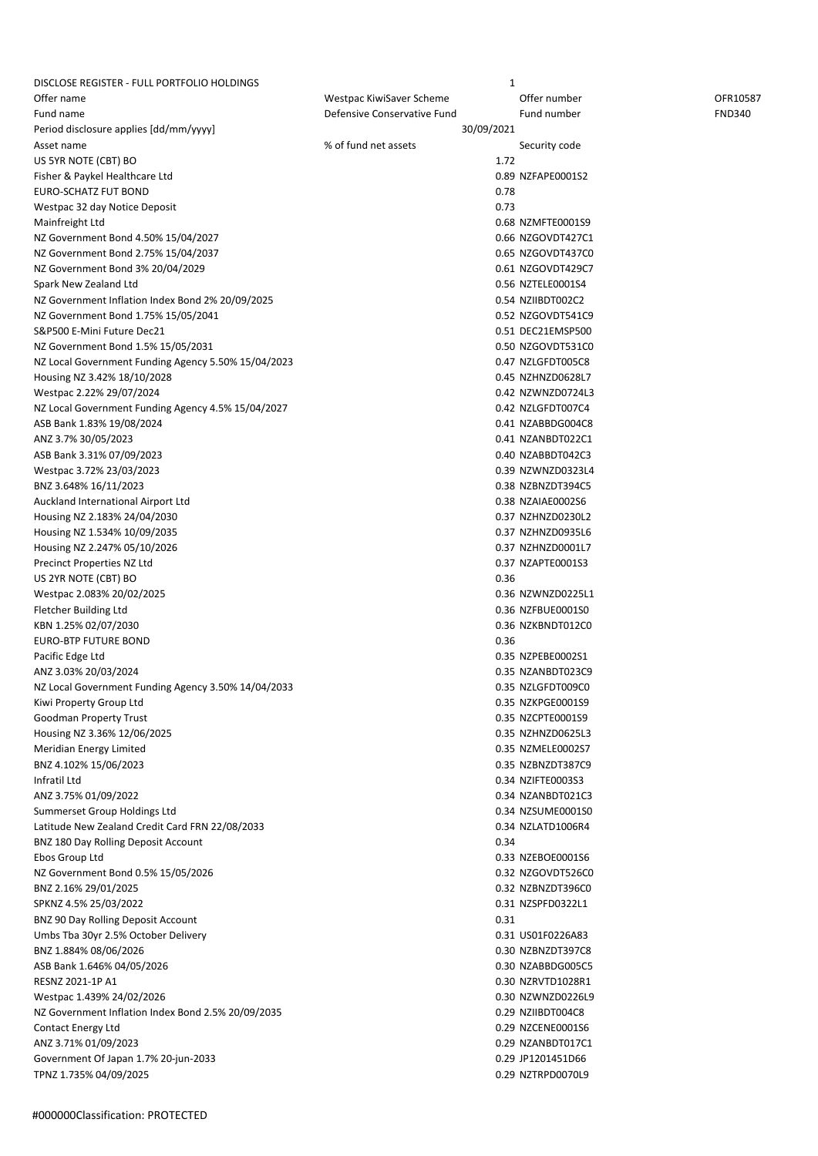| DISCLOSE REGISTER - FULL PORTFOLIO HOLDINGS         | 1                           |                   |               |
|-----------------------------------------------------|-----------------------------|-------------------|---------------|
| Offer name                                          | Westpac KiwiSaver Scheme    | Offer number      | OFR10587      |
| Fund name                                           | Defensive Conservative Fund | Fund number       | <b>FND340</b> |
| Period disclosure applies [dd/mm/yyyy]              | 30/09/2021                  |                   |               |
| Asset name                                          | % of fund net assets        | Security code     |               |
| US 5YR NOTE (CBT) BO                                | 1.72                        |                   |               |
| Fisher & Paykel Healthcare Ltd                      |                             | 0.89 NZFAPE0001S2 |               |
| EURO-SCHATZ FUT BOND                                | 0.78                        |                   |               |
| Westpac 32 day Notice Deposit                       | 0.73                        |                   |               |
| Mainfreight Ltd                                     |                             | 0.68 NZMFTE0001S9 |               |
| NZ Government Bond 4.50% 15/04/2027                 |                             | 0.66 NZGOVDT427C1 |               |
| NZ Government Bond 2.75% 15/04/2037                 |                             | 0.65 NZGOVDT437C0 |               |
| NZ Government Bond 3% 20/04/2029                    |                             | 0.61 NZGOVDT429C7 |               |
| Spark New Zealand Ltd                               |                             | 0.56 NZTELE0001S4 |               |
| NZ Government Inflation Index Bond 2% 20/09/2025    |                             | 0.54 NZIIBDT002C2 |               |
| NZ Government Bond 1.75% 15/05/2041                 |                             | 0.52 NZGOVDT541C9 |               |
| S&P500 E-Mini Future Dec21                          |                             | 0.51 DEC21EMSP500 |               |
| NZ Government Bond 1.5% 15/05/2031                  |                             | 0.50 NZGOVDT531C0 |               |
|                                                     |                             |                   |               |
| NZ Local Government Funding Agency 5.50% 15/04/2023 |                             | 0.47 NZLGFDT005C8 |               |
| Housing NZ 3.42% 18/10/2028                         |                             | 0.45 NZHNZD0628L7 |               |
| Westpac 2.22% 29/07/2024                            |                             | 0.42 NZWNZD0724L3 |               |
| NZ Local Government Funding Agency 4.5% 15/04/2027  |                             | 0.42 NZLGFDT007C4 |               |
| ASB Bank 1.83% 19/08/2024                           |                             | 0.41 NZABBDG004C8 |               |
| ANZ 3.7% 30/05/2023                                 |                             | 0.41 NZANBDT022C1 |               |
| ASB Bank 3.31% 07/09/2023                           |                             | 0.40 NZABBDT042C3 |               |
| Westpac 3.72% 23/03/2023                            |                             | 0.39 NZWNZD0323L4 |               |
| BNZ 3.648% 16/11/2023                               |                             | 0.38 NZBNZDT394C5 |               |
| Auckland International Airport Ltd                  |                             | 0.38 NZAIAE0002S6 |               |
| Housing NZ 2.183% 24/04/2030                        |                             | 0.37 NZHNZD0230L2 |               |
| Housing NZ 1.534% 10/09/2035                        |                             | 0.37 NZHNZD0935L6 |               |
| Housing NZ 2.247% 05/10/2026                        |                             | 0.37 NZHNZD0001L7 |               |
| Precinct Properties NZ Ltd                          |                             | 0.37 NZAPTE0001S3 |               |
| US 2YR NOTE (CBT) BO                                | 0.36                        |                   |               |
| Westpac 2.083% 20/02/2025                           |                             | 0.36 NZWNZD0225L1 |               |
| Fletcher Building Ltd                               |                             | 0.36 NZFBUE0001S0 |               |
| KBN 1.25% 02/07/2030                                |                             | 0.36 NZKBNDT012C0 |               |
| <b>EURO-BTP FUTURE BOND</b>                         | 0.36                        |                   |               |
| Pacific Edge Ltd                                    |                             | 0.35 NZPEBE0002S1 |               |
| ANZ 3.03% 20/03/2024                                |                             | 0.35 NZANBDT023C9 |               |
| NZ Local Government Funding Agency 3.50% 14/04/2033 |                             | 0.35 NZLGFDT009C0 |               |
| Kiwi Property Group Ltd                             |                             | 0.35 NZKPGE0001S9 |               |
| Goodman Property Trust                              |                             | 0.35 NZCPTE0001S9 |               |
| Housing NZ 3.36% 12/06/2025                         |                             | 0.35 NZHNZD0625L3 |               |
| Meridian Energy Limited                             |                             | 0.35 NZMELE0002S7 |               |
| BNZ 4.102% 15/06/2023                               |                             | 0.35 NZBNZDT387C9 |               |
| Infratil Ltd                                        |                             | 0.34 NZIFTE0003S3 |               |
| ANZ 3.75% 01/09/2022                                |                             | 0.34 NZANBDT021C3 |               |
| Summerset Group Holdings Ltd                        |                             | 0.34 NZSUME0001S0 |               |
| Latitude New Zealand Credit Card FRN 22/08/2033     |                             | 0.34 NZLATD1006R4 |               |
| BNZ 180 Day Rolling Deposit Account                 | 0.34                        |                   |               |
| Ebos Group Ltd                                      |                             | 0.33 NZEBOE0001S6 |               |
| NZ Government Bond 0.5% 15/05/2026                  |                             | 0.32 NZGOVDT526C0 |               |
|                                                     |                             |                   |               |
| BNZ 2.16% 29/01/2025                                |                             | 0.32 NZBNZDT396C0 |               |
| SPKNZ 4.5% 25/03/2022                               |                             | 0.31 NZSPFD0322L1 |               |
| BNZ 90 Day Rolling Deposit Account                  | 0.31                        |                   |               |
| Umbs Tba 30yr 2.5% October Delivery                 |                             | 0.31 US01F0226A83 |               |
| BNZ 1.884% 08/06/2026                               |                             | 0.30 NZBNZDT397C8 |               |
| ASB Bank 1.646% 04/05/2026                          |                             | 0.30 NZABBDG005C5 |               |
| RESNZ 2021-1P A1                                    |                             | 0.30 NZRVTD1028R1 |               |
| Westpac 1.439% 24/02/2026                           |                             | 0.30 NZWNZD0226L9 |               |
| NZ Government Inflation Index Bond 2.5% 20/09/2035  |                             | 0.29 NZIIBDT004C8 |               |
| Contact Energy Ltd                                  |                             | 0.29 NZCENE0001S6 |               |
| ANZ 3.71% 01/09/2023                                |                             | 0.29 NZANBDT017C1 |               |
| Government Of Japan 1.7% 20-jun-2033                |                             | 0.29 JP1201451D66 |               |
| TPNZ 1.735% 04/09/2025                              |                             | 0.29 NZTRPD0070L9 |               |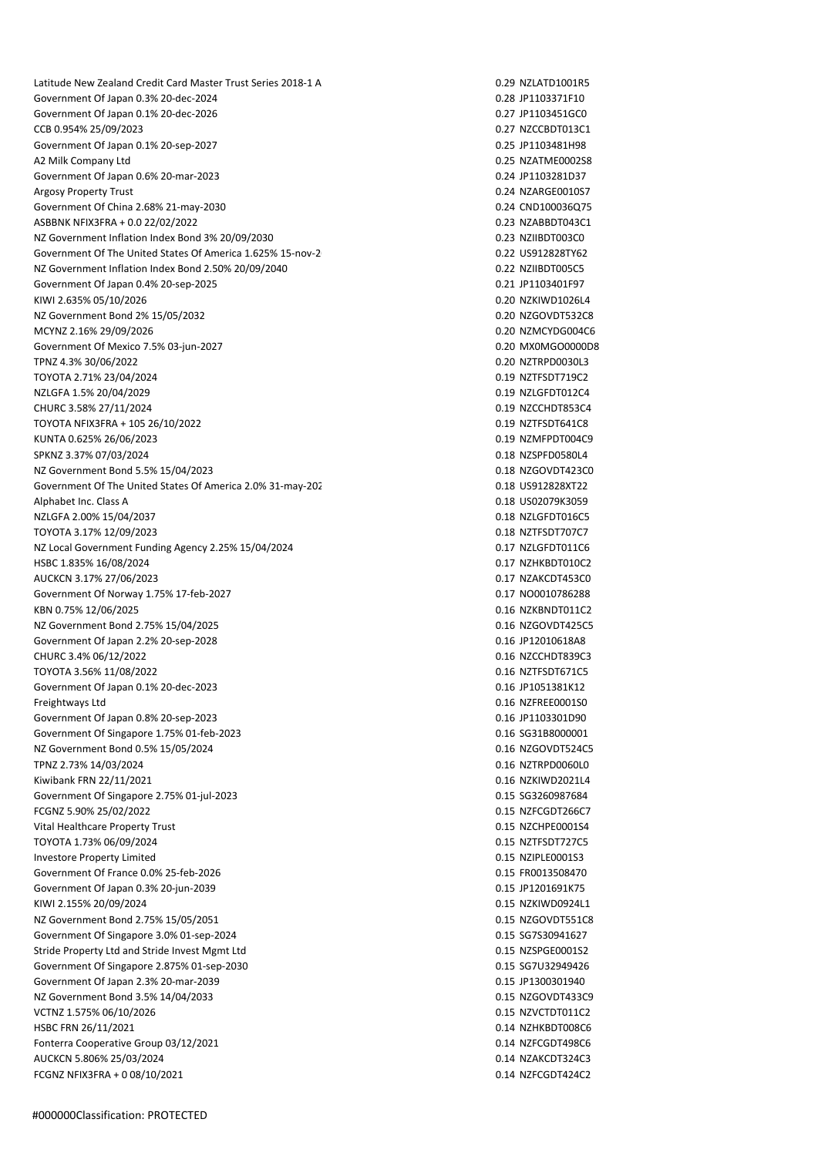Latitude New Zealand Credit Card Master Trust Series 2018-1 A 22012 2021 0.29 NZLATD1001R5 Government Of Japan 0.3% 20-dec-2024 0.28 JP1103371F10 Government Of Japan 0.1% 20-dec-2026 0.27 JP1103451GC0 CCB 0.954% 25/09/2023 0.27 NZCCBDT013C1 Government Of Japan 0.1% 20-sep-2027 0.25 JP1103481H98 A2 Milk Company Ltd 0.25 N2ATME0002S8 Government Of Japan 0.6% 20-mar-2023 0.24 JP1103281D37 Argosy Property Trust 0.24 NZARGE0010S7 Government Of China 2.68% 21-may-2030 0.24 CND100036Q75 ASBBNK NFIX3FRA + 0.0 22/02/2022 0.23 NZABBDT043C1 NZ Government Inflation Index Bond 3% 20/09/2030 0.23 NZIIBDT003C0 0.23 NZIIBDT003C0 Government Of The United States Of America 1.625% 15-nov-2<sup>1</sup> and the Communication of 22 US912828TY62 NZ Government Inflation Index Bond 2.50% 20/09/2040 0.22 NZIIBDT005C5 Government Of Japan 0.4% 20-sep-2025 0.21 JP1103401F97 KIWI 2.635% 05/10/2026 0.20 NZKIWD1026L4 NZ Government Bond 2% 15/05/2032 0.20 NZGOVDT532C8 MCYNZ 2.16% 29/09/2026 0.20 NZMCYDG004C6 Government Of Mexico 7.5% 03-jun-2027 0.20 MX0MGO0000D8 TPNZ 4.3% 30/06/2022 0.20 NZTRPD0030L3 TOYOTA 2.71% 23/04/2024 0.19 NZTFSDT719C2 NZLGFA 1.5% 20/04/2029 0.19 NZLGFDT012C4 CHURC 3.58% 27/11/2024 0.19 NZCCHDT853C4 TOYOTA NFIX3FRA + 105 26/10/2022 0.19 NZTFSDT641C8 KUNTA 0.625% 26/06/2023 0.19 NZMFPDT004C9 SPKNZ 3.37% 07/03/2024 0.18 NZSPFD0580L4 NZ Government Bond 5.5% 15/04/2023 0.18 NZGOVDT423C0 Government Of The United States Of America 2.0% 31-may-2024 0.18 US912828XT22 Alphabet Inc. Class A 0.18 US02079K3059 NZLGFA 2.00% 15/04/2037 0.18 NZLGFDT016C5 TOYOTA 3.17% 12/09/2023 0.18 NZTFSDT707C7 NZ Local Government Funding Agency 2.25% 15/04/2024 0.17 NZLGFDT011C6 HSBC 1.835% 16/08/2024 0.17 NZHKBDT010C2 AUCKCN 3.17% 27/06/2023 0.17 NZAKCDT453C0 Government Of Norway 1.75% 17-feb-2027 0.17 NO0010786288 KBN 0.75% 12/06/2025 0.16 NZKBNDT011C2 NZ Government Bond 2.75% 15/04/2025 0.16 NZGOVDT425C5 Government Of Japan 2.2% 20-sep-2028 0.16 JP12010618A8 CHURC 3.4% 06/12/2022 0.16 NZCCHDT839C3 TOYOTA 3.56% 11/08/2022 0.16 NZTFSDT671C5 Government Of Japan 0.1% 20-dec-2023 0.16 JP1051381K12 Freightways Ltd **Calculation Community Community** Cancel Community Community Community Community Community Community Community Community Community Community Community Community Community Community Community Community Commu Government Of Japan 0.8% 20-sep-2023 0.16 JP1103301D90 Government Of Singapore 1.75% 01-feb-2023 0.16 SG31B8000001 NZ Government Bond 0.5% 15/05/2024 0.16 NZGOVDT524C5 TPNZ 2.73% 14/03/2024 0.16 NZTRPD0060L0 Kiwibank FRN 22/11/2021 0.16 NZKIWD2021L4 Government Of Singapore 2.75% 01-jul-2023 0.15 SG3260987684 FCGNZ 5.90% 25/02/2022 0.15 NZFCGDT266C7 Vital Healthcare Property Trust 0.15 NZCHPE0001S4 TOYOTA 1.73% 06/09/2024 0.15 NZTFSDT727C5 Investore Property Limited **1.15 NZIPLE000153 1.15 NZIPLE000153 1.15 NZIPLE000153** Government Of France 0.0% 25-feb-2026 0.15 FR0013508470 Government Of Japan 0.3% 20-jun-2039 0.15 JP1201691K75 KIWI 2.155% 20/09/2024 0.15 NZKIWD0924L1 NZ Government Bond 2.75% 15/05/2051 0.15 NZGOVDT551C8 Government Of Singapore 3.0% 01-sep-2024 0.15 SG7S30941627 Stride Property Ltd and Stride Invest Mgmt Ltd 0.15 NZSPGE0001S2 Government Of Singapore 2.875% 01-sep-2030 0.15 SG7U32949426 Government Of Japan 2.3% 20-mar-2039 0.15 JP1300301940 NZ Government Bond 3.5% 14/04/2033 0.15 NZGOVDT433C9 VCTNZ 1.575% 06/10/2026 0.15 NZVCTDT011C2 HSBC FRN 26/11/2021 0.14 NZHKBDT008C6 Fonterra Cooperative Group 03/12/2021 0.14 NZFCGDT498C6 AUCKCN 5.806% 25/03/2024 0.14 NZAKCDT324C3 FCGNZ NFIX3FRA + 0 08/10/2021 0.14 NZFCGDT424C2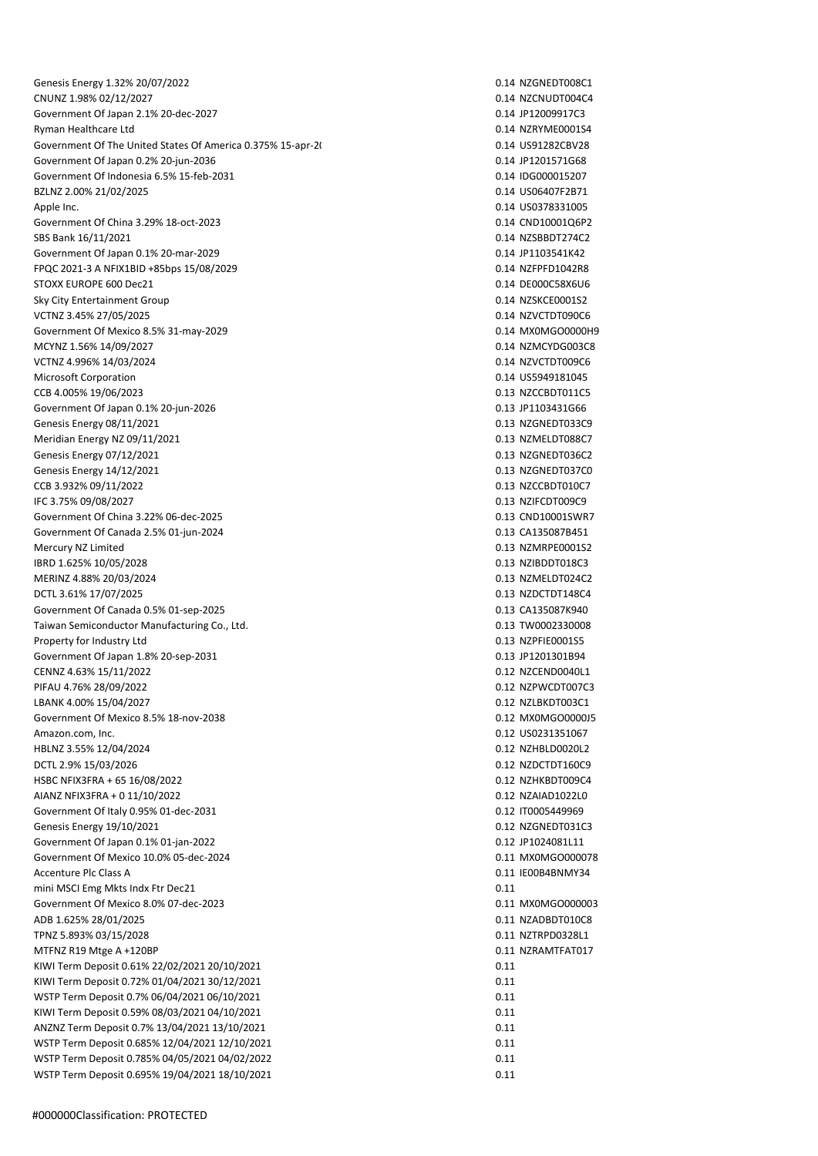Genesis Energy 1.32% 20/07/2022 0.14 NZGNEDT008C1 CNUNZ 1.98% 02/12/2027 0.14 NZCNUDT004C4 Government Of Japan 2.1% 20-dec-2027 0.14 JP12009917C3 Ryman Healthcare Ltd **0.14 NZRYME0001S4** 0.14 NZRYME0001S4 Government Of The United States Of America 0.375% 15-apr-2(
0.14 US91282CBV28 Government Of Japan 0.2% 20-jun-2036 0.14 JP1201571G68 Government Of Indonesia 6.5% 15-feb-2031 0.14 IDG000015207 BZLNZ 2.00% 21/02/2025 0.14 US06407F2B71 Apple Inc. 0.14 US0378331005 Government Of China 3.29% 18-oct-2023 0.14 CND10001Q6P2 SBS Bank 16/11/2021 0.14 NZSBBDT274C2 Government Of Japan 0.1% 20-mar-2029 0.14 JP1103541K42 FPQC 2021-3 A NFIX1BID +85bps 15/08/2029 0.14 NZFPFD1042R8 STOXX EUROPE 600 Dec21 0.14 DE000C58X6U6 Sky City Entertainment Group 0.14 NZSKCE0001S2 VCTNZ 3.45% 27/05/2025 0.14 NZVCTDT090C6 Government Of Mexico 8.5% 31-may-2029 0.14 MX0MGO0000H9 MCYNZ 1.56% 14/09/2027 0.14 NZMCYDG003C8 VCTNZ 4.996% 14/03/2024 0.14 NZVCTDT009C6 Microsoft Corporation 0.14 US5949181045 CCB 4.005% 19/06/2023 0.13 NZCCBDT011C5 Government Of Japan 0.1% 20-jun-2026 0.13 JP1103431G66 0.13 JP1103431G66 Genesis Energy 08/11/2021 2002 2003 0.13 NZGNEDT033C9 Meridian Energy NZ 09/11/2021 **0.13 N2MELDT088C7** 0.13 NZMELDT088C7 Genesis Energy 07/12/2021 2002 2003 0.13 NZGNEDT036C2 Genesis Energy 14/12/2021 and the control of the control of the control of the control of the control of the control of the control of the control of the control of the control of the control of the control of the control CCB 3.932% 09/11/2022 0.13 NZCCBDT010C7 IFC 3.75% 09/08/2027 0.13 NZIFCDT009C9 Government Of China 3.22% 06-dec-2025 0.13 CND10001SWR7 Government Of Canada 2.5% 01-jun-2024 0.13 CA135087B451 Mercury NZ Limited 0.13 NZMRPE0001S2 IBRD 1.625% 10/05/2028 0.13 NZIBDDT018C3 MERINZ 4.88% 20/03/2024 0.13 NZMELDT024C2 DCTL 3.61% 17/07/2025 0.13 NZDCTDT148C4 Government Of Canada 0.5% 01-sep-2025 0.13 CA135087K940 Taiwan Semiconductor Manufacturing Co., Ltd. 0.13 TW0002330008 Property for Industry Ltd 0.13 NZPFIE0001S5 Government Of Japan 1.8% 20-sep-2031 0.13 JP1201301B94 CENNZ 4.63% 15/11/2022 0.12 NZCEND0040L1 PIFAU 4.76% 28/09/2022 0.12 NZPWCDT007C3 LBANK 4.00% 15/04/2027 0.12 NZLBKDT003C1 Government Of Mexico 8.5% 18-nov-2038 0.12 MX0MGO0000J5 Amazon.com, Inc. 6.12 US0231351067 HBLNZ 3.55% 12/04/2024 0.12 NZHBLD0020L2 DCTL 2.9% 15/03/2026 0.12 NZDCTDT160C9 HSBC NFIX3FRA + 65 16/08/2022 0.12 NZHKBDT009C4 AIANZ NFIX3FRA + 0 11/10/2022 0.12 NZAIAD1022L0 Government Of Italy 0.95% 01-dec-2031 0.12 IT0005449969 0.12 IT0005449969 Genesis Energy 19/10/2021 0.12 NZGNEDT031C3 Government Of Japan 0.1% 01-jan-2022 **0.12 JP1024081L11** 0.12 JP1024081L11 Government Of Mexico 10.0% 05-dec-2024 0.11 MX0MGO000078 Accenture Plc Class A 0.11 IE00B4BNMY34 mini MSCI Emg Mkts Indx Ftr Dec21 0.11 Government Of Mexico 8.0% 07-dec-2023 0.11 MX0MGO000003 ADB 1.625% 28/01/2025 0.11 NZADBDT010C8 TPNZ 5.893% 03/15/2028 0.11 NZTRPD0328L1 MTFNZ R19 Mtge A +120BP 0.11 NZRAMTFAT017 KIWI Term Deposit 0.61% 22/02/2021 20/10/2021 0.11 KIWI Term Deposit 0.72% 01/04/2021 30/12/2021 0.11 WSTP Term Deposit 0.7% 06/04/2021 06/10/2021 0.11 KIWI Term Deposit 0.59% 08/03/2021 04/10/2021 0.11 ANZNZ Term Deposit 0.7% 13/04/2021 13/10/2021 13 0.11 WSTP Term Deposit 0.685% 12/04/2021 12/10/2021 120 120 120 120 120 120 120 121 12 WSTP Term Deposit 0.785% 04/05/2021 04/02/2022 0.11 WSTP Term Deposit 0.695% 19/04/2021 18/10/2021 18. 2010 10:00:00 11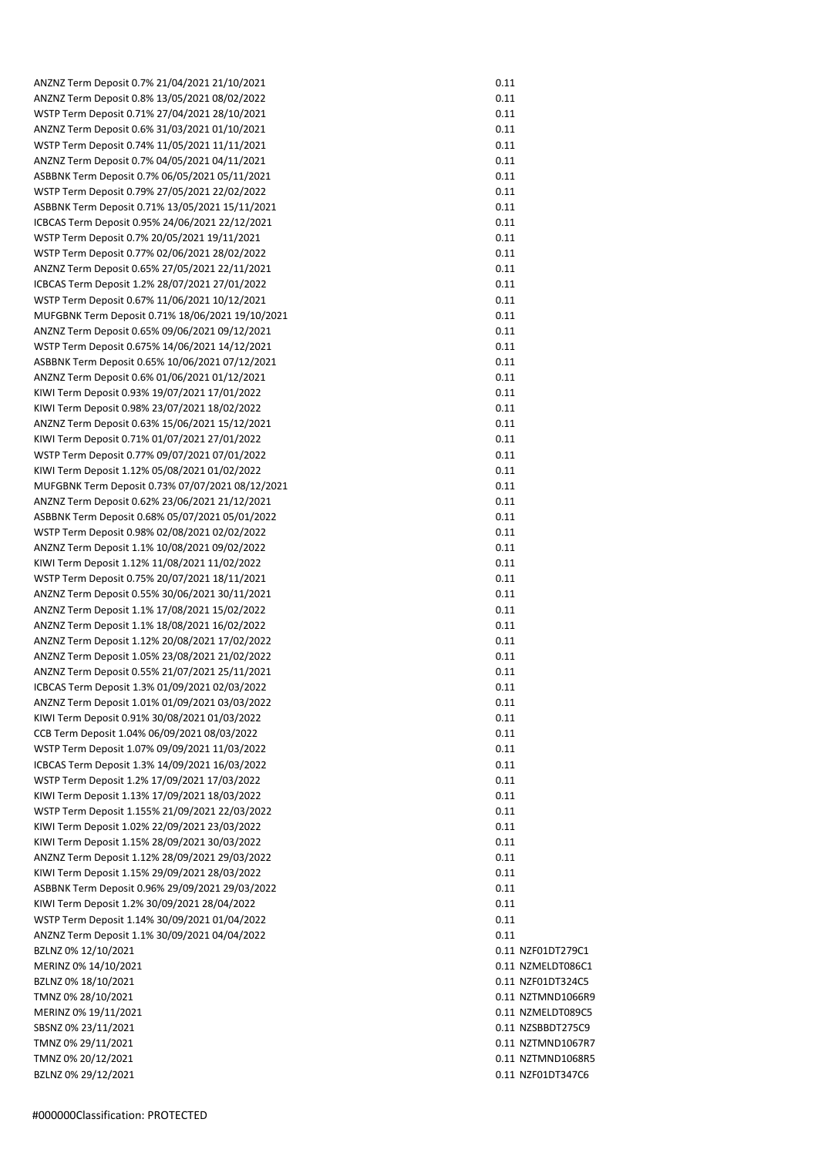ANZNZ Term Deposit 0.7% 21/04/2021 21/10/2021 0.11 ANZNZ Term Deposit 0.8% 13/05/2021 08/02/2022 0.11 WSTP Term Deposit 0.71% 27/04/2021 28/10/2021 28:00 0.11 ANZNZ Term Deposit 0.6% 31/03/2021 01/10/2021 0.11 WSTP Term Deposit 0.74% 11/05/2021 11/11/2021 0.11 ANZNZ Term Deposit 0.7% 04/05/2021 04/11/2021 0.11 ASBBNK Term Deposit 0.7% 06/05/2021 05/11/2021 0.11 WSTP Term Deposit 0.79% 27/05/2021 22/02/2022 0.11 ASBBNK Term Deposit 0.71% 13/05/2021 15/11/2021 150 160 161 161 162 162 163 164 164 164 164 165 166 167 168 16 ICBCAS Term Deposit 0.95% 24/06/2021 22/12/2021 0.11 WSTP Term Deposit 0.7% 20/05/2021 19/11/2021 10.11 WSTP Term Deposit 0.77% 02/06/2021 28/02/2022 0.11 ANZNZ Term Deposit 0.65% 27/05/2021 22/11/2021 0.11 ICBCAS Term Deposit 1.2% 28/07/2021 27/01/2022 0.11 WSTP Term Deposit 0.67% 11/06/2021 10/12/2021 0.11 MUFGBNK Term Deposit 0.71% 18/06/2021 19/10/2021 0.11 ANZNZ Term Deposit 0.65% 09/06/2021 09/12/2021 0.11 WSTP Term Deposit 0.675% 14/06/2021 14/12/2021 0.11 ASBBNK Term Deposit 0.65% 10/06/2021 07/12/2021 0.11 ANZNZ Term Deposit 0.6% 01/06/2021 01/12/2021 0.11 KIWI Term Deposit 0.93% 19/07/2021 17/01/2022 0.11 KIWI Term Deposit 0.98% 23/07/2021 18/02/2022 0.11 ANZNZ Term Deposit 0.63% 15/06/2021 15/12/2021 0.11 KIWI Term Deposit 0.71% 01/07/2021 27/01/2022 0.11 WSTP Term Deposit 0.77% 09/07/2021 07/01/2022 0.11 KIWI Term Deposit 1.12% 05/08/2021 01/02/2022 0.11 MUFGBNK Term Deposit 0.73% 07/07/2021 08/12/2021 0.11 ANZNZ Term Deposit 0.62% 23/06/2021 21/12/2021 0.11 ASBBNK Term Deposit 0.68% 05/07/2021 05/01/2022 0.11 WSTP Term Deposit 0.98% 02/08/2021 02/02/2022 0.11 ANZNZ Term Deposit 1.1% 10/08/2021 09/02/2022 0.11 KIWI Term Deposit 1.12% 11/08/2021 11/02/2022 0.11 WSTP Term Deposit 0.75% 20/07/2021 18/11/2021 0.11 ANZNZ Term Deposit 0.55% 30/06/2021 30/11/2021 0.11 ANZNZ Term Deposit 1.1% 17/08/2021 15/02/2022 0.11 ANZNZ Term Deposit 1.1% 18/08/2021 16/02/2022 0.11 ANZNZ Term Deposit 1.12% 20/08/2021 17/02/2022 0.11 ANZNZ Term Deposit 1.05% 23/08/2021 21/02/2022 0.11 ANZNZ Term Deposit 0.55% 21/07/2021 25/11/2021 0.11 ICBCAS Term Deposit 1.3% 01/09/2021 02/03/2022 0.11 ANZNZ Term Deposit 1.01% 01/09/2021 03/03/2022 0.11 KIWI Term Deposit 0.91% 30/08/2021 01/03/2022 0.11 CCB Term Deposit 1.04% 06/09/2021 08/03/2022 0.11 WSTP Term Deposit 1.07% 09/09/2021 11/03/2022 0.11 ICBCAS Term Deposit 1.3% 14/09/2021 16/03/2022 0.11 WSTP Term Deposit 1.2% 17/09/2021 17/03/2022 0.11 KIWI Term Deposit 1.13% 17/09/2021 18/03/2022 0.11 WSTP Term Deposit 1.155% 21/09/2021 22/03/2022 0.11 KIWI Term Deposit 1.02% 22/09/2021 23/03/2022 0.11 KIWI Term Deposit 1.15% 28/09/2021 30/03/2022 0.11 ANZNZ Term Deposit 1.12% 28/09/2021 29/03/2022 0.11 KIWI Term Deposit 1.15% 29/09/2021 28/03/2022 0.11 ASBBNK Term Deposit 0.96% 29/09/2021 29/03/2022 0.11 KIWI Term Deposit 1.2% 30/09/2021 28/04/2022 0.11 WSTP Term Deposit 1.14% 30/09/2021 01/04/2022 0.11 ANZNZ Term Deposit 1.1% 30/09/2021 04/04/2022 0.11 BZLNZ 0% 12/10/2021 0.11 NZF01DT279C1 MERINZ 0% 14/10/2021 0.11 NZMELDT086C1 BZLNZ 0% 18/10/2021 0.11 NZF01DT324C5 TMNZ 0% 28/10/2021 0.11 NZTMND1066R9 MERINZ 0% 19/11/2021 0.11 NZMELDT089C5 SBSNZ 0% 23/11/2021 0.11 NZSBBDT275C9 TMNZ 0% 29/11/2021 0.11 NZTMND1067R7 TMNZ 0% 20/12/2021 0.11 NZTMND1068R5 BZLNZ 0% 29/12/2021 0.11 NZF01DT347C6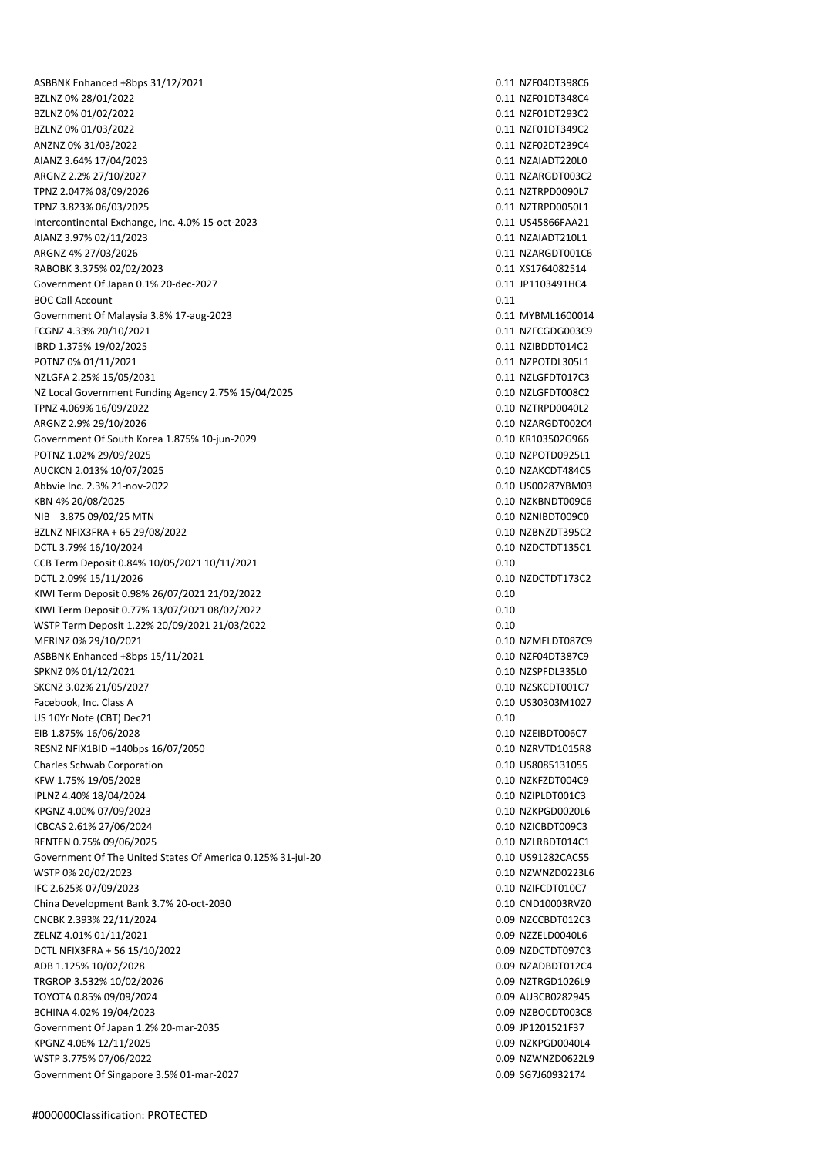ASBBNK Enhanced +8bps 31/12/2021 0.11 NZF04DT398C6 BZLNZ 0% 28/01/2022 0.11 NZF01DT348C4 BZLNZ 0% 01/02/2022 0.11 NZF01DT293C2 BZLNZ 0% 01/03/2022 0.11 NZF01DT349C2 ANZNZ 0% 31/03/2022 0.11 NZF02DT239C4 AIANZ 3.64% 17/04/2023 0.11 NZAIADT220L0 ARGNZ 2.2% 27/10/2027 0.11 NZARGDT003C2 TPNZ 2.047% 08/09/2026 0.11 NZTRPD0090L7 TPNZ 3.823% 06/03/2025 0.11 NZTRPD0050L1 Intercontinental Exchange, Inc. 4.0% 15-oct-2023 0.11 US45866FAA21 AIANZ 3.97% 02/11/2023 0.11 NZAIADT210L1 ARGNZ 4% 27/03/2026 0.11 NZARGDT001C6 RABOBK 3.375% 02/02/2023 0.11 XS1764082514 Government Of Japan 0.1% 20-dec-2027 0.11 JP1103491HC4 BOC Call Account 0.11 Government Of Malaysia 3.8% 17-aug-2023 0.11 MYBML1600014 FCGNZ 4.33% 20/10/2021 0.11 NZFCGDG003C9 IBRD 1.375% 19/02/2025 0.11 NZIBDDT014C2 POTNZ 0% 01/11/2021 0.11 NZPOTDL305L1 NZLGFA 2.25% 15/05/2031 0.11 NZLGFDT017C3 NZ Local Government Funding Agency 2.75% 15/04/2025 0.10 NZLGFDT008C2 TPNZ 4.069% 16/09/2022 0.10 NZTRPD0040L2 ARGNZ 2.9% 29/10/2026 0.10 NZARGDT002C4 Government Of South Korea 1.875% 10-jun-2029 0.10 KR103502G966 POTNZ 1.02% 29/09/2025 0.10 NZPOTD0925L1 AUCKCN 2.013% 10/07/2025 0.10 NZAKCDT484C5 Abbvie Inc. 2.3% 21-nov-2022 0.10 US00287YBM03 KBN 4% 20/08/2025 0.10 NZKBNDT009C6 NIB 3.875 09/02/25 MTN 0.10 NZNIBDT009C0 BZLNZ NFIX3FRA + 65 29/08/2022 0.10 NZBNZDT395C2 DCTL 3.79% 16/10/2024 0.10 NZDCTDT135C1 CCB Term Deposit 0.84% 10/05/2021 10/11/2021 0.10 DCTL 2.09% 15/11/2026 0.10 NZDCTDT173C2 KIWI Term Deposit 0.98% 26/07/2021 21/02/2022 0.10 KIWI Term Deposit 0.77% 13/07/2021 08/02/2022 0.10 WSTP Term Deposit 1.22% 20/09/2021 21/03/2022 0.10 MERINZ 0% 29/10/2021 0.10 NZMELDT087C9 ASBBNK Enhanced +8bps 15/11/2021 0.10 NZF04DT387C9 SPKNZ 0% 01/12/2021 0.10 NZSPFDL335L0 SKCNZ 3.02% 21/05/2027 0.10 NZSKCDT001C7 Facebook, Inc. Class A 0.10 US30303M1027 US 10Yr Note (CBT) Dec21 0.10 EIB 1.875% 16/06/2028 0.10 NZEIBDT006C7 RESNZ NFIX1BID +140bps 16/07/2050 0.10 NZRVTD1015R8 Charles Schwab Corporation 0.10 US8085131055 KFW 1.75% 19/05/2028 0.10 NZKFZDT004C9 IPLNZ 4.40% 18/04/2024 0.10 NZIPLDT001C3 KPGNZ 4.00% 07/09/2023 0.10 NZKPGD0020L6 ICBCAS 2.61% 27/06/2024 0.10 NZICBDT009C3 RENTEN 0.75% 09/06/2025 0.10 NZLRBDT014C1 Government Of The United States Of America 0.125% 31-jul-2021 0.10 US91282CAC55 WSTP 0% 20/02/2023 0.10 NZWNZD0223L6 IFC 2.625% 07/09/2023 0.10 NZIFCDT010C7 China Development Bank 3.7% 20-oct-2030 0.10 CND10003RVZ0 CNCBK 2.393% 22/11/2024 0.09 NZCCBDT012C3 ZELNZ 4.01% 01/11/2021 0.09 NZZELD0040L6 DCTL NFIX3FRA + 56 15/10/2022 0.09 NZDCTDT097C3 ADB 1.125% 10/02/2028 0.09 NZADBDT012C4 TRGROP 3.532% 10/02/2026 0.09 NZTRGD1026L9 TOYOTA 0.85% 09/09/2024 0.09 AU3CB0282945 BCHINA 4.02% 19/04/2023 0.09 NZBOCDT003C8 Government Of Japan 1.2% 20-mar-2035 0.09 JP1201521F37 KPGNZ 4.06% 12/11/2025 0.09 NZKPGD0040L4 WSTP 3.775% 07/06/2022 0.09 NZWNZD0622L9 Government Of Singapore 3.5% 01-mar-2027 0.09 SG7J60932174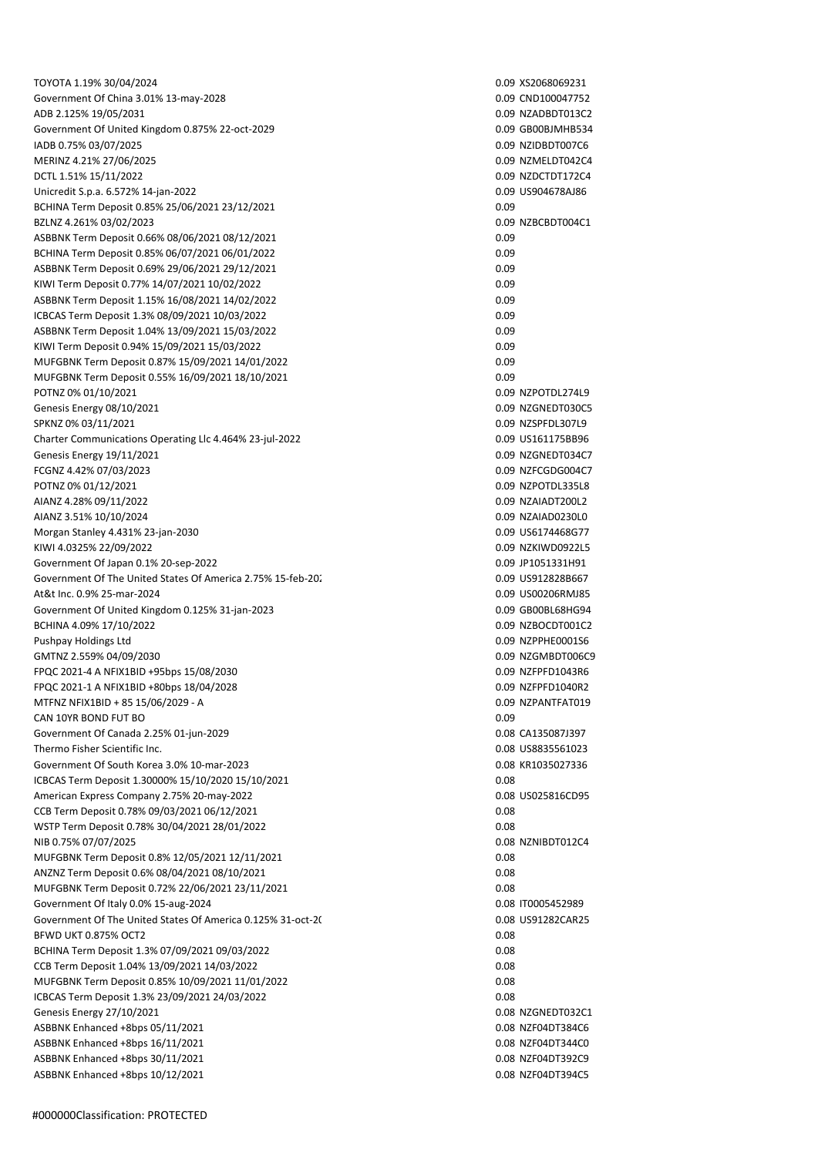TOYOTA 1.19% 30/04/2024 0.09 XS2068069231 Government Of China 3.01% 13-may-2028 0.09 CND100047752 ADB 2.125% 19/05/2031 0.09 NZADBDT013C2 Government Of United Kingdom 0.875% 22-oct-2029 0.09 GD00BJMHB534 IADB 0.75% 03/07/2025 0.09 NZIDBDT007C6 MERINZ 4.21% 27/06/2025 0.09 NZMELDT042C4 DCTL 1.51% 15/11/2022 0.09 NZDCTDT172C4 Unicredit S.p.a. 6.572% 14-jan-2022 0.09 US904678AJ86 BCHINA Term Deposit 0.85% 25/06/2021 23/12/2021 0.09 BZLNZ 4.261% 03/02/2023 0.09 NZBCBDT004C1 ASBBNK Term Deposit 0.66% 08/06/2021 08/12/2021 0.09 BCHINA Term Deposit 0.85% 06/07/2021 06/01/2022 0.09 ASBBNK Term Deposit 0.69% 29/06/2021 29/12/2021 2008 2010 2021 2021 20:09 KIWI Term Deposit 0.77% 14/07/2021 10/02/2022 0.09 ASBBNK Term Deposit 1.15% 16/08/2021 14/02/2022 0.09 ICBCAS Term Deposit 1.3% 08/09/2021 10/03/2022 0.09 ASBBNK Term Deposit 1.04% 13/09/2021 15/03/2022 0.09 KIWI Term Deposit 0.94% 15/09/2021 15/03/2022 0.09 MUFGBNK Term Deposit 0.87% 15/09/2021 14/01/2022 0.09 MUFGBNK Term Deposit 0.55% 16/09/2021 18/10/2021 0.09 POTNZ 0% 01/10/2021 0.09 NZPOTDL274L9 Genesis Energy 08/10/2021 **District Energy 08/10/2021 0.09 NZGNEDT030C5** SPKNZ 0% 03/11/2021 0.09 NZSPFDL307L9 Charter Communications Operating Llc 4.464% 23-jul-2022 0.09 0.09 0.09 US161175BB96 Genesis Energy 19/11/2021 2009 0.09 NZGNEDT034C7 FCGNZ 4.42% 07/03/2023 0.09 NZFCGDG004C7 POTNZ 0% 01/12/2021 0.09 NZPOTDL335L8 AIANZ 4.28% 09/11/2022 0.09 NZAIADT200L2 AIANZ 3.51% 10/10/2024 0.09 NZAIAD0230L0 Morgan Stanley 4.431% 23-jan-2030 0.09 US6174468G77 KIWI 4.0325% 22/09/2022 0.09 NZKIWD0922L5 Government Of Japan 0.1% 20-sep-2022 0.09 JP1051331H91 Government Of The United States Of America 2.75% 15-feb-202<br>
Government Of The United States Of America 2.75% 15-feb-202 At&t Inc. 0.9% 25-mar-2024 0.09 US00206RMJ85 Government Of United Kingdom 0.125% 31-jan-2023 0.09 GB00BL68HG94 BCHINA 4.09% 17/10/2022 0.09 NZBOCDT001C2 Pushpay Holdings Ltd 0.09 NZPPHE0001S6 GMTNZ 2.559% 04/09/2030 0.09 NZGMBDT006C9 FPQC 2021-4 A NFIX1BID +95bps 15/08/2030 0.09 NZFPFD1043R6 FPQC 2021-1 A NFIX1BID +80bps 18/04/2028 0.09 NZFPFD1040R2 MTFNZ NFIX1BID + 85 15/06/2029 - A 0.09 NZPANTFAT019 CAN 10YR BOND FUT BO 0.09 Government Of Canada 2.25% 01-jun-2029 0.08 CA135087J397 Thermo Fisher Scientific Inc. 0.08 US8835561023 Government Of South Korea 3.0% 10-mar-2023 0.08 KR1035027336 ICBCAS Term Deposit 1.30000% 15/10/2020 15/10/2021 0.08 American Express Company 2.75% 20-may-2022 0.08 US025816CD95 CCB Term Deposit 0.78% 09/03/2021 06/12/2021 0.08 WSTP Term Deposit 0.78% 30/04/2021 28/01/2022 0.08 NIB 0.75% 07/07/2025 0.08 NZNIBDT012C4 MUFGBNK Term Deposit 0.8% 12/05/2021 12/11/2021 0.08 ANZNZ Term Deposit 0.6% 08/04/2021 08/10/2021 0.08 MUFGBNK Term Deposit 0.72% 22/06/2021 23/11/2021 0.08 Government Of Italy 0.0% 15-aug-2024 0.08 IT0005452989 Government Of The United States Of America 0.125% 31-oct-20 and the US91282CAR25 BFWD UKT 0.875% OCT2 0.08 BCHINA Term Deposit 1.3% 07/09/2021 09/03/2022 0.08 CCB Term Deposit 1.04% 13/09/2021 14/03/2022 0.08 MUFGBNK Term Deposit 0.85% 10/09/2021 11/01/2022 0.08 ICBCAS Term Deposit 1.3% 23/09/2021 24/03/2022 0.08 Genesis Energy 27/10/2021 0.08 NZGNEDT032C1 ASBBNK Enhanced +8bps 05/11/2021 0.08 NZF04DT384C6 ASBBNK Enhanced +8bps 16/11/2021 0.08 NZF04DT344C0 ASBBNK Enhanced +8bps 30/11/2021 0.08 NZF04DT392C9 ASBBNK Enhanced +8bps 10/12/2021 0.08 NZF04DT394C5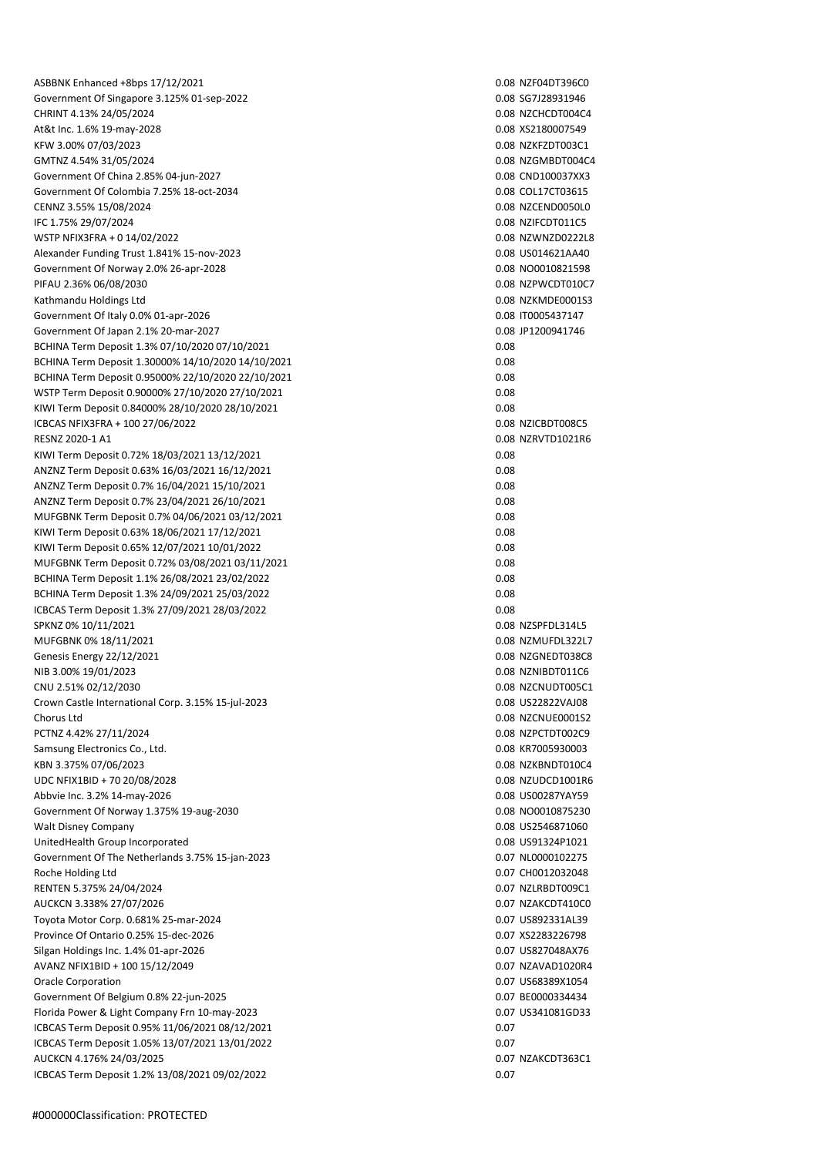ASBBNK Enhanced +8bps 17/12/2021 0.08 NZF04DT396C0 Government Of Singapore 3.125% 01-sep-2022 0.08 SG7J28931946 CHRINT 4.13% 24/05/2024 0.08 NZCHCDT004C4 At&t Inc. 1.6% 19-may-2028 0.08 XS2180007549 KFW 3.00% 07/03/2023 0.08 NZKFZDT003C1 GMTNZ 4.54% 31/05/2024 0.08 NZGMBDT004C4 Government Of China 2.85% 04-jun-2027 0.08 CND100037XX3 Government Of Colombia 7.25% 18-oct-2034 0.08 COL17CT03615 CENNZ 3.55% 15/08/2024 0.08 NZCEND0050L0 IFC 1.75% 29/07/2024 0.08 NZIFCDT011C5 WSTP NFIX3FRA + 0 14/02/2022 0.08 NZWNZD0222L8 Alexander Funding Trust 1.841% 15-nov-2023 0.08 US014621AA40 Government Of Norway 2.0% 26-apr-2028 0.08 NO0010821598 PIFAU 2.36% 06/08/2030 0.08 NZPWCDT010C7 Kathmandu Holdings Ltd **0.08 NZKMDE0001S3** Government Of Italy 0.0% 01-apr-2026 0.08 0.08 0.08 1T0005437147 Government Of Japan 2.1% 20-mar-2027 **0.08 JP1200941746** BCHINA Term Deposit 1.3% 07/10/2020 07/10/2021 0.08 BCHINA Term Deposit 1.30000% 14/10/2020 14/10/2021 0.08 BCHINA Term Deposit 0.95000% 22/10/2020 22/10/2021 0.08 WSTP Term Deposit 0.90000% 27/10/2020 27/10/2021 0.08 KIWI Term Deposit 0.84000% 28/10/2020 28/10/2021 0.08 ICBCAS NFIX3FRA + 100 27/06/2022 0.08 NZICBDT008C5 RESNZ 2020-1 A1 0.08 NZRVTD1021R6 KIWI Term Deposit 0.72% 18/03/2021 13/12/2021 0.08 ANZNZ Term Deposit 0.63% 16/03/2021 16/12/2021 169 16/12/2021 16/12/2021 16/12/2021 16/12/2021 16/12 ANZNZ Term Deposit 0.7% 16/04/2021 15/10/2021 15 0.08 ANZNZ Term Deposit 0.7% 23/04/2021 26/10/2021 0.08 MUFGBNK Term Deposit 0.7% 04/06/2021 03/12/2021 0.08 KIWI Term Deposit 0.63% 18/06/2021 17/12/2021 10:08 KIWI Term Deposit 0.65% 12/07/2021 10/01/2022 0.08 MUFGBNK Term Deposit 0.72% 03/08/2021 03/11/2021 0.08 BCHINA Term Deposit 1.1% 26/08/2021 23/02/2022 0.08 BCHINA Term Deposit 1.3% 24/09/2021 25/03/2022 0.08 ICBCAS Term Deposit 1.3% 27/09/2021 28/03/2022 0.08 SPKNZ 0% 10/11/2021 0.08 NZSPFDL314L5 MUFGBNK 0% 18/11/2021 0.08 NZMUFDL322L7 Genesis Energy 22/12/2021 **Contract Contract Contract Contract Contract Contract Contract Contract Contract Contract Contract Contract Contract Contract Contract Contract Contract Contract Contract Contract Contract Contra** NIB 3.00% 19/01/2023 0.08 NZNIBDT011C6 CNU 2.51% 02/12/2030 0.08 NZCNUDT005C1 Crown Castle International Corp. 3.15% 15-jul-2023 0.08 US22822VAJ08 Chorus Ltd 0.08 NZCNUE0001S2 PCTNZ 4.42% 27/11/2024 0.08 NZPCTDT002C9 Samsung Electronics Co., Ltd. 0.08 KR7005930003 KBN 3.375% 07/06/2023 0.08 NZKBNDT010C4 UDC NFIX1BID + 70 20/08/2028 0.08 NZUDCD1001R6 Abbvie Inc. 3.2% 14-may-2026 0.08 US00287YAY59 Government Of Norway 1.375% 19-aug-2030 0.08 0.08 NO0010875230 Walt Disney Company **0.08 US2546871060** US2546871060 UnitedHealth Group Incorporated 0.08 US91324P1021 Government Of The Netherlands 3.75% 15-jan-2023 0.07 NL0000102275 Roche Holding Ltd **0.07 CH0012032048 CONSUMING CONSUMING CONSUMING CONSUMING CONSUMING CONSUMING CONSUMING CONSUMING CONSUMING CONSUMING CONSUMING CONSUMING CONSUMING CONSUMING CONSUMING CONSUMING CONSUMING CONSUMING CON** RENTEN 5.375% 24/04/2024 0.07 NZLRBDT009C1 AUCKCN 3.338% 27/07/2026 0.07 NZAKCDT410C0 Toyota Motor Corp. 0.681% 25-mar-2024 0.07 US892331AL39 Province Of Ontario 0.25% 15-dec-2026 0.07 XS2283226798 Silgan Holdings Inc. 1.4% 01-apr-2026 0.07 US827048AX76 AVANZ NFIX1BID + 100 15/12/2049 0.07 NZAVAD1020R4 Oracle Corporation 0.07 US68389X1054 Government Of Belgium 0.8% 22-jun-2025 0.07 BE0000334434 Florida Power & Light Company Frn 10-may-2023 0.07 US341081GD33 ICBCAS Term Deposit 0.95% 11/06/2021 08/12/2021 0.07 ICBCAS Term Deposit 1.05% 13/07/2021 13/01/2022 0.07 AUCKCN 4.176% 24/03/2025 0.07 NZAKCDT363C1 ICBCAS Term Deposit 1.2% 13/08/2021 09/02/2022 0.07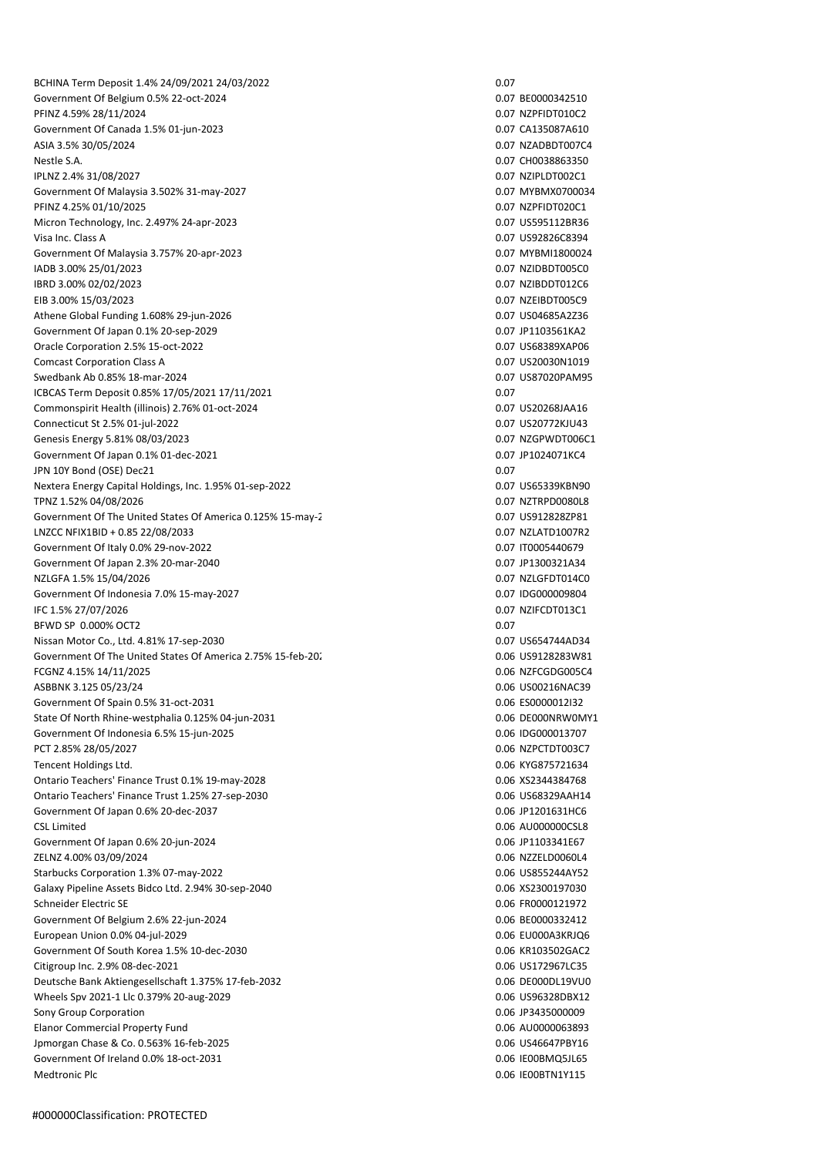BCHINA Term Deposit 1.4% 24/09/2021 24/03/2022 0.07 Government Of Belgium 0.5% 22-oct-2024 0.07 BE0000342510 PFINZ 4.59% 28/11/2024 0.07 NZPFIDT010C2 Government Of Canada 1.5% 01-jun-2023 0.07 CA135087A610 ASIA 3.5% 30/05/2024 0.07 NZADBDT007C4 Nestle S.A. 0.07 CH0038863350 IPLNZ 2.4% 31/08/2027 0.07 NZIPLDT002C1 Government Of Malaysia 3.502% 31-may-2027 0.07 MYBMX0700034 PFINZ 4.25% 01/10/2025 0.07 NZPFIDT020C1 Micron Technology, Inc. 2.497% 24-apr-2023 0.07 US595112BR36 Visa Inc. Class A 0.07 US92826C8394 Government Of Malaysia 3.757% 20-apr-2023 0.07 MYBMI1800024 IADB 3.00% 25/01/2023 0.07 NZIDBDT005C0 IBRD 3.00% 02/02/2023 0.07 NZIBDDT012C6 EIB 3.00% 15/03/2023 0.07 NZEIBDT005C9 Athene Global Funding 1.608% 29-jun-2026 0.07 US04685A2Z36 Government Of Japan 0.1% 20-sep-2029 0.07 JP1103561KA2 Oracle Corporation 2.5% 15-oct-2022 0.07 US68389XAP06 Comcast Corporation Class A 0.07 US20030N1019 Swedbank Ab 0.85% 18-mar-2024 0.07 US87020PAM95 ICBCAS Term Deposit 0.85% 17/05/2021 17/11/2021 0.07 Commonspirit Health (illinois) 2.76% 01-oct-2024 0.07 US20268JAA16 Connecticut St 2.5% 01-jul-2022 0.07 US20772KJU43 Genesis Energy 5.81% 08/03/2023 0.07 NZGPWDT006C1 Government Of Japan 0.1% 01-dec-2021 0.07 JP1024071KC4 JPN 10Y Bond (OSE) Dec21 0.07 Nextera Energy Capital Holdings, Inc. 1.95% 01-sep-2022 0.07 0.07 0.07 US65339KBN90 TPNZ 1.52% 04/08/2026 0.07 NZTRPD0080L8 Government Of The United States Of America 0.125% 15-may-2 0.07 0.07 US9128282P81 LNZCC NFIX1BID + 0.85 22/08/2033 0.07 NZLATD1007R2 Government Of Italy 0.0% 29-nov-2022 0.07 IT0005440679 Government Of Japan 2.3% 20-mar-2040 0.07 JP1300321A34 NZLGFA 1.5% 15/04/2026 0.07 NZLGFDT014C0 Government Of Indonesia 7.0% 15-may-2027 0.07 0.07 0.07 0.07 0.07 0.07 0.099804 IFC 1.5% 27/07/2026 0.07 NZIFCDT013C1 BFWD SP 0.000% OCT2 0.07 Nissan Motor Co., Ltd. 4.81% 17-sep-2030 0.07 US654744AD34 Government Of The United States Of America 2.75% 15-feb-2028 0.06 0.06 US9128283W81 FCGNZ 4.15% 14/11/2025 0.06 NZFCGDG005C4 ASBBNK 3.125 05/23/24 0.06 US00216NAC39 Government Of Spain 0.5% 31-oct-2031 0.06 ES0000012I32 State Of North Rhine-westphalia 0.125% 04-jun-2031 0.06 DE000NRW0MY1 Government Of Indonesia 6.5% 15-jun-2025 0.06 IDG000013707 PCT 2.85% 28/05/2027 0.06 NZPCTDT003C7 Tencent Holdings Ltd. 0.06 KYG875721634 Ontario Teachers' Finance Trust 0.1% 19-may-2028 0.06 XS2344384768 Ontario Teachers' Finance Trust 1.25% 27-sep-2030 0.06 US68329AAH14 Government Of Japan 0.6% 20-dec-2037 0.06 JP1201631HC6 CSL Limited 0.06 AU000000CSL8 Government Of Japan 0.6% 20-jun-2024 **0.06 JP1103341E67** 0.06 JP1103341E67 ZELNZ 4.00% 03/09/2024 0.06 NZZELD0060L4 Starbucks Corporation 1.3% 07-may-2022 0.06 US855244AY52 Galaxy Pipeline Assets Bidco Ltd. 2.94% 30-sep-2040 0.06 XS2300197030 0.06 XS2300197030 Schneider Electric SE 0.06 FR0000121972 Government Of Belgium 2.6% 22-jun-2024 0.06 BE0000332412 European Union 0.0% 04-jul-2029 0.06 EU000A3KRJQ6 Government Of South Korea 1.5% 10-dec-2030 0.06 KR103502GAC2 Citigroup Inc. 2.9% 08-dec-2021 0.06 US172967LC35 Deutsche Bank Aktiengesellschaft 1.375% 17-feb-2032 0.06 DE000DL19VU0 Wheels Spv 2021-1 Llc 0.379% 20-aug-2029 0.06 US96328DBX12 Sony Group Corporation **6.06 Sony Group Corporation** 0.06 JP3435000009 Elanor Commercial Property Fund 0.06 AU0000063893 Jpmorgan Chase & Co. 0.563% 16-feb-2025 0.06 US46647PBY16 Government Of Ireland 0.0% 18-oct-2031 0.06 IE00BMQ5JL65 Medtronic Plc 0.06 IE00BTN1Y115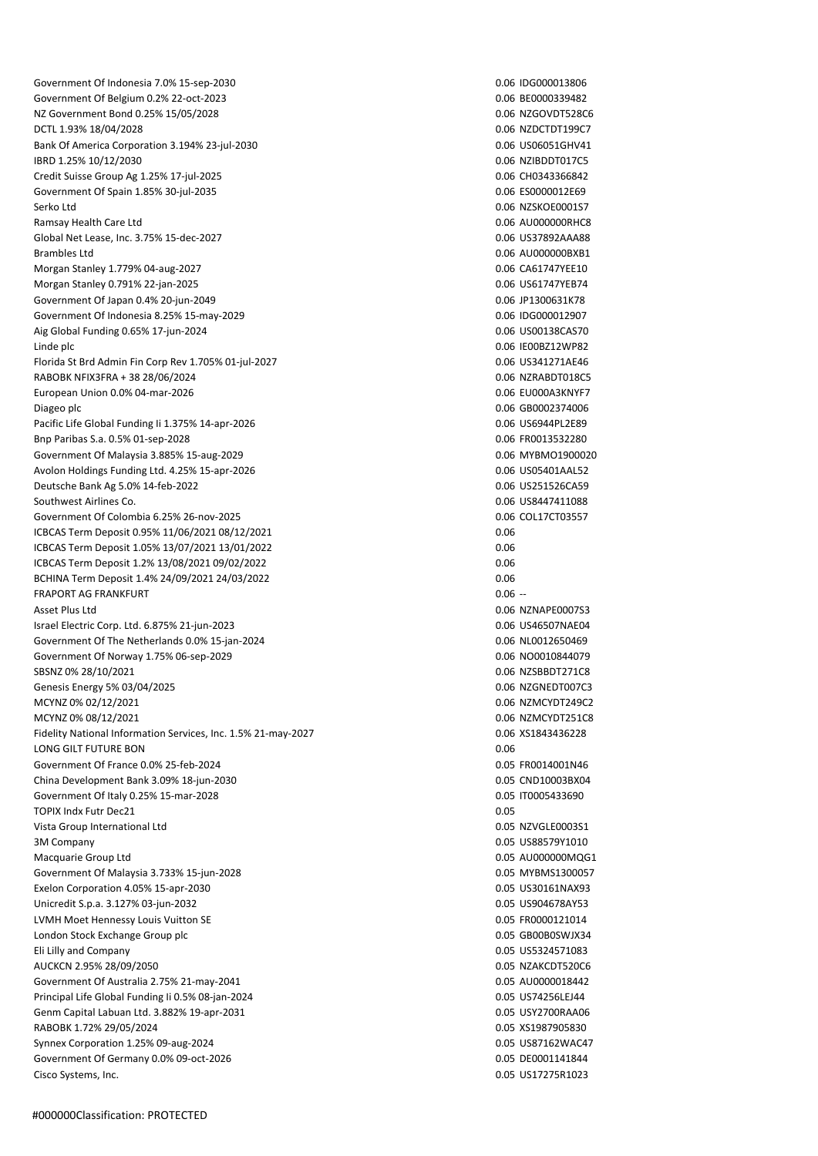Government Of Indonesia 7.0% 15-sep-2030 0.06 IDG000013806 Government Of Belgium 0.2% 22-oct-2023 0.06 0.06 BE0000339482 NZ Government Bond 0.25% 15/05/2028 0.06 NZGOVDT528C6 DCTL 1.93% 18/04/2028 0.06 NZDCTDT199C7 Bank Of America Corporation 3.194% 23-jul-2030 0.06 US06051GHV41 IBRD 1.25% 10/12/2030 0.06 NZIBDDT017C5 Credit Suisse Group Ag 1.25% 17-jul-2025 0.06 CH0343366842 Government Of Spain 1.85% 30-jul-2035 0.06 ES0000012E69 Serko Ltd 0.06 NZSKOE0001S7 Ramsay Health Care Ltd 0.06 AU000000RHC8 Global Net Lease, Inc. 3.75% 15-dec-2027 0.06 US37892AAA88 Brambles Ltd 0.06 AU000000BXB1 Morgan Stanley 1.779% 04-aug-2027 0.06 CA61747YEE10 Morgan Stanley 0.791% 22-jan-2025 0.06 US61747YEB74 Government Of Japan 0.4% 20-jun-2049 0.06 JP1300631K78 Government Of Indonesia 8.25% 15-may-2029 0.06 IDG000012907 Aig Global Funding 0.65% 17-jun-2024 0.06 US00138CAS70 Linde plc 0.06 IE00BZ12WP82 Florida St Brd Admin Fin Corp Rev 1.705% 01-jul-2027 0.06 US341271AE46 RABOBK NFIX3FRA + 38 28/06/2024 0.06 NZRABDT018C5 European Union 0.0% 04-mar-2026 0.06 EU000A3KNYF7 Diageo plc 0.06 GB0002374006 Pacific Life Global Funding Ii 1.375% 14-apr-2026 0.06 US6944PL2E89 Bnp Paribas S.a. 0.5% 01-sep-2028 0.06 FR0013532280 Government Of Malaysia 3.885% 15-aug-2029 0.06 0.06 0.06 MYBMO1900020 Avolon Holdings Funding Ltd. 4.25% 15-apr-2026 0.06 US05401AAL52 Deutsche Bank Ag 5.0% 14-feb-2022 0.06 US251526CA59 Southwest Airlines Co. 6. 2.06 US8447411088 Co. 0.06 US8447411088 Government Of Colombia 6.25% 26-nov-2025 0.06 COL17CT03557 ICBCAS Term Deposit 0.95% 11/06/2021 08/12/2021 0.06 ICBCAS Term Deposit 1.05% 13/07/2021 13/01/2022 0.06 ICBCAS Term Deposit 1.2% 13/08/2021 09/02/2022 0.06 BCHINA Term Deposit 1.4% 24/09/2021 24/03/2022 0.06 FRAPORT AG FRANKFURT **DESIGNER AG FRANKFURT 1.06 --**Asset Plus Ltd 0.06 NZNAPE0007S3 Israel Electric Corp. Ltd. 6.875% 21-jun-2023 0.06 US46507NAE04 Government Of The Netherlands 0.0% 15-jan-2024 0.06 0.06 0.06 NL0012650469 Government Of Norway 1.75% 06-sep-2029 0.06 NO0010844079 SBSNZ 0% 28/10/2021 0.06 NZSBBDT271C8 Genesis Energy 5% 03/04/2025 **0.06 NZGNEDT007C3** 0.06 NZGNEDT007C3 MCYNZ 0% 02/12/2021 0.06 NZMCYDT249C2 MCYNZ 0% 08/12/2021 0.06 NZMCYDT251C8 Fidelity National Information Services, Inc. 1.5% 21-may-2027 0.06 XS1843436228 LONG GILT FUTURE BON 0.06 Government Of France 0.0% 25-feb-2024 0.05 FR0014001N46 China Development Bank 3.09% 18-jun-2030 0.05 CND10003BX04 Government Of Italy 0.25% 15-mar-2028 0.05 UT0005433690 TOPIX Indx Futr Dec21 0.05 Vista Group International Ltd 0.05 NZVGLE0003S1 3M Company 0.05 US88579Y1010 Macquarie Group Ltd 0.05 AU000000MQG1 Government Of Malaysia 3.733% 15-jun-2028 0.05 MYBMS1300057 Exelon Corporation 4.05% 15-apr-2030 0.05 US30161NAX93 Unicredit S.p.a. 3.127% 03-jun-2032 0.05 US904678AY53 LVMH Moet Hennessy Louis Vuitton SE 0.05 FR0000121014 London Stock Exchange Group plc 0.05 GB00B0SWJX34 Eli Lilly and Company 0.05 US5324571083 AUCKCN 2.95% 28/09/2050 0.05 NZAKCDT520C6 Government Of Australia 2.75% 21-may-2041 0.05 AU0000018442 Principal Life Global Funding Ii 0.5% 08-jan-2024 0.05 UST4256LEJ44 Genm Capital Labuan Ltd. 3.882% 19-apr-2031 0.05 USY2700RAA06 RABOBK 1.72% 29/05/2024 2008 2012 2024 2020 2031 2032 2040 205 206 207 208 208 209 209 2008 2012 2020 2031 20 Synnex Corporation 1.25% 09-aug-2024 0.05 US87162WAC47 Government Of Germany 0.0% 09-oct-2026 0.05 DE0001141844 Cisco Systems, Inc. 0.05 US17275R1023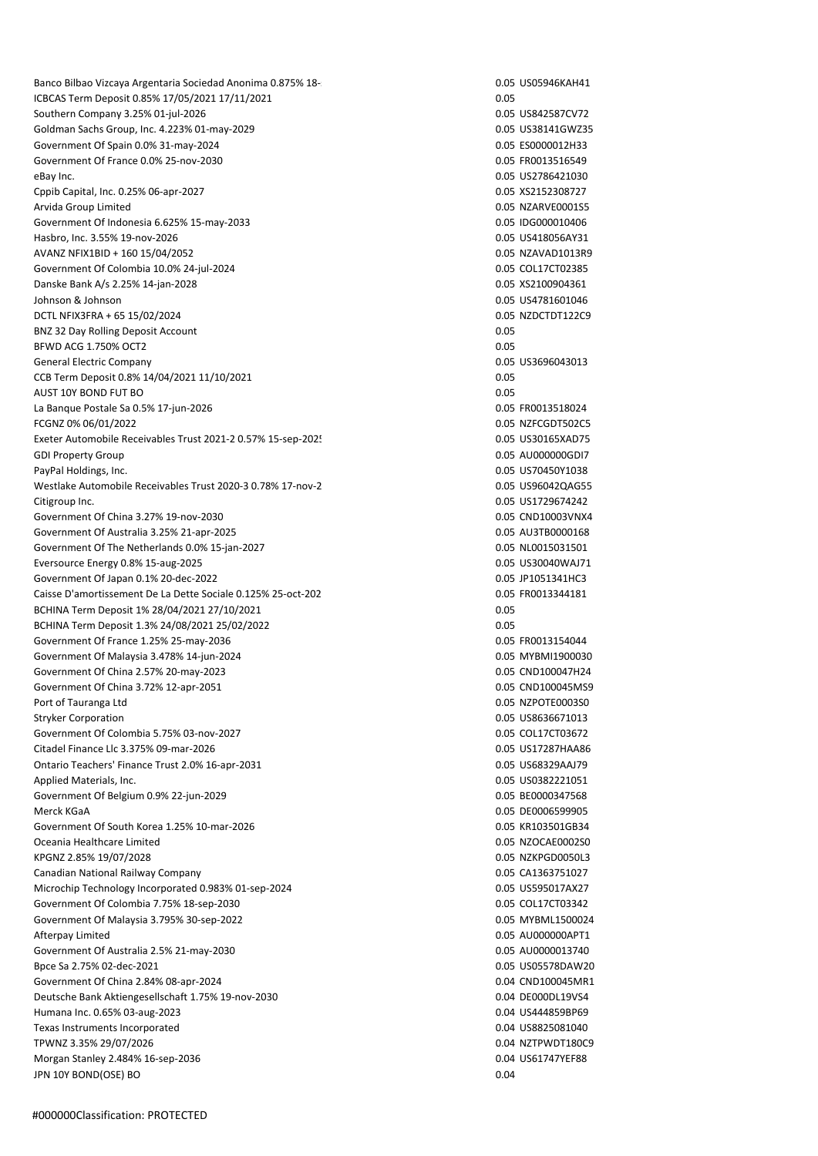Banco Bilbao Vizcaya Argentaria Sociedad Anonima 0.875% 18-8 components and the COSS946KAH41 ICBCAS Term Deposit 0.85% 17/05/2021 17/11/2021 0.05 Southern Company 3.25% 01-jul-2026 0.05 US842587CV72 Goldman Sachs Group, Inc. 4.223% 01-may-2029 0.05 US38141GWZ35 Government Of Spain 0.0% 31-may-2024 0.05 ES0000012H33 Government Of France 0.0% 25-nov-2030 0.05 FR0013516549 eBay Inc. 6. 2006 0.05 US2786421030 0.05 US2786421030 0.05 US2786421030 0.05 US2786421030 0.05 US2786421030 0.05 US2786421030 0.05 US2786421030 0.05 US2786421030 0.05 US2786421030 0.05 US2786421030 0.05 US2786421030 0.05 U Cppib Capital, Inc. 0.25% 06-apr-2027 0.05 XS2152308727 Arvida Group Limited **0.05 N2ARVE0001S5** 2005 N2ARVE0001S5 Government Of Indonesia 6.625% 15-may-2033 0.05 IDG000010406 Hasbro, Inc. 3.55% 19-nov-2026 0.05 US418056AY31 AVANZ NFIX1BID + 160 15/04/2052 0.05 NZAVAD1013R9 Government Of Colombia 10.0% 24-jul-2024 0.05 COL17CT02385 Danske Bank A/s 2.25% 14-jan-2028 0.05 XS2100904361 Johnson & Johnson 0.05 US4781601046 DCTL NFIX3FRA + 65 15/02/2024 0.05 NZDCTDT122C9 BNZ 32 Day Rolling Deposit Account 0.05 BFWD ACG 1.750% OCT2 0.05 General Electric Company **6.05 US3696043013** Company **0.05 US3696043013** CCB Term Deposit 0.8% 14/04/2021 11/10/2021 0.05 AUST 10Y BOND FUT BO La Banque Postale Sa 0.5% 17-jun-2026 0.05 FR0013518024 FCGNZ 0% 06/01/2022 0.05 NZFCGDT502C5 Exeter Automobile Receivables Trust 2021-2 0.57% 15-sep-2025 0.05 US30165XAD75 GDI Property Group 0.05 AU000000GDI7 PayPal Holdings, Inc. 2006 2012 12:05:06 2012 12:06:07:07:08 2012 12:07:08:07:07:07:07:07:07:07:07:07:07:07:07 Westlake Automobile Receivables Trust 2020-3 0.78% 17-nov-2 0.05 0.05 US96042QAG55 Citigroup Inc. 2005 0.05 US1729674242 Government Of China 3.27% 19-nov-2030 0.05 CND10003VNX4 Government Of Australia 3.25% 21-apr-2025 0.05 AU3TB0000168 Government Of The Netherlands 0.0% 15-jan-2027 0.05 0.05 0.05 NL0015031501 Eversource Energy 0.8% 15-aug-2025 0.05 US30040WAJ71 Government Of Japan 0.1% 20-dec-2022 0.05 JP1051341HC3 Caisse D'amortissement De La Dette Sociale 0.125% 25-oct-2023 0.05 FR0013344181 BCHINA Term Deposit 1% 28/04/2021 27/10/2021 0.05 BCHINA Term Deposit 1.3% 24/08/2021 25/02/2022 0.05 Government Of France 1.25% 25-may-2036 0.05 Covernment Of France 1.25% 25-may-2036 Government Of Malaysia 3.478% 14-jun-2024 0.05 MYBMI1900030 Government Of China 2.57% 20-may-2023 0.05 CND100047H24 Government Of China 3.72% 12-apr-2051 0.05 CND100045MS9 Port of Tauranga Ltd 0.05 NZPOTE0003S0 Stryker Corporation 0.05 US8636671013 Government Of Colombia 5.75% 03-nov-2027 0.05 COL17CT03672 Citadel Finance Llc 3.375% 09-mar-2026 0.05 US17287HAA86 Ontario Teachers' Finance Trust 2.0% 16-apr-2031 0.05 US68329AAJ79 Applied Materials, Inc. 2008 22:21:051 2012 2013 2020 2020 2030 2040 2040 2050 2061 2072 2081 2092 2005 2014 20 Government Of Belgium 0.9% 22-jun-2029 0.05 BE0000347568 Merck KGaA 0.05 DE0006599905 Government Of South Korea 1.25% 10-mar-2026 0.05 KR103501GB34 Oceania Healthcare Limited **0.05 NZOCAE0002S0** KPGNZ 2.85% 19/07/2028 0.05 NZKPGD0050L3 Canadian National Railway Company 0.05 CA1363751027 Microchip Technology Incorporated 0.983% 01-sep-2024 0.05 0.05 US595017AX27 Government Of Colombia 7.75% 18-sep-2030 0.05 COL17CT03342 Government Of Malaysia 3.795% 30-sep-2022 0.05 MYBML1500024 Afterpay Limited 0.05 AU000000APT1 Government Of Australia 2.5% 21-may-2030 0.05 AU0000013740 Bpce Sa 2.75% 02-dec-2021 0.05 US05578DAW20 Government Of China 2.84% 08-apr-2024 0.04 CND100045MR1 Deutsche Bank Aktiengesellschaft 1.75% 19-nov-2030 0.04 DE000DL19VS4 0.04 DE000DL19VS4 Humana Inc. 0.65% 03-aug-2023 0.04 US444859BP69 Texas Instruments Incorporated **0.04 US8825081040** 0.04 US8825081040 TPWNZ 3.35% 29/07/2026 0.04 NZTPWDT180C9 Morgan Stanley 2.484% 16-sep-2036 **0.04 US61747YEF88** 0.04 US61747YEF88 JPN 10Y BOND(OSE) BO 0.04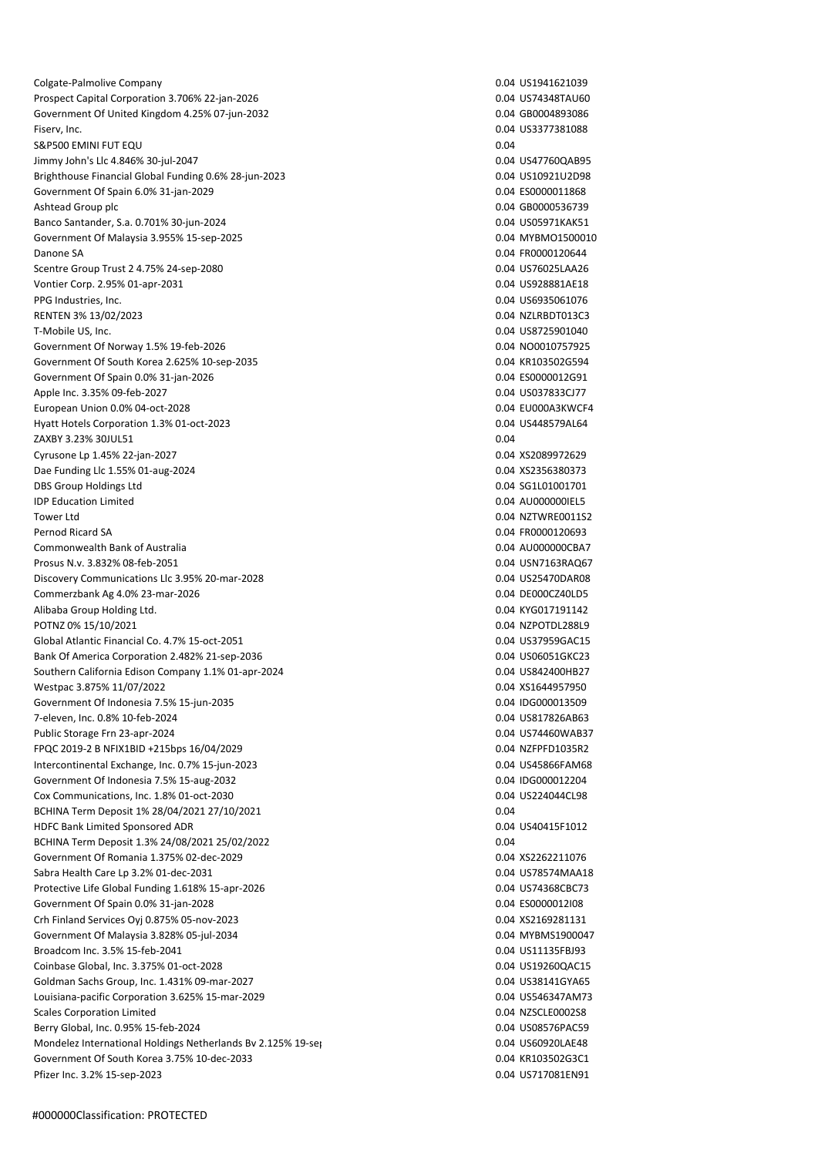Colgate-Palmolive Company 0.04 US1941621039 Prospect Capital Corporation 3.706% 22-jan-2026 0.04 US74348TAU60 Government Of United Kingdom 4.25% 07-jun-2032 0.04 CBD004893086 0.04 GB0004893086 Fiserv, Inc. 0.04 US3377381088 S&P500 EMINI FUT EQU 0.04 Jimmy John's Llc 4.846% 30-jul-2047 0.04 US47760QAB95 Brighthouse Financial Global Funding 0.6% 28-jun-2023 0.04 US10921U2D98 Government Of Spain 6.0% 31-jan-2029 0.04 ES0000011868 Ashtead Group plc **Ashtead Group plc** 0.04 GB0000536739 Banco Santander, S.a. 0.701% 30-jun-2024 0.04 US05971KAK51 Government Of Malaysia 3.955% 15-sep-2025 0.04 MYBMO1500010 Danone SA 0.04 FR0000120644 Scentre Group Trust 2 4.75% 24-sep-2080 0.04 US76025LAA26 Vontier Corp. 2.95% 01-apr-2031 0.04 US928881AE18 PPG Industries, Inc. 2004 US6935061076 RENTEN 3% 13/02/2023 0.04 NZLRBDT013C3 T-Mobile US, Inc. 0.04 US8725901040 Government Of Norway 1.5% 19-feb-2026 0.04 NO0010757925 Government Of South Korea 2.625% 10-sep-2035 0.04 COVERNMENT US 0.04 KR103502G594 Government Of Spain 0.0% 31-jan-2026 0.04 ES0000012G91 Apple Inc. 3.35% 09-feb-2027 0.04 US037833CJ77 European Union 0.0% 04-oct-2028 0.04 EU000A3KWCF4 Hyatt Hotels Corporation 1.3% 01-oct-2023 0.04 US448579AL64 ZAXBY 3.23% 30JUL51 0.04 Cyrusone Lp 1.45% 22-jan-2027 0.04 XS2089972629 Dae Funding Llc 1.55% 01-aug-2024 0.04 XS2356380373 DBS Group Holdings Ltd 0.04 SG1L01001701 IDP Education Limited 0.04 AU000000IEL5 Tower Ltd 0.04 NZTWRE0011S2 Pernod Ricard SA 0.04 FR0000120693 Commonwealth Bank of Australia 0.04 AU000000CBA7 Prosus N.v. 3.832% 08-feb-2051 0.04 USN7163RAQ67 Discovery Communications Llc 3.95% 20-mar-2028 0.04 US25470DAR08 Commerzbank Ag 4.0% 23-mar-2026 0.04 DE000CZ40LD5 Alibaba Group Holding Ltd. 0.04 KYG017191142 POTNZ 0% 15/10/2021 0.04 NZPOTDL288L9 Global Atlantic Financial Co. 4.7% 15-oct-2051 0.04 US37959GAC15 Bank Of America Corporation 2.482% 21-sep-2036 0.04 US06051GKC23 Southern California Edison Company 1.1% 01-apr-2024 0.04 US842400HB27 Westpac 3.875% 11/07/2022 0.04 XS1644957950 Government Of Indonesia 7.5% 15-jun-2035 0.04 IDG000013509 7-eleven, Inc. 0.8% 10-feb-2024 0.04 US817826AB63 Public Storage Frn 23-apr-2024 0.04 US74460WAB37 FPQC 2019-2 B NFIX1BID +215bps 16/04/2029 0.04 NZFPFD1035R2 Intercontinental Exchange, Inc. 0.7% 15-jun-2023 0.04 US45866FAM68 Government Of Indonesia 7.5% 15-aug-2032 0.04 IDG000012204 0.04 IDG000012204 Cox Communications, Inc. 1.8% 01-oct-2030 0.04 US224044CL98 BCHINA Term Deposit 1% 28/04/2021 27/10/2021 0.04 HDFC Bank Limited Sponsored ADR 0.04 US40415F1012 BCHINA Term Deposit 1.3% 24/08/2021 25/02/2022 0.04 Government Of Romania 1.375% 02-dec-2029 0.04 XS2262211076 Sabra Health Care Lp 3.2% 01-dec-2031 0.04 US78574MAA18 Protective Life Global Funding 1.618% 15-apr-2026 0.04 US74368CBC73 Government Of Spain 0.0% 31-jan-2028 0.04 ES0000012I08 0.04 ES0000012I08 Crh Finland Services Oyj 0.875% 05-nov-2023 0.04 XS2169281131 Government Of Malaysia 3.828% 05-jul-2034 0.04 MYBMS1900047 Broadcom Inc. 3.5% 15-feb-2041 0.04 US11135FBJ93 Coinbase Global, Inc. 3.375% 01-oct-2028 0.04 US19260QAC15 Goldman Sachs Group, Inc. 1.431% 09-mar-2027 0.04 US38141GYA65 Louisiana-pacific Corporation 3.625% 15-mar-2029 0.04 US546347AM73 Scales Corporation Limited **0.04 NZSCLE0002S8** 0.04 NZSCLE0002S8 Berry Global, Inc. 0.95% 15-feb-2024 0.04 US08576PAC59 Mondelez International Holdings Netherlands Bv 2.125% 19-sep-2022 0.04 0.04 US60920LAE48 Government Of South Korea 3.75% 10-dec-2033 0.04 KR103502G3C1 Pfizer Inc. 3.2% 15-sep-2023 0.04 US717081EN91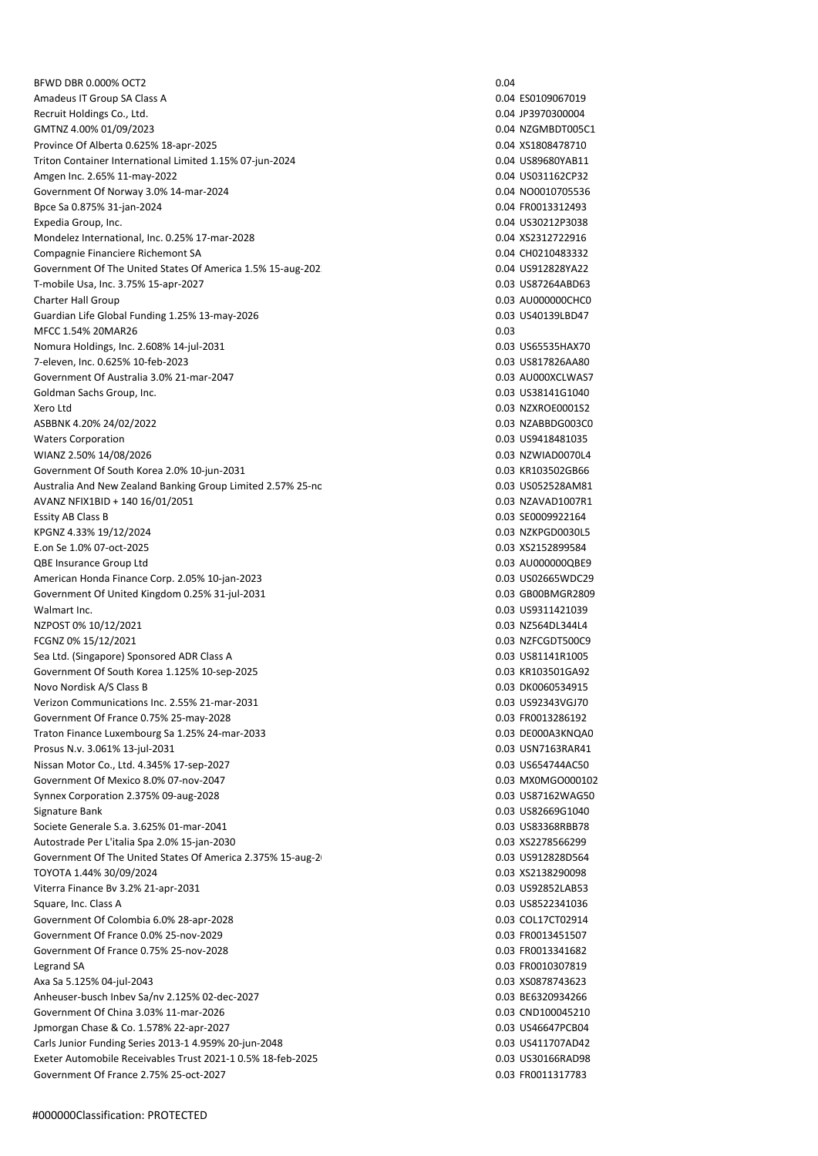BFWD DBR 0.000% OCT2 0.04 Amadeus IT Group SA Class A 0.04 ES0109067019 Recruit Holdings Co., Ltd. 0.04 JP3970300004 GMTNZ 4.00% 01/09/2023 0.04 NZGMBDT005C1 Province Of Alberta 0.625% 18-apr-2025 0.04 XS1808478710 Triton Container International Limited 1.15% 07-jun-2024 0.04 US89680YAB11 Amgen Inc. 2.65% 11-may-2022 0.04 US031162CP32 Government Of Norway 3.0% 14-mar-2024 0.04 NO0010705536 Bpce Sa 0.875% 31-jan-2024 0.04 FR0013312493 Expedia Group, Inc. 0.04 US30212P3038 Mondelez International, Inc. 0.25% 17-mar-2028 0.04 XS2312722916 Compagnie Financiere Richemont SA 0.04 CH0210483332 Government Of The United States Of America 1.5% 15-aug-202. Comment Of The United States Of America 1.5% 15-aug-202 T-mobile Usa, Inc. 3.75% 15-apr-2027 0.03 US87264ABD63 Charter Hall Group 0.03 AU000000CHC0 Guardian Life Global Funding 1.25% 13-may-2026 0.03 US40139LBD47 MFCC 1.54% 20MAR26 0.03 Nomura Holdings, Inc. 2.608% 14-jul-2031 0.03 US65535HAX70 7-eleven, Inc. 0.625% 10-feb-2023 0.03 US817826AA80 Government Of Australia 3.0% 21-mar-2047 0.03 AU000XCLWAS7 Goldman Sachs Group, Inc. **0.03 US38141G1040** Coldman Sachs Group, Inc. 0.03 US38141G1040 Xero Ltd. 2003. NZXROE0001S2 ASBBNK 4.20% 24/02/2022 0.03 NZABBDG003C0 Waters Corporation 0.03 US9418481035 WIANZ 2.50% 14/08/2026 0.03 NZWIAD0070L4 Government Of South Korea 2.0% 10-jun-2031 0.03 KR103502GB66 Australia And New Zealand Banking Group Limited 2.57% 25-no<br>
2.03 US052528AM81 AVANZ NFIX1BID + 140 16/01/2051 0.03 NZAVAD1007R1 Essity AB Class B 0.03 SE0009922164 KPGNZ 4.33% 19/12/2024 0.03 NZKPGD0030L5 E.on Se 1.0% 07-oct-2025 0.03 XS2152899584 QBE Insurance Group Ltd 0.03 AU000000QBE9 American Honda Finance Corp. 2.05% 10-jan-2023 0.03 US02665WDC29 Government Of United Kingdom 0.25% 31-jul-2031 0.03 GB00BMGR2809 0.03 GB00BMGR2809 Walmart Inc. 0.03 US9311421039 NZPOST 0% 10/12/2021 0.03 NZ564DL344L4 FCGNZ 0% 15/12/2021 0.03 NZFCGDT500C9 Sea Ltd. (Singapore) Sponsored ADR Class A 0.03 US81141R1005 Government Of South Korea 1.125% 10-sep-2025 0.03 KR103501GA92 Novo Nordisk A/S Class B 0.03 DK0060534915 Verizon Communications Inc. 2.55% 21-mar-2031 0.03 US92343VGJ70 Government Of France 0.75% 25-may-2028 0.03 FRO013286192 Traton Finance Luxembourg Sa 1.25% 24-mar-2033 0.03 DE000A3KNQA0 Prosus N.v. 3.061% 13-jul-2031 0.03 USN7163RAR41 Nissan Motor Co., Ltd. 4.345% 17-sep-2027 0.03 US654744AC50 Government Of Mexico 8.0% 07-nov-2047 0.03 MX0MGO000102 Synnex Corporation 2.375% 09-aug-2028 0.03 US87162WAG50 Signature Bank 0.03 US82669G1040 Societe Generale S.a. 3.625% 01-mar-2041 0.03 US83368RBB78 Autostrade Per L'italia Spa 2.0% 15-jan-2030 0.03 XS2278566299 Government Of The United States Of America 2.375% 15-aug-2<sup>1</sup> COM 2003 US912828D564 TOYOTA 1.44% 30/09/2024 0.03 XS2138290098 Viterra Finance Bv 3.2% 21-apr-2031 0.03 US92852LAB53 Square, Inc. Class A 0.03 US8522341036 Government Of Colombia 6.0% 28-apr-2028 0.03 COL17CT02914 Government Of France 0.0% 25-nov-2029 0.03 FR0013451507 Government Of France 0.75% 25-nov-2028 0.03 FRO013341682 Legrand SA 0.03 FR0010307819 Axa Sa 5.125% 04-jul-2043 0.03 XS0878743623 Anheuser-busch Inbev Sa/nv 2.125% 02-dec-2027 0.03 BE6320934266 Government Of China 3.03% 11-mar-2026 0.03 CND100045210 Jpmorgan Chase & Co. 1.578% 22-apr-2027 0.03 US46647PCB04 Carls Junior Funding Series 2013-1 4.959% 20-jun-2048 0.03 US411707AD42 Exeter Automobile Receivables Trust 2021-1 0.5% 18-feb-2025 0.03 US30166RAD98 Government Of France 2.75% 25-oct-2027 0.03 FR0011317783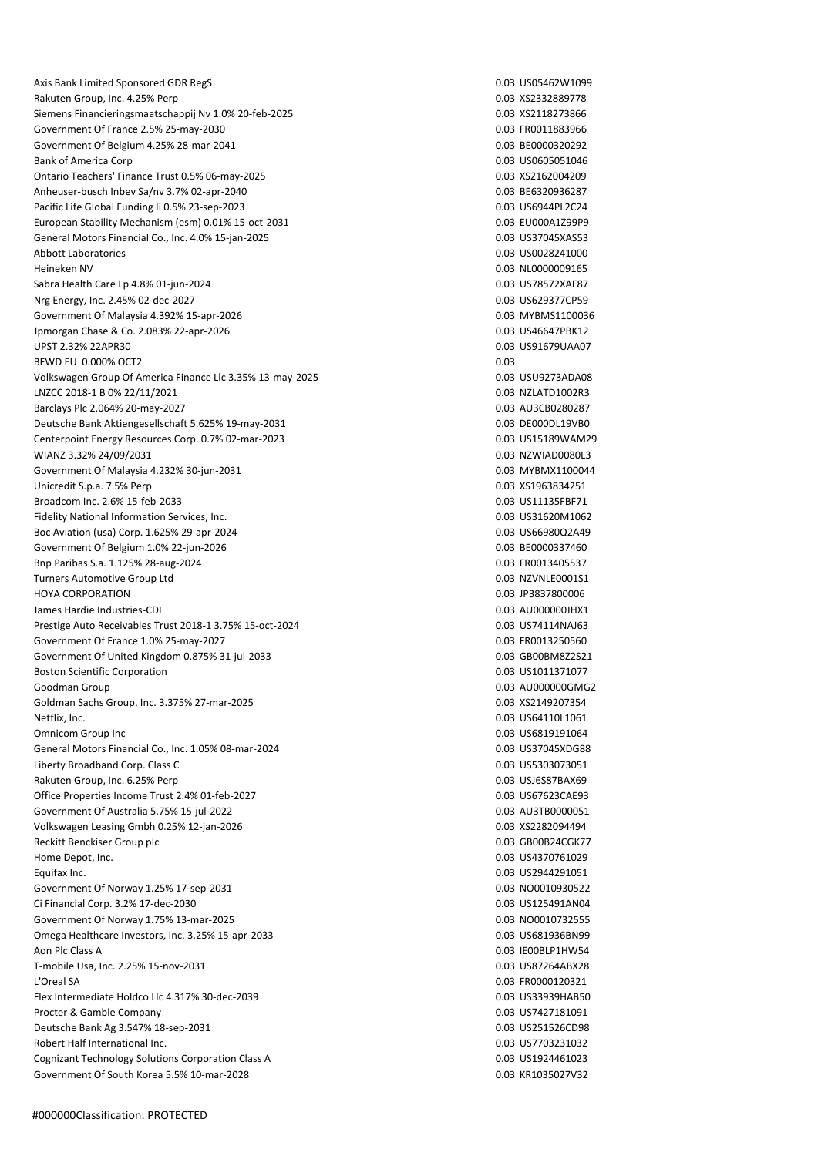Axis Bank Limited Sponsored GDR RegS 0.03 US05462W1099 Rakuten Group, Inc. 4.25% Perp 0.03 XS2332889778 Siemens Financieringsmaatschappij Nv 1.0% 20-feb-2025 0.03 XS2118273866 Government Of France 2.5% 25-may-2030 0.03 FR0011883966 Government Of Belgium 4.25% 28-mar-2041 0.03 BE0000320292 Bank of America Corp 0.03 US0605051046 Ontario Teachers' Finance Trust 0.5% 06-may-2025 0.03 XS2162004209 Anheuser-busch Inbev Sa/nv 3.7% 02-apr-2040 0.03 BE6320936287 Pacific Life Global Funding Ii 0.5% 23-sep-2023 0.03 US6944PL2C24 European Stability Mechanism (esm) 0.01% 15-oct-2031 0.03 COD 0.03 EU000A1Z99P9 General Motors Financial Co., Inc. 4.0% 15-jan-2025 0.03 US37045XAS53 Abbott Laboratories 0.03 US0028241000 Heineken NV 0.03 NL0000009165 Sabra Health Care Lp 4.8% 01-jun-2024 0.03 US78572XAF87 Nrg Energy, Inc. 2.45% 02-dec-2027 0.03 US629377CP59 Government Of Malaysia 4.392% 15-apr-2026 0.03 MYBMS1100036 0.03 MYBMS1100036 Jpmorgan Chase & Co. 2.083% 22-apr-2026 0.03 US46647PBK12 UPST 2.32% 22APR30 0.03 US91679UAA07 BFWD EU 0.000% OCT2 0.03 Volkswagen Group Of America Finance Llc 3.35% 13-may-2025 0.03 USU9273ADA08 LNZCC 2018-1 B 0% 22/11/2021 2018 2018 2020 203 NZLATD1002R3 Barclays Plc 2.064% 20-may-2027 0.03 AU3CB0280287 Deutsche Bank Aktiengesellschaft 5.625% 19-may-2031 0.03 DE000DL19VB0 Centerpoint Energy Resources Corp. 0.7% 02-mar-2023 0.03 0.03 US15189WAM29 WIANZ 3.32% 24/09/2031 0.03 NZWIAD0080L3 Government Of Malaysia 4.232% 30-jun-2031 0.03 MYBMX1100044 Unicredit S.p.a. 7.5% Perp 2.03 XS1963834251 Broadcom Inc. 2.6% 15-feb-2033 0.03 US11135FBF71 Fidelity National Information Services, Inc. 0.03 US31620M1062 Boc Aviation (usa) Corp. 1.625% 29-apr-2024 0.03 US66980Q2A49 Government Of Belgium 1.0% 22-jun-2026 0.03 BE0000337460 Bnp Paribas S.a. 1.125% 28-aug-2024 0.03 FR0013405537 Turners Automotive Group Ltd 0.03 NZVNLE0001S1 HOYA CORPORATION 0.03 JP3837800006 James Hardie Industries-CDI 0.03 AU000000JHX1 Prestige Auto Receivables Trust 2018-1 3.75% 15-oct-2024 0.03 US74114NAJ63 Government Of France 1.0% 25-may-2027 0.03 FR0013250560 Government Of United Kingdom 0.875% 31-jul-2033 0.03 GB00BM8Z2S21 Boston Scientific Corporation **0.03** US1011371077 Goodman Group 0.03 AU000000GMG2 Goldman Sachs Group, Inc. 3.375% 27-mar-2025 0.03 XS2149207354 netflix, Inc. 0.03 US64110L1061 Omnicom Group Inc 0.03 US6819191064 General Motors Financial Co., Inc. 1.05% 08-mar-2024 0.03 US37045XDG88 Liberty Broadband Corp. Class C 0.03 US5303073051 Rakuten Group, Inc. 6.25% Perp 0.03 USJ6S87BAX69 Office Properties Income Trust 2.4% 01-feb-2027 0.03 US67623CAE93 Government Of Australia 5.75% 15-jul-2022 0.03 AU3TB0000051 Volkswagen Leasing Gmbh 0.25% 12-jan-2026 0.03 XS2282094494 0.03 XS2282094494 Reckitt Benckiser Group plc **National State of the Contract OCOS** GB00B24CGK77 Home Depot, Inc. 6. 2008 US4370761029 US4370761029 Equifax Inc. 0.03 US2944291051 Government Of Norway 1.25% 17-sep-2031 0.03 NO0010930522 Ci Financial Corp. 3.2% 17-dec-2030 0.03 US125491AN04 Government Of Norway 1.75% 13-mar-2025 0.03 NO0010732555 Omega Healthcare Investors, Inc. 3.25% 15-apr-2033 0.03 US681936BN99 Aon Plc Class A 0.03 IE00BLP1HW54 T-mobile Usa, Inc. 2.25% 15-nov-2031 0.03 US87264ABX28 L'Oreal SA 0.03 FR0000120321 Flex Intermediate Holdco Llc 4.317% 30-dec-2039 0.03 US33939HAB50 Procter & Gamble Company **Department of the Company** of the Company of the Company of the Company of the Company of the Company of the Company of the Company of the Company of the Company of the Company of the Company of t Deutsche Bank Ag 3.547% 18-sep-2031 0.03 US251526CD98 Robert Half International Inc. **0.03** US7703231032 Cognizant Technology Solutions Corporation Class A 0.03 US1924461023 Government Of South Korea 5.5% 10-mar-2028 0.03 KR1035027V32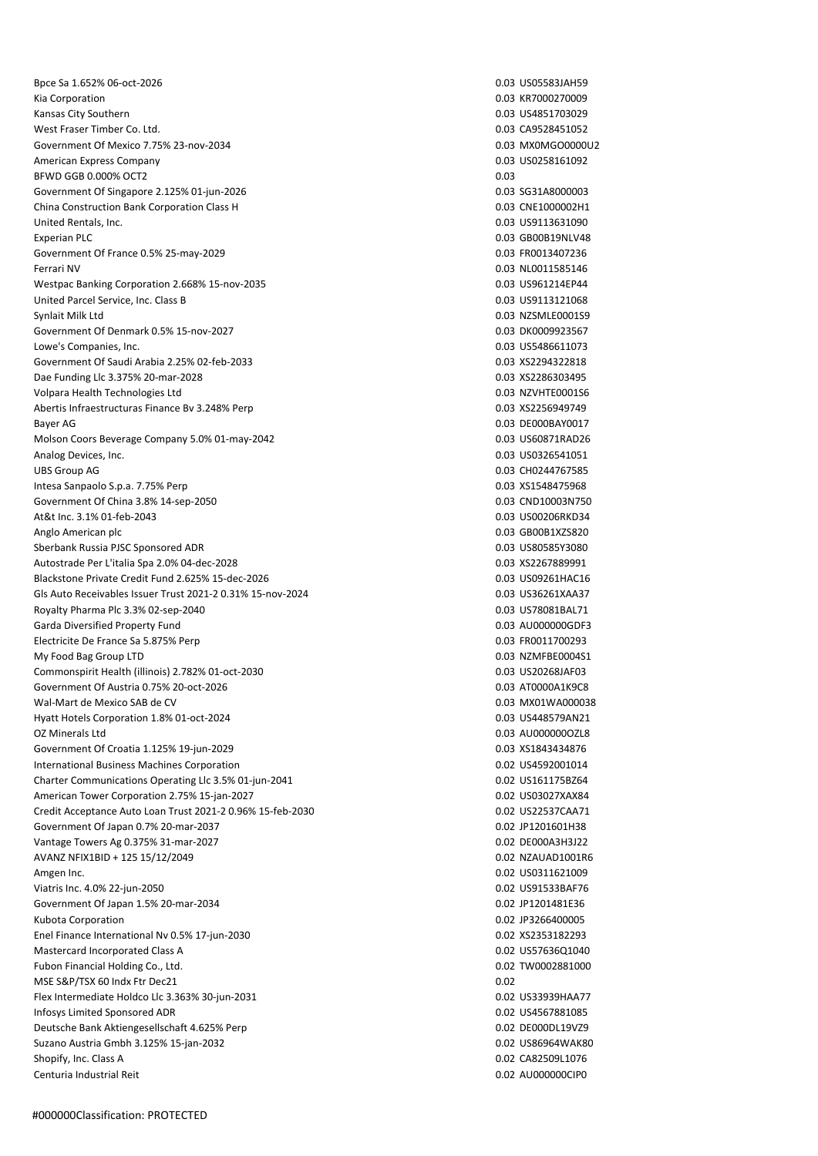Bpce Sa 1.652% 06-oct-2026 0.03 US05583JAH59 Kia Corporation 0.03 KR7000270009 Kansas City Southern 0.03 US4851703029 West Fraser Timber Co. Ltd. 2003 CA9528451052 Government Of Mexico 7.75% 23-nov-2034 0.03 MX0MGO0000U2 American Express Company **American Express Company 1.03 US0258161092 0.03 US0258161092** BFWD GGB 0.000% OCT2 0.03 Government Of Singapore 2.125% 01-jun-2026 0.03 SG31A8000003 China Construction Bank Corporation Class H 0.03 CNE1000002H1 United Rentals, Inc. 2003 US9113631090 United Rentals, Inc. 2008 US9113631090 Experian PLC 8. The state of the state of the state of the state of the state of the state of the state of the state of the state of the state of the state of the state of the state of the state of the state of the state o Government Of France 0.5% 25-may-2029 0.03 FR0013407236 Ferrari NV 0.03 NL0011585146 Westpac Banking Corporation 2.668% 15-nov-2035 0.03 US961214EP44 United Parcel Service, Inc. Class B 0.03 US9113121068 Synlait Milk Ltd **0.03 NZSMLE0001S9** 2003 NZSMLE0001S9 Government Of Denmark 0.5% 15-nov-2027 0.03 DK0009923567 Lowe's Companies, Inc. 0.03 US5486611073 Government Of Saudi Arabia 2.25% 02-feb-2033 0.03 XS2294322818 Dae Funding Llc 3.375% 20-mar-2028 0.03 XS2286303495 Volpara Health Technologies Ltd 0.03 NZVHTE0001S6 Abertis Infraestructuras Finance Bv 3.248% Perp 0.03 XS2256949749 Bayer AG 0.03 DE000BAY0017 Molson Coors Beverage Company 5.0% 01-may-2042 0.03 0.03 US60871RAD26 Analog Devices, Inc. 6. 2008 0.03 US0326541051 UBS Group AG 0.03 CH0244767585 Intesa Sanpaolo S.p.a. 7.75% Perp 0.03 XS1548475968 Government Of China 3.8% 14-sep-2050 0.03 CND10003N750 At&t Inc. 3.1% 01-feb-2043 0.03 US00206RKD34 Anglo American plc 0.03 GB00B1XZS820 Sberbank Russia PJSC Sponsored ADR 0.03 US80585Y3080 Autostrade Per L'italia Spa 2.0% 04-dec-2028 0.03 XS2267889991 Blackstone Private Credit Fund 2.625% 15-dec-2026 0.03 US09261HAC16 Gls Auto Receivables Issuer Trust 2021-2 0.31% 15-nov-2024 0.03 0.03 US36261XAA37 Royalty Pharma Plc 3.3% 02-sep-2040 0.03 US78081BAL71 Garda Diversified Property Fund **Contract Contract Contract Contract Contract Contract Contract Contract Contract Contract Contract Contract Contract Contract Contract Contract Contract Contract Contract Contract Contract** Electricite De France Sa 5.875% Perp 0.03 FR0011700293 My Food Bag Group LTD 0.03 NZMFBE0004S1 Commonspirit Health (illinois) 2.782% 01-oct-2030 0.03 US20268JAF03 Government Of Austria 0.75% 20-oct-2026 0.03 AT0000A1K9C8 Wal-Mart de Mexico SAB de CV 0.03 MX01WA000038 Hyatt Hotels Corporation 1.8% 01-oct-2024 0.03 US448579AN21 OZ Minerals Ltd 0.03 AU000000OZL8 Government Of Croatia 1.125% 19-jun-2029 0.03 XS1843434876 International Business Machines Corporation 0.02 US4592001014 Charter Communications Operating Llc 3.5% 01-jun-2041 0.02 US161175BZ64 American Tower Corporation 2.75% 15-jan-2027 0.02 US03027XAX84 Credit Acceptance Auto Loan Trust 2021-2 0.96% 15-feb-2030 0.02 US22537CAA71 Government Of Japan 0.7% 20-mar-2037 0.02 JP1201601H38 Vantage Towers Ag 0.375% 31-mar-2027 0.02 DE000A3H3J22 AVANZ NFIX1BID + 125 15/12/2049 0.02 NZAUAD1001R6 Amgen Inc. 200311621009 200311621009 200311621009 200311621009 2004 Viatris Inc. 4.0% 22-jun-2050 0.02 US91533BAF76 Government Of Japan 1.5% 20-mar-2034 0.02 JP1201481E36 Kubota Corporation 2012 193266400005 Number 2012 193266400005 Enel Finance International Nv 0.5% 17-jun-2030 0.02 XS2353182293 0.02 XS2353182293 Mastercard Incorporated Class A 0.02 US57636Q1040 Fubon Financial Holding Co., Ltd. 0.02 TW0002881000 MSE S&P/TSX 60 Indx Ftr Dec21 0.02 Flex Intermediate Holdco Llc 3.363% 30-jun-2031 0.02 US33939HAA77 Infosys Limited Sponsored ADR 0.02 US4567881085 Deutsche Bank Aktiengesellschaft 4.625% Perp 0.02 DE000DL19VZ9 Suzano Austria Gmbh 3.125% 15-jan-2032 0.02 US86964WAK80 Shopify, Inc. Class A 0.02 CA82509L1076 Centuria Industrial Reit 0.02 AU000000CIP0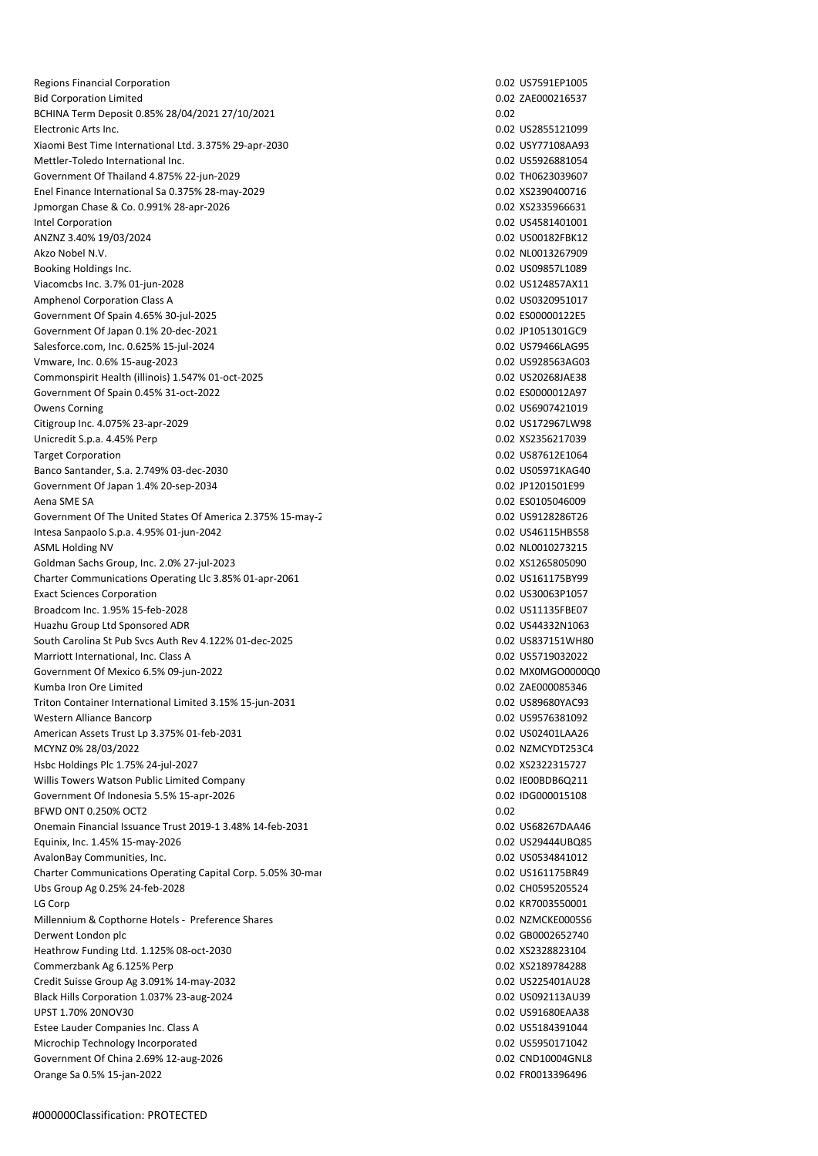Regions Financial Corporation **1.2.1 Contracts** 2.02 UST591EP1005 Bid Corporation Limited **0.02 ZAE000216537** BCHINA Term Deposit 0.85% 28/04/2021 27/10/2021 0.02 Electronic Arts Inc. 0.02 US2855121099 Xiaomi Best Time International Ltd. 3.375% 29-apr-2030 0.02 USY77108AA93 Mettler-Toledo International Inc. 6. 2012 0.02 US5926881054 Government Of Thailand 4.875% 22-jun-2029 0.02 TH0623039607 Enel Finance International Sa 0.375% 28-may-2029 0.02 XS2390400716 Jpmorgan Chase & Co. 0.991% 28-apr-2026 0.02 XS2335966631 Intel Corporation 0.02 US4581401001 ANZNZ 3.40% 19/03/2024 0.02 US00182FBK12 Akzo Nobel N.V. 0.02 NL0013267909 Booking Holdings Inc. **0.02 US09857L1089** 800king Holdings Inc. **0.02 US09857L1089** Viacomcbs Inc. 3.7% 01-jun-2028 0.02 US124857AX11 Amphenol Corporation Class A 0.02 US0320951017 Government Of Spain 4.65% 30-jul-2025 0.02 ES00000122E5 Government Of Japan 0.1% 20-dec-2021 0.02 JP1051301GC9 0.02 JP1051301GC9 Salesforce.com, Inc. 0.625% 15-jul-2024 0.02 US79466LAG95 Vmware, Inc. 0.6% 15-aug-2023 0.02 US928563AG03 Commonspirit Health (illinois) 1.547% 01-oct-2025 0.02 US20268JAE38 Government Of Spain 0.45% 31-oct-2022 0.02 ES0000012A97 Owens Corning 2002 US6907421019 Citigroup Inc. 4.075% 23-apr-2029 0.02 US172967LW98 Unicredit S.p.a. 4.45% Perp 2.02 XS2356217039 Target Corporation 0.02 US87612E1064 Banco Santander, S.a. 2.749% 03-dec-2030 0.02 US05971KAG40 Government Of Japan 1.4% 20-sep-2034 0.02 JP1201501E99 0.02 JP1201501E99 Aena SME SA 0.02 ES0105046009 Government Of The United States Of America 2.375% 15-may-2 0.02 0.02 US9128286T26 Intesa Sanpaolo S.p.a. 4.95% 01-jun-2042 0.02 US46115HBS58 ASML Holding NV 0.02 NL0010273215 Goldman Sachs Group, Inc. 2.0% 27-jul-2023 0.02 XS1265805090 0.02 XS1265805090 Charter Communications Operating Llc 3.85% 01-apr-2061 0.02 05161175BY99 0.02 US161175BY99 Exact Sciences Corporation 0.02 US30063P1057 Broadcom Inc. 1.95% 15-feb-2028 0.02 US11135FBE07 Huazhu Group Ltd Sponsored ADR 0.02 US44332N1063 South Carolina St Pub Svcs Auth Rev 4.122% 01-dec-2025 0.02 US837151WH80 Marriott International, Inc. Class A 0.02 US5719032022 Government Of Mexico 6.5% 09-jun-2022 0.02 MX0MGO0000Q0 Kumba Iron Ore Limited **1.2.2 September 2.02 ZAE000085346** Triton Container International Limited 3.15% 15-jun-2031 0.02 US89680YAC93 Western Alliance Bancorp 0.02 US9576381092 American Assets Trust Lp 3.375% 01-feb-2031 0.02 US02401LAA26 MCYNZ 0% 28/03/2022 0.02 NZMCYDT253C4 Hsbc Holdings Plc 1.75% 24-jul-2027 0.02 XS2322315727 Willis Towers Watson Public Limited Company 0.02 IE00BDB6Q211 Government Of Indonesia 5.5% 15-apr-2026 0.02 DG000015108 0.02 DG000015108 BFWD ONT 0.250% OCT2 0.02 Onemain Financial Issuance Trust 2019-1 3.48% 14-feb-2031 0.02 US68267DAA46 Equinix, Inc. 1.45% 15-may-2026 0.02 US29444UBQ85 AvalonBay Communities, Inc. 6. 2008 1999 10:03 US0534841012 Charter Communications Operating Capital Corp. 5.05% 30-mar 2020 0.02 US161175BR49 Ubs Group Ag 0.25% 24-feb-2028 0.02 CH0595205524 LG Corp 0.02 KR7003550001 Millennium & Copthorne Hotels - Preference Shares 0.02 NZMCKE0005S6 Derwent London plc 0.02 GB0002652740 Heathrow Funding Ltd. 1.125% 08-oct-2030 0.02 XS2328823104 Commerzbank Ag 6.125% Perp 0.02 XS2189784288 Credit Suisse Group Ag 3.091% 14-may-2032 0.02 US225401AU28 Black Hills Corporation 1.037% 23-aug-2024 0.02 US092113AU39 UPST 1.70% 20NOV30 0.02 US91680EAA38 Estee Lauder Companies Inc. Class A 0.02 US5184391044 Microchip Technology Incorporated 0.02 US5950171042 Government Of China 2.69% 12-aug-2026 0.02 CND10004GNL8 Orange Sa 0.5% 15-jan-2022 0.02 FR0013396496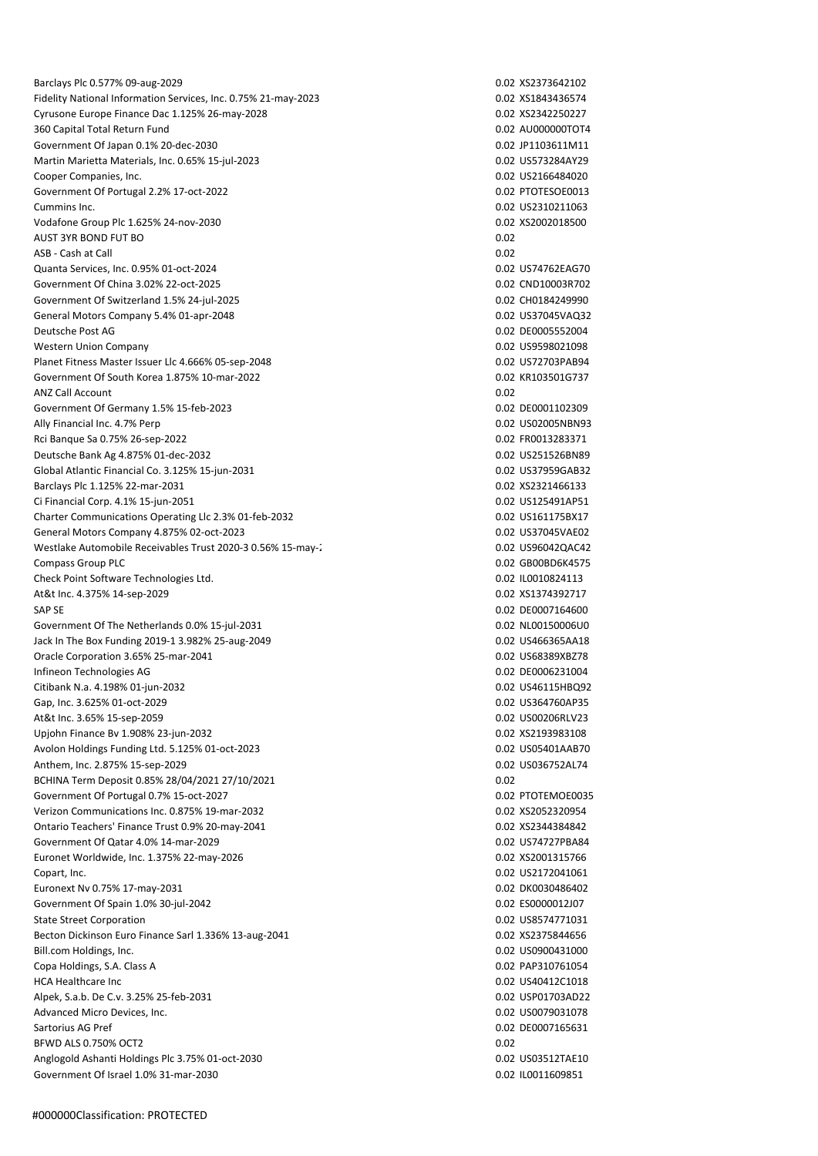Barclays Plc 0.577% 09-aug-2029 0.02 XS2373642102 Fidelity National Information Services, Inc. 0.75% 21-may-2023 0.02 0.02 XS1843436574 Cyrusone Europe Finance Dac 1.125% 26-may-2028 0.02 XS2342250227 360 Capital Total Return Fund 0.02 AU000000TOT4 Government Of Japan 0.1% 20-dec-2030 0.02 JP1103611M11 Martin Marietta Materials, Inc. 0.65% 15-jul-2023 0.02 US573284AY29 Cooper Companies, Inc. 0.02 US2166484020 Government Of Portugal 2.2% 17-oct-2022 0.02 PTOTESOE0013 Cummins Inc. 0.02 US2310211063 Vodafone Group Plc 1.625% 24-nov-2030 0.02 XS2002018500 AUST 3YR BOND FUT BO 6.02 ASB - Cash at Call 0.02 Quanta Services, Inc. 0.95% 01-oct-2024 0.02 US74762EAG70 Government Of China 3.02% 22-oct-2025 0.02 CND10003R702 Government Of Switzerland 1.5% 24-jul-2025 0.02 CH0184249990 General Motors Company 5.4% 01-apr-2048 0.02 US37045VAQ32 Deutsche Post AG 0.02 DE0005552004 Western Union Company **0.02 US9598021098** Planet Fitness Master Issuer Llc 4.666% 05-sep-2048 0.02 US72703PAB94 Government Of South Korea 1.875% 10-mar-2022 0.02 KR103501G737 0.02 KR103501G737 ANZ Call Account 0.02 Government Of Germany 1.5% 15-feb-2023 0.02 DE0001102309 Ally Financial Inc. 4.7% Perp 0.02 US02005NBN93 Rci Banque Sa 0.75% 26-sep-2022 0.02 FR0013283371 Deutsche Bank Ag 4.875% 01-dec-2032 0.02 US251526BN89 Global Atlantic Financial Co. 3.125% 15-jun-2031 0.02 US37959GAB32 Barclays Plc 1.125% 22-mar-2031 0.02 XS2321466133 Ci Financial Corp. 4.1% 15-jun-2051 0.02 US125491AP51 Charter Communications Operating Llc 2.3% 01-feb-2032 0.02 US161175BX17 General Motors Company 4.875% 02-oct-2023 0.02 US37045VAE02 Westlake Automobile Receivables Trust 2020-3 0.56% 15-may-2020 0.02 0.02 US96042QAC42 Compass Group PLC **Compass Group PLC** 0.02 GB00BD6K4575 Check Point Software Technologies Ltd. 0.02 IL0010824113 At&t Inc. 4.375% 14-sep-2029 0.02 XS1374392717 SAP SE 0.02 DE0007164600 Government Of The Netherlands 0.0% 15-jul-2031 0.02 NL00150006U0 Jack In The Box Funding 2019-1 3.982% 25-aug-2049 0.02 US466365AA18 Oracle Corporation 3.65% 25-mar-2041 0.02 US68389XBZ78 Infineon Technologies AG 0.02 DE0006231004 Citibank N.a. 4.198% 01-jun-2032 0.02 US46115HBQ92 Gap, Inc. 3.625% 01-oct-2029 0.02 US364760AP35 At&t Inc. 3.65% 15-sep-2059 0.02 US00206RLV23 Upjohn Finance Bv 1.908% 23-jun-2032 0.02 XS2193983108 Avolon Holdings Funding Ltd. 5.125% 01-oct-2023 0.02 US05401AAB70 Anthem, Inc. 2.875% 15-sep-2029 0.02 US036752AL74 BCHINA Term Deposit 0.85% 28/04/2021 27/10/2021 0.02 Government Of Portugal 0.7% 15-oct-2027 0.02 PTOTEMOE0035 Verizon Communications Inc. 0.875% 19-mar-2032 0.02 XS2052320954 Ontario Teachers' Finance Trust 0.9% 20-may-2041 0.02 XS2344384842 Government Of Qatar 4.0% 14-mar-2029 0.02 US74727PBA84 Euronet Worldwide, Inc. 1.375% 22-may-2026 0.02 XS2001315766 Copart, Inc. 0.02 US2172041061 Euronext Nv 0.75% 17-may-2031 0.02 DK0030486402 Government Of Spain 1.0% 30-jul-2042 0.02 ES0000012J07 State Street Corporation **6.02 US8574771031 0.02 US8574771031** Becton Dickinson Euro Finance Sarl 1.336% 13-aug-2041 0.02 XS2375844656 Bill.com Holdings, Inc. 2008. The community of the community of the community of the community of the community of the community of the community of the community of the community of the community of the community of the c Copa Holdings, S.A. Class A 0.02 PAP310761054 HCA Healthcare Inc 0.02 US40412C1018 Alpek, S.a.b. De C.v. 3.25% 25-feb-2031 0.02 USP01703AD22 Advanced Micro Devices, Inc. 0.02 US0079031078 Sartorius AG Pref 0.02 DE0007165631 BFWD ALS 0.750% OCT2 0.02 Anglogold Ashanti Holdings Plc 3.75% 01-oct-2030 0.02 US03512TAE10 Government Of Israel 1.0% 31-mar-2030 0.02 IL0011609851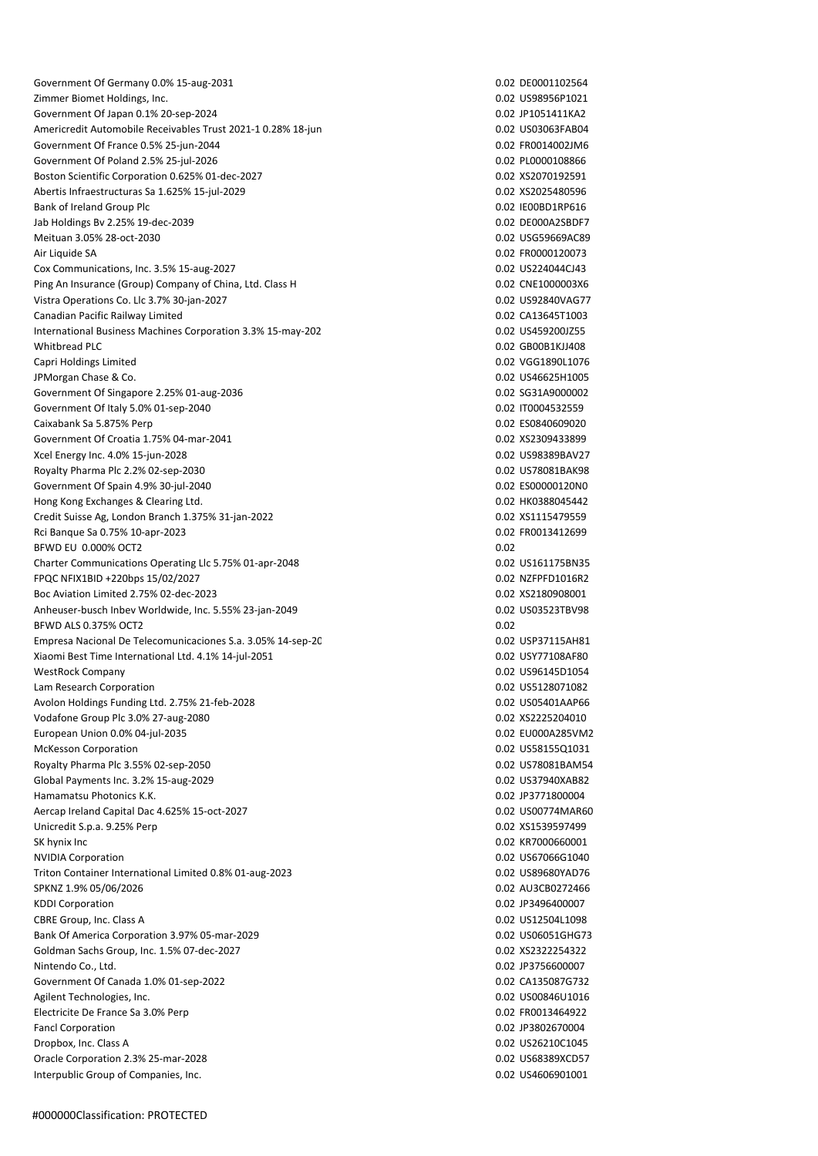Government Of Germany 0.0% 15-aug-2031 0.02 0.02 DE0001102564 Zimmer Biomet Holdings, Inc. 0.02 US98956P1021 Government Of Japan 0.1% 20-sep-2024 0.02 JP1051411KA2 Americredit Automobile Receivables Trust 2021-1 0.28% 18-jun<br>1991 1892 1892 1893063FAB04 Government Of France 0.5% 25-jun-2044 0.02 FR0014002JM6 Government Of Poland 2.5% 25-jul-2026 0.02 PL0000108866 Boston Scientific Corporation 0.625% 01-dec-2027 0.02 XS2070192591 Abertis Infraestructuras Sa 1.625% 15-jul-2029 0.02 XS2025480596 Bank of Ireland Group Plc 0.02 IE00BD1RP616 Jab Holdings Bv 2.25% 19-dec-2039 0.02 DE000A2SBDF7 Meituan 3.05% 28-oct-2030 0.02 USG59669AC89 Air Liquide SA 0.02 FR0000120073 Cox Communications, Inc. 3.5% 15-aug-2027 0.02 US224044CJ43 Ping An Insurance (Group) Company of China, Ltd. Class H 0.02 CNE1000003X6 Vistra Operations Co. Llc 3.7% 30-jan-2027 0.02 US92840VAG77 Canadian Pacific Railway Limited 0.02 CA13645T1003 International Business Machines Corporation 3.3% 15-may-202<br>
0.02 US459200JZ55 Whitbread PLC 0.02 GB00B1KJJ408 Capri Holdings Limited 0.02 VGG1890L1076 JPMorgan Chase & Co. 0.02 US46625H1005 Government Of Singapore 2.25% 01-aug-2036 0.02 SG31A9000002 Government Of Italy 5.0% 01-sep-2040 0.02 IT0004532559 0.02 IT0004532559 Caixabank Sa 5.875% Perp 0.02 ES0840609020 Government Of Croatia 1.75% 04-mar-2041 0.02 XS2309433899 0.02 XS2309433899 Xcel Energy Inc. 4.0% 15-jun-2028 0.02 US98389BAV27 Royalty Pharma Plc 2.2% 02-sep-2030 0.02 US78081BAK98 Government Of Spain 4.9% 30-jul-2040 0.02 ES00000120N0 Hong Kong Exchanges & Clearing Ltd. 0.02 HK0388045442 Credit Suisse Ag, London Branch 1.375% 31-jan-2022 0.02 XS1115479559 Rci Banque Sa 0.75% 10-apr-2023 0.02 FR0013412699 BFWD EU 0.000% OCT2 0.02 Charter Communications Operating Llc 5.75% 01-apr-2048 0.02 US161175BN35 FPQC NFIX1BID +220bps 15/02/2027 0.02 NZFPFD1016R2 Boc Aviation Limited 2.75% 02-dec-2023 0.02 XS2180908001 Anheuser-busch Inbev Worldwide, Inc. 5.55% 23-jan-2049 0.02 US03523TBV98 BFWD ALS 0.375% OCT2 0.02 Empresa Nacional De Telecomunicaciones S.a. 3.05% 14-sep-2032 0.02 USP37115AH81 Xiaomi Best Time International Ltd. 4.1% 14-jul-2051 0.02 USY77108AF80 WestRock Company 0.02 US96145D1054 Lam Research Corporation 0.02 US5128071082 Avolon Holdings Funding Ltd. 2.75% 21-feb-2028 0.02 US05401AAP66 Vodafone Group Plc 3.0% 27-aug-2080 0.02 XS2225204010 European Union 0.0% 04-jul-2035 0.02 EU000A285VM2 McKesson Corporation 0.02 US58155Q1031 Royalty Pharma Plc 3.55% 02-sep-2050 0.02 US78081BAM54 Global Payments Inc. 3.2% 15-aug-2029 0.02 US37940XAB82 Hamamatsu Photonics K.K. 6.02 JP3771800004 Aercap Ireland Capital Dac 4.625% 15-oct-2027 0.02 US00774MAR60 Unicredit S.p.a. 9.25% Perp 2.02 XS1539597499 SK hynix Inc 0.02 KR7000660001 2012 12:00 12:00 12:00 12:00 12:00 12:00 12:00 12:00 12:00 12:00 12:00 12:00 12:00 12:00 12:00 12:00 12:00 12:00 12:00 12:00 12:00 12:00 12:00 12:00 12:00 12:00 12:00 12:00 12:00 12:00 12:00 NVIDIA Corporation 0.02 US67066G1040 Triton Container International Limited 0.8% 01-aug-2023 0.02 US89680YAD76 SPKNZ 1.9% 05/06/2026 0.02 AU3CB0272466 KDDI Corporation **6.02 JP3496400007 6.02 JP3496400007** CBRE Group, Inc. Class A 0.02 US12504L1098 Bank Of America Corporation 3.97% 05-mar-2029 0.02 US06051GHG73 Goldman Sachs Group, Inc. 1.5% 07-dec-2027 0.02 XS232254322 Nintendo Co., Ltd. 0.02 JP3756600007 Government Of Canada 1.0% 01-sep-2022 0.02 CA135087G732 Agilent Technologies, Inc. 6.02 US00846U1016 Electricite De France Sa 3.0% Perp 0.02 FR0013464922 Fancl Corporation 0.02 JP3802670004 Dropbox, Inc. Class A 0.02 US26210C1045 Oracle Corporation 2.3% 25-mar-2028 0.02 US68389XCD57 Interpublic Group of Companies, Inc. 0.02 US4606901001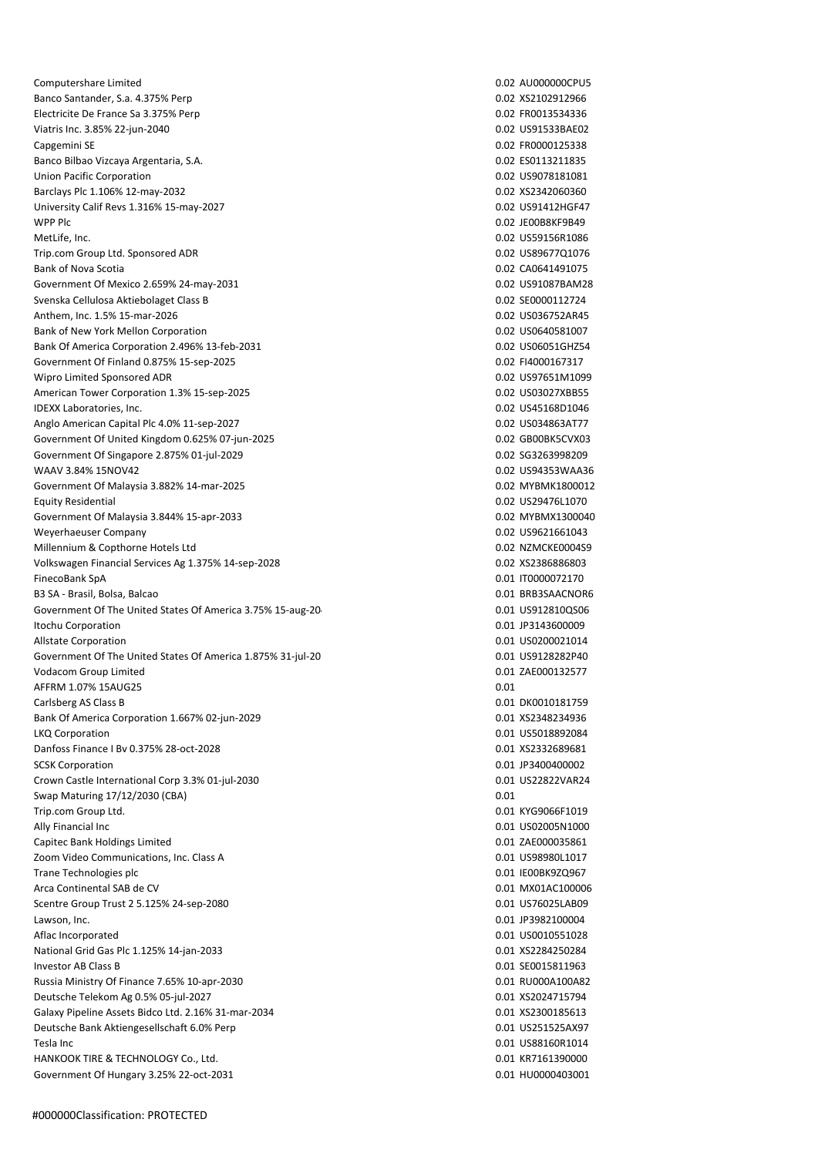Computershare Limited 0.02 AU000000CPU5 Banco Santander, S.a. 4.375% Perp 0.02 XS2102912966 Electricite De France Sa 3.375% Perp 0.02 FR0013534336 Viatris Inc. 3.85% 22-jun-2040 0.02 US91533BAE02 Capgemini SE 0.02 FR0000125338 Banco Bilbao Vizcaya Argentaria, S.A. 0.02 ES0113211835 Union Pacific Corporation 0.02 US9078181081 Barclays Plc 1.106% 12-may-2032 0.02 XS2342060360 University Calif Revs 1.316% 15-may-2027 0.02 US91412HGF47 WPP Plc 3.02 JE00B8KF9B49 UNDER THE UNIVERSITY OF A SERIES OF A SERIES OF A SERIES OF A SERIES OF A SERIES OF A SERIES OF A SERIES OF A SERIES OF A SERIES OF A SERIES OF A SERIES OF A SERIES OF A SERIES OF A SERIES OF A SE MetLife, Inc. 2002 US59156R1086 Trip.com Group Ltd. Sponsored ADR 0.02 US89677Q1076 Bank of Nova Scotia 0.02 CA0641491075 Government Of Mexico 2.659% 24-may-2031 0.02 US91087BAM28 Svenska Cellulosa Aktiebolaget Class B 0.02 SE0000112724 Anthem, Inc. 1.5% 15-mar-2026 0.02 US036752AR45 Bank of New York Mellon Corporation 0.02 US0640581007 Bank Of America Corporation 2.496% 13-feb-2031 0.02 US06051GHZ54 Government Of Finland 0.875% 15-sep-2025 0.02 FI4000167317 Wipro Limited Sponsored ADR 0.02 US97651M1099 American Tower Corporation 1.3% 15-sep-2025 0.02 US03027XBB55 IDEXX Laboratories, Inc. 0.02 US45168D1046 Anglo American Capital Plc 4.0% 11-sep-2027 0.02 0.02 0.02 US034863AT77 Government Of United Kingdom 0.625% 07-jun-2025 0.02 GD00BK5CVX03 Government Of Singapore 2.875% 01-jul-2029 0.02 SG3263998209 0.02 SG3263998209 WAAV 3.84% 15NOV42 0.02 US94353WAA36 Government Of Malaysia 3.882% 14-mar-2025 0.02 MYBMK1800012 Equity Residential 0.02 US29476L1070 Government Of Malaysia 3.844% 15-apr-2033 0.02 MYBMX1300040 Weyerhaeuser Company 0.02 US9621661043 Millennium & Copthorne Hotels Ltd 0.02 NZMCKE0004S9 Volkswagen Financial Services Ag 1.375% 14-sep-2028 0.02 XS2386886803 FinecoBank SpA 0.01 IT0000072170 B3 SA - Brasil, Bolsa, Balcao 0.01 BRB3SAACNOR6 Government Of The United States Of America 3.75% 15-aug-2041 0.01 US912810QS06 Itochu Corporation 0.01 JP3143600009 Allstate Corporation 0.01 US0200021014 Government Of The United States Of America 1.875% 31-jul-20. Company of the United States Of America 1.875% 31-jul-20. Vodacom Group Limited 0.01 ZAE000132577 AFFRM 1.07% 15AUG25 0.01 Carlsberg AS Class B 0.01 DK0010181759 Bank Of America Corporation 1.667% 02-jun-2029 0.01 XS2348234936 LKQ Corporation 0.01 US5018892084 Danfoss Finance I Bv 0.375% 28-oct-2028 0.01 XS2332689681 SCSK Corporation 6.01 JP3400400002 Crown Castle International Corp 3.3% 01-jul-2030 0.01 US22822VAR24 Swap Maturing 17/12/2030 (CBA) 0.01 Trip.com Group Ltd. 0.01 KYG9066F1019 Ally Financial Inc 0.01 US02005N1000 Network and the US02005N1000 Network and the US02005N1000 Network and the US02005N1000 Network and the US02005N1000 Network and the US02005N1000 Network and the US02005N1000 Network and Capitec Bank Holdings Limited **Capitec Bank Holdings Limited Capitec Bank Holdings Limited 0.01 ZAE000035861** Zoom Video Communications, Inc. Class A 0.01 US98980L1017 Trane Technologies plc 0.01 IE00BK9ZQ967 Arca Continental SAB de CV 0.01 MX01AC100006 Scentre Group Trust 2 5.125% 24-sep-2080 0.01 US76025LAB09 Lawson, Inc. 0.01 JP3982100004 Aflac Incorporated 0.01 US0010551028 National Grid Gas Plc 1.125% 14-jan-2033 0.01 XS2284250284 Investor AB Class B 0.01 SE0015811963 Russia Ministry Of Finance 7.65% 10-apr-2030 0.01 RU000A100A82 Deutsche Telekom Ag 0.5% 05-jul-2027 0.01 XS2024715794 Galaxy Pipeline Assets Bidco Ltd. 2.16% 31-mar-2034 0.01 XS2300185613 Deutsche Bank Aktiengesellschaft 6.0% Perp 0.01 US251525AX97 Tesla Inc 0.01 US88160R1014 HANKOOK TIRE & TECHNOLOGY Co., Ltd. 0.01 KR7161390000 CO1 KR7161390000 Government Of Hungary 3.25% 22-oct-2031 0.01 HU0000403001 0.01 HU0000403001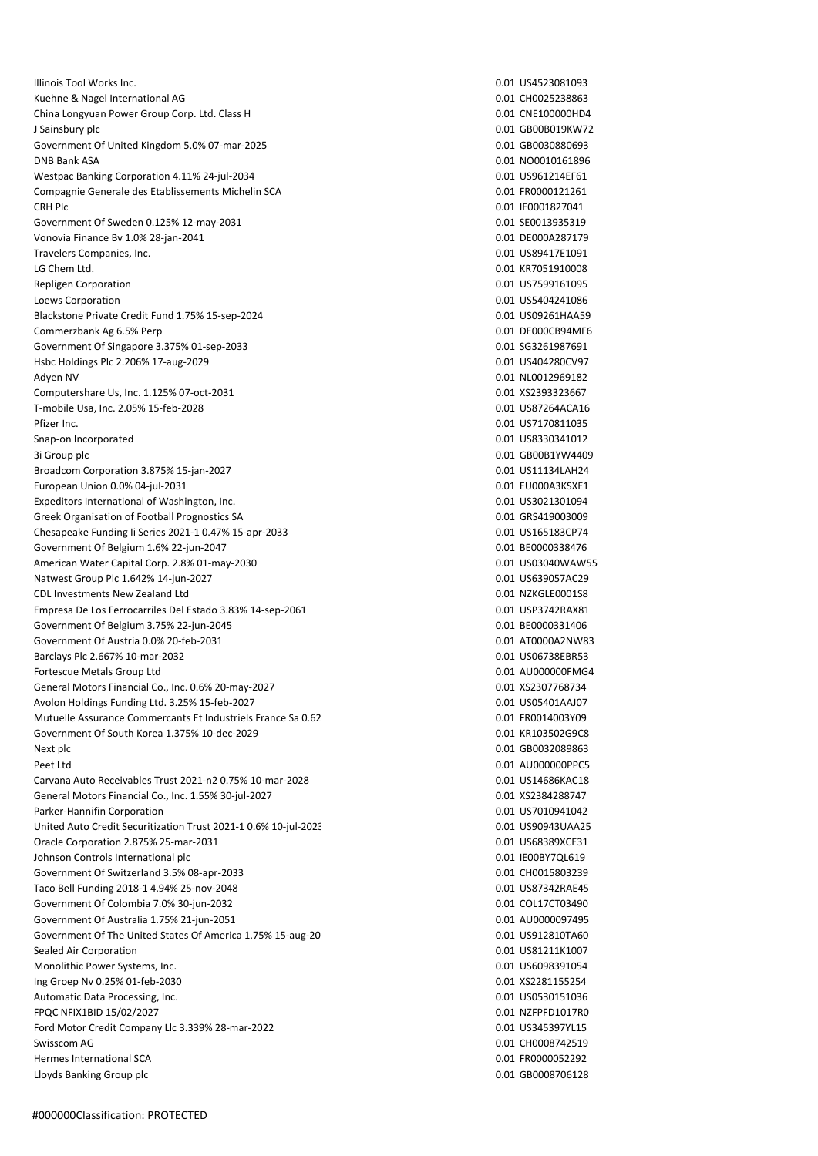Illinois Tool Works Inc. 0.01 US4523081093 Kuehne & Nagel International AG 0.01 CH0025238863 China Longyuan Power Group Corp. Ltd. Class H 0.01 CNE100000HD4 J Sainsbury plc 0.01 GB00B019KW72 Government Of United Kingdom 5.0% 07-mar-2025 0.01 GB0030880693 0.01 GB0030880693 DNB Bank ASA 0.01 NO0010161896 Westpac Banking Corporation 4.11% 24-jul-2034 0.01 US961214EF61 Compagnie Generale des Etablissements Michelin SCA 0.01 FR0000121261 CRH Plc 0.01 IE0001827041 Government Of Sweden 0.125% 12-may-2031 0.01 SE0013935319 0.01 SE0013935319 Vonovia Finance Bv 1.0% 28-jan-2041 0.01 DE000A287179 Travelers Companies, Inc. **0.01 US89417E1091 COMPANIES** LG Chem Ltd. 0.01 KR7051910008 Repligen Corporation **0.01 US7599161095 1.02 PM 1.02 PM 1.02 PM 1.02 PM 1.02 PM 1.02 PM 1.02 PM 1.03 PM 1.03 PM 1.03 PM 1.03 PM 1.03 PM 1.03 PM 1.03 PM 1.03 PM 1.03 PM 1.03 PM 1.03 PM** Loews Corporation 0.01 US5404241086 Blackstone Private Credit Fund 1.75% 15-sep-2024 0.01 US09261HAA59 Commerzbank Ag 6.5% Perp 0.01 DE000CB94MF6 Government Of Singapore 3.375% 01-sep-2033 0.01 SG3261987691 Hsbc Holdings Plc 2.206% 17-aug-2029 0.01 US404280CV97 Adven NV 0.01 NL0012969182 Computershare Us, Inc. 1.125% 07-oct-2031 0.01 XS2393323667 T-mobile Usa, Inc. 2.05% 15-feb-2028 0.01 US87264ACA16 Pfizer Inc. 2001 US7170811035 Snap-on Incorporated 0.01 US8330341012 3i Group plc 0.01 GB00B1YW4409 Broadcom Corporation 3.875% 15-jan-2027 0.01 US11134LAH24 European Union 0.0% 04-jul-2031 0.01 EU000A3KSXE1 Expeditors International of Washington, Inc. 0.01 US3021301094 Greek Organisation of Football Prognostics SA 0.01 GRS419003009 Chesapeake Funding Ii Series 2021-1 0.47% 15-apr-2033 0.01 US165183CP74 Government Of Belgium 1.6% 22-jun-2047 0.01 BE0000338476 American Water Capital Corp. 2.8% 01-may-2030 0.01 US03040WAW55 Natwest Group Plc 1.642% 14-jun-2027 0.01 US639057AC29 CDL Investments New Zealand Ltd 0.01 NZKGLE0001S8 Empresa De Los Ferrocarriles Del Estado 3.83% 14-sep-2061 0.01 USP3742RAX81 Government Of Belgium 3.75% 22-jun-2045 0.01 BE0000331406 Government Of Austria 0.0% 20-feb-2031 0.01 AT0000A2NW83 Barclays Plc 2.667% 10-mar-2032 0.01 US06738EBR53 Fortescue Metals Group Ltd 0.01 AU000000FMG4 General Motors Financial Co., Inc. 0.6% 20-may-2027 0.01 XS2307768734 Avolon Holdings Funding Ltd. 3.25% 15-feb-2027 0.01 US05401AAJ07 Mutuelle Assurance Commercants Et Industriels France Sa 0.625 21-jun-2020 2021 21-jun-2020 2020 21-jun-2020 0.01 FR0014003Y09 Government Of South Korea 1.375% 10-dec-2029 0.01 KR103502G9C8 Next plc 0.01 GB0032089863 Peet Ltd 0.01 AU00000PPC5 Carvana Auto Receivables Trust 2021-n2 0.75% 10-mar-2028 0.01 US14686KAC18 General Motors Financial Co., Inc. 1.55% 30-jul-2027 0.01 XS2384288747 Parker-Hannifin Corporation 0.01 US7010941042 United Auto Credit Securitization Trust 2021-1 0.6% 10-jul-2023 0.01 US90943UAA25 Oracle Corporation 2.875% 25-mar-2031 0.01 US68389XCE31 Johnson Controls International plc 0.01 IE00BY7QL619 Government Of Switzerland 3.5% 08-apr-2033 0.01 CH0015803239 Taco Bell Funding 2018-1 4.94% 25-nov-2048 0.01 0.01 0.01 US87342RAE45 Government Of Colombia 7.0% 30-jun-2032 0.01 COL17CT03490 Government Of Australia 1.75% 21-jun-2051 0.01 AU0000097495 Government Of The United States Of America 1.75% 15-aug-2041 0.01 America 0.01 US912810TA60 Sealed Air Corporation 0.01 US81211K1007 Monolithic Power Systems, Inc. 6.02. 2012 0.01 US6098391054 Ing Groep Nv 0.25% 01-feb-2030 0.01 XS2281155254 Automatic Data Processing, Inc. 0.01 US0530151036 FPQC NFIX1BID 15/02/2027 0.01 NZFPFD1017R0 Ford Motor Credit Company Llc 3.339% 28-mar-2022 0.01 US345397YL15 Swisscom AG 0.01 CH0008742519 Hermes International SCA 0.01 FR0000052292 Lloyds Banking Group plc 0.01 GB0008706128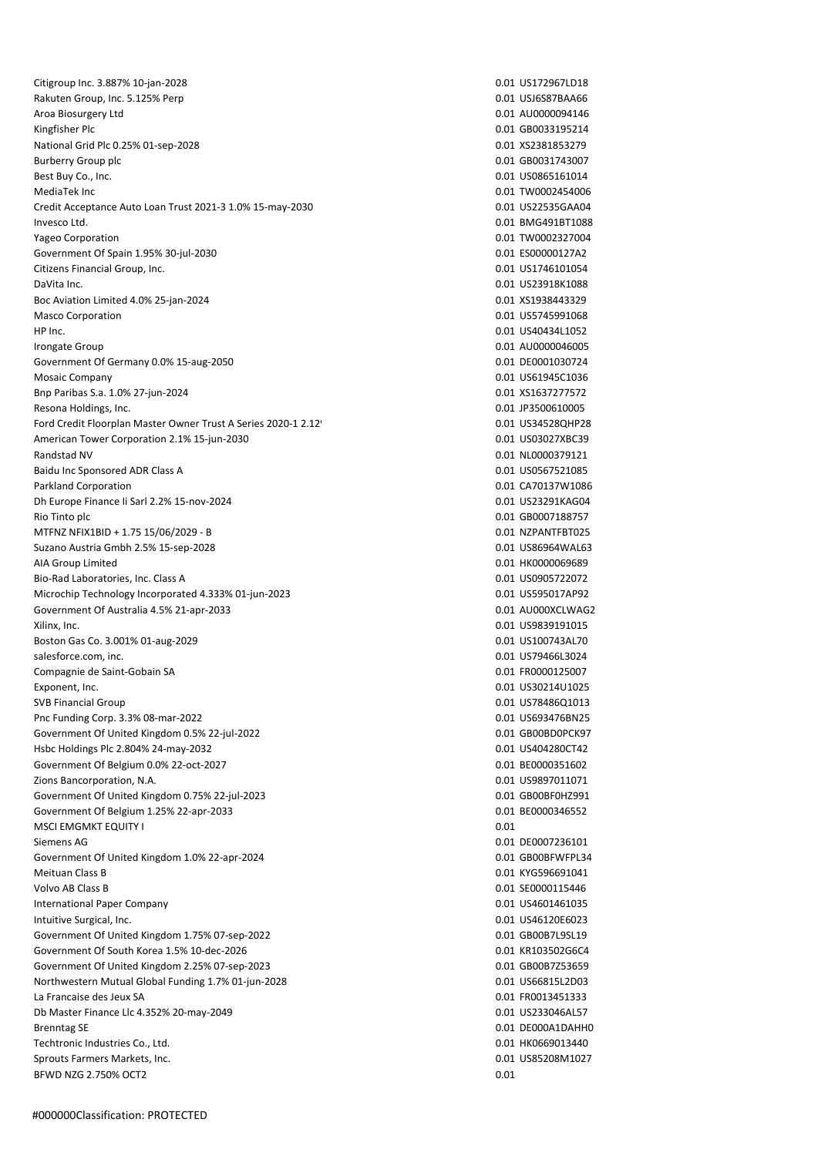Citigroup Inc. 3.887% 10-jan-2028 0.01 US172967LD18 Rakuten Group, Inc. 5.125% Perp 0.01 USJ6S87BAA66 Aroa Biosurgery Ltd **2.01 AU0000094146** 2.01 AU0000094146 Kingfisher Plc 0.01 GB0033195214 National Grid Plc 0.25% 01-sep-2028 0.01 XS2381853279 Burberry Group plc **burberry Group plc** 0.01 GB0031743007 Best Buy Co., Inc. 200865161014 and 200865161014 and 200865161014 and 200865161014 MediaTek Inc 0.01 TW0002454006 Credit Acceptance Auto Loan Trust 2021-3 1.0% 15-may-2030 0.01 US22535GAA04 Invesco Ltd. 0.01 BMG491BT1088 Yageo Corporation 0.01 TW0002327004 Government Of Spain 1.95% 30-jul-2030 0.01 ES00000127A2 Citizens Financial Group, Inc. **0.01 US1746101054** 0.01 US1746101054 DaVita Inc. 0.01 US23918K1088 Boc Aviation Limited 4.0% 25-jan-2024 0.01 XS1938443329 Masco Corporation 2002 105745991068 1000 105745991068 HP Inc. 0.01 US40434L1052 Irongate Group 0.01 AU0000046005 Government Of Germany 0.0% 15-aug-2050 0.01 DE0001030724 Mosaic Company 0.01 US61945C1036 Bnp Paribas S.a. 1.0% 27-jun-2024 0.01 XS1637277572 Resona Holdings, Inc. 2002 2003 2004 2012 2012 2013 2014 2014 2015 2016 2017 2018 2019 2014 2015 2016 2017 201 Ford Credit Floorplan Master Owner Trust A Series 2020-1 2.12 15-sep-2025 15-sep-2025 0.01 US34528QHP28 American Tower Corporation 2.1% 15-jun-2030 0.01 0.01 0.01 US03027XBC39 Randstad NV 0.01 NL0000379121 Baidu Inc Sponsored ADR Class A 0.01 US0567521085 Parkland Corporation **0.01 CA70137W1086 0.01 CA70137W1086** Dh Europe Finance Ii Sarl 2.2% 15-nov-2024 0.01 US23291KAG04 Rio Tinto plc 0.01 GB0007188757 MTFNZ NFIX1BID + 1.75 15/06/2029 - B 0.01 NZPANTFBT025 Suzano Austria Gmbh 2.5% 15-sep-2028 0.01 US86964WAL63 AIA Group Limited 0.01 HK0000069689 Bio-Rad Laboratories, Inc. Class A 0.01 US0905722072 Microchip Technology Incorporated 4.333% 01-jun-2023 0.01 0.01 0.01 0.01 0.0595017AP92 Government Of Australia 4.5% 21-apr-2033 0.01 AU000XCLWAG2 Xilinx, Inc. 0.01 US9839191015 Boston Gas Co. 3.001% 01-aug-2029 0.01 US100743AL70 salesforce.com, inc. 0.01 US79466L3024 Compagnie de Saint-Gobain SA 0.01 FR0000125007 Exponent, Inc. 0.01 US30214U1025 SVB Financial Group 0.01 US78486Q1013 Pnc Funding Corp. 3.3% 08-mar-2022 0.01 US693476BN25 Government Of United Kingdom 0.5% 22-jul-2022 0.01 GB00BD0PCK97 Hsbc Holdings Plc 2.804% 24-may-2032 0.01 US404280CT42 Government Of Belgium 0.0% 22-oct-2027 0.01 BE0000351602 Zions Bancorporation, N.A. 0.01 US9897011071 Government Of United Kingdom 0.75% 22-jul-2023 0.01 GD00BF0HZ991 Government Of Belgium 1.25% 22-apr-2033 0.01 BE0000346552 MSCI EMGMKT EQUITY I **0.01** 0.01 Siemens AG 0.01 DE0007236101 Government Of United Kingdom 1.0% 22-apr-2024 0.01 GD00BFWFPL34 Meituan Class B 0.01 KYG596691041 Volvo AB Class B 0.01 SE0000115446 International Paper Company 0.01 US4601461035 Intuitive Surgical, Inc. 0.01 US46120E6023 Government Of United Kingdom 1.75% 07-sep-2022 0.01 GB00B7L9SL19 Government Of South Korea 1.5% 10-dec-2026 0.01 KR103502G6C4 Government Of United Kingdom 2.25% 07-sep-2023 0.01 GB00B7Z53659 0.01 GB00B7Z53659 Northwestern Mutual Global Funding 1.7% 01-jun-2028 0.01 0566815L2D03 La Francaise des Jeux SA 0.01 FR0013451333 Db Master Finance Llc 4.352% 20-may-2049 0.01 US233046AL57 Brenntag SE 0.01 DE000A1DAHH0 Techtronic Industries Co., Ltd. 0.01 HK0669013440 Sprouts Farmers Markets, Inc. 0.01 US85208M1027 BFWD NZG 2.750% OCT2 0.01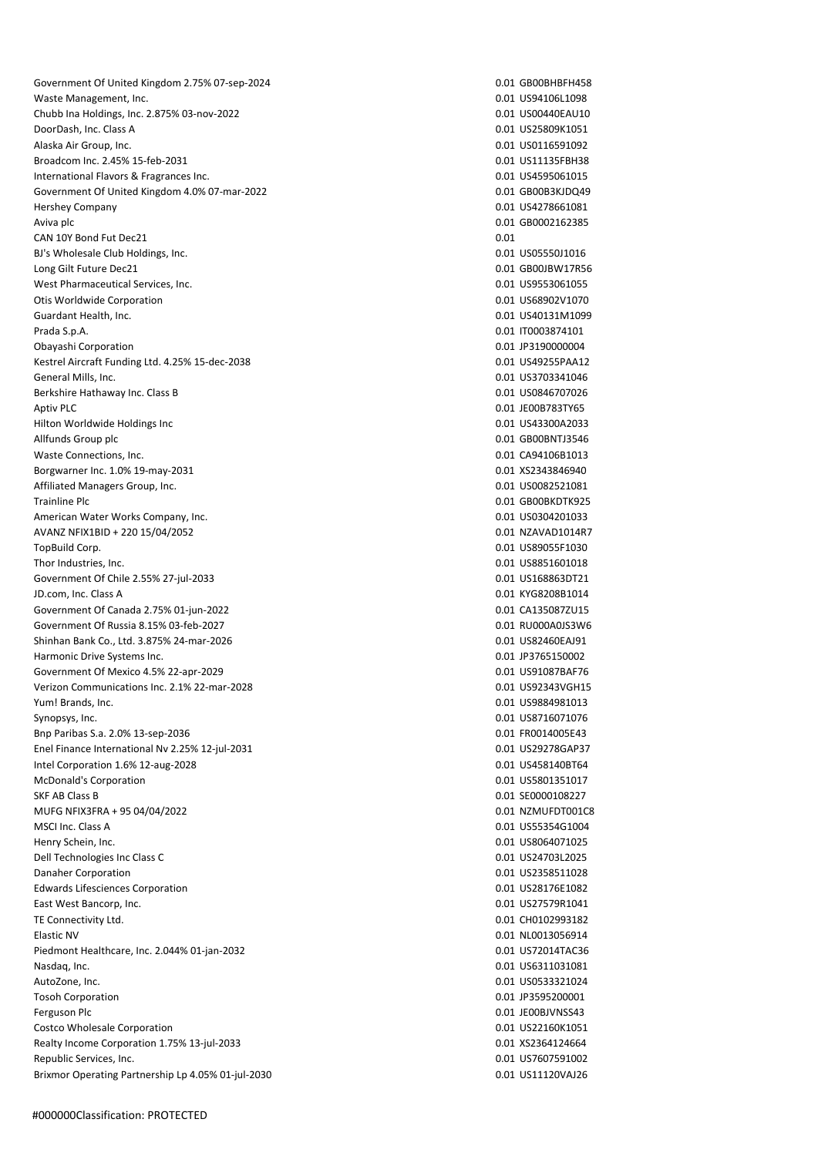Government Of United Kingdom 2.75% 07-sep-2024 0.01 GB00BHBFH458 Waste Management, Inc. **0.01 US94106L1098** Chubb Ina Holdings, Inc. 2.875% 03-nov-2022 0.01 US00440EAU10 DoorDash, Inc. Class A 0.01 US25809K1051 Alaska Air Group, Inc. 0.01 US0116591092 Broadcom Inc. 2.45% 15-feb-2031 0.01 US11135FBH38 International Flavors & Fragrances Inc. 0.01 US4595061015 Government Of United Kingdom 4.0% 07-mar-2022 0.01 GB00B3KJDQ49 Hershey Company 0.01 US4278661081 Aviva plc 0.01 GB0002162385 CAN 10Y Bond Fut Dec21 0.01 BJ's Wholesale Club Holdings, Inc. 6.001 US05550J1016 Long Gilt Future Dec21 0.01 GB00JBW17R56 West Pharmaceutical Services, Inc. 0.01 US9553061055 Otis Worldwide Corporation 0.01 US68902V1070 Guardant Health, Inc. 6. 2012 11:30:00 0.01 US40131M1099 0.01 US40131M1099 Prada S.p.A. 0.01 IT0003874101 Obayashi Corporation 0.01 JP3190000004 Kestrel Aircraft Funding Ltd. 4.25% 15-dec-2038 0.01 US49255PAA12 General Mills, Inc. 0.01 US3703341046 Berkshire Hathaway Inc. Class B 0.01 US0846707026 Aptiv PLC 6.01 JE00B783TY65 Hilton Worldwide Holdings Inc 0.01 US43300A2033 Allfunds Group plc **Allfunds Group plc** 0.01 GB00BNTJ3546 Waste Connections, Inc. 2002 2012 2020 2020 2020 2020 2031 2040 2040 2052 2053 2069 2072 2080 2091 2012 2020 20 Borgwarner Inc. 1.0% 19-may-2031 0.01 XS2343846940 Affiliated Managers Group, Inc. 2008 2521081 Trainline Plc 0.01 GB00BKDTK925 American Water Works Company, Inc. 0.01 US0304201033 AVANZ NFIX1BID + 220 15/04/2052 0.01 NZAVAD1014R7 TopBuild Corp. 0.01 US89055F1030 Thor Industries, Inc. 2001 US8851601018 Government Of Chile 2.55% 27-jul-2033 0.01 US168863DT21 JD.com, Inc. Class A 0.01 KYG8208B1014 Government Of Canada 2.75% 01-jun-2022 0.01 CA135087ZU15 Government Of Russia 8.15% 03-feb-2027 0.01 RU000A0JS3W6 Shinhan Bank Co., Ltd. 3.875% 24-mar-2026 0.01 US82460EAJ91 Harmonic Drive Systems Inc. 0.01 JP3765150002 Government Of Mexico 4.5% 22-apr-2029 0.01 US91087BAF76 Verizon Communications Inc. 2.1% 22-mar-2028 0.01 US92343VGH15 Yum! Brands, Inc. 0.01 US9884981013 Synopsys, Inc. 0.01 US8716071076 Bnp Paribas S.a. 2.0% 13-sep-2036 0.01 FR0014005E43 Enel Finance International Nv 2.25% 12-jul-2031 0.01 0.01 US29278GAP37 Intel Corporation 1.6% 12-aug-2028 0.01 US458140BT64 McDonald's Corporation 0.01 US5801351017 SKF AB Class B 0.01 SE0000108227 MUFG NFIX3FRA + 95 04/04/2022 0.01 NZMUFDT001C8 MSCI Inc. Class A 0.01 US55354G1004 Henry Schein, Inc. 2001 US8064071025 Dell Technologies Inc Class C 0.01 US24703L2025 Danaher Corporation 0.01 US2358511028 Edwards Lifesciences Corporation 0.01 US28176E1082 East West Bancorp, Inc. 0.01 US27579R1041 TE Connectivity Ltd. 2001 CH0102993182 Elastic NV 0.01 NL0013056914 Piedmont Healthcare, Inc. 2.044% 01-jan-2032 0.01 US72014TAC36 Nasdaq, Inc. 0.01 US6311031081 AutoZone, Inc. 0.01 US0533321024 Tosoh Corporation 0.01 JP3595200001 Ferguson Plc 0.01 JE00BJVNSS43 Costco Wholesale Corporation 0.01 US22160K1051 Realty Income Corporation 1.75% 13-jul-2033 0.01 XS2364124664 Republic Services, Inc. 6.021 US7607591002 Brixmor Operating Partnership Lp 4.05% 01-jul-2030 0.01 US11120VAJ26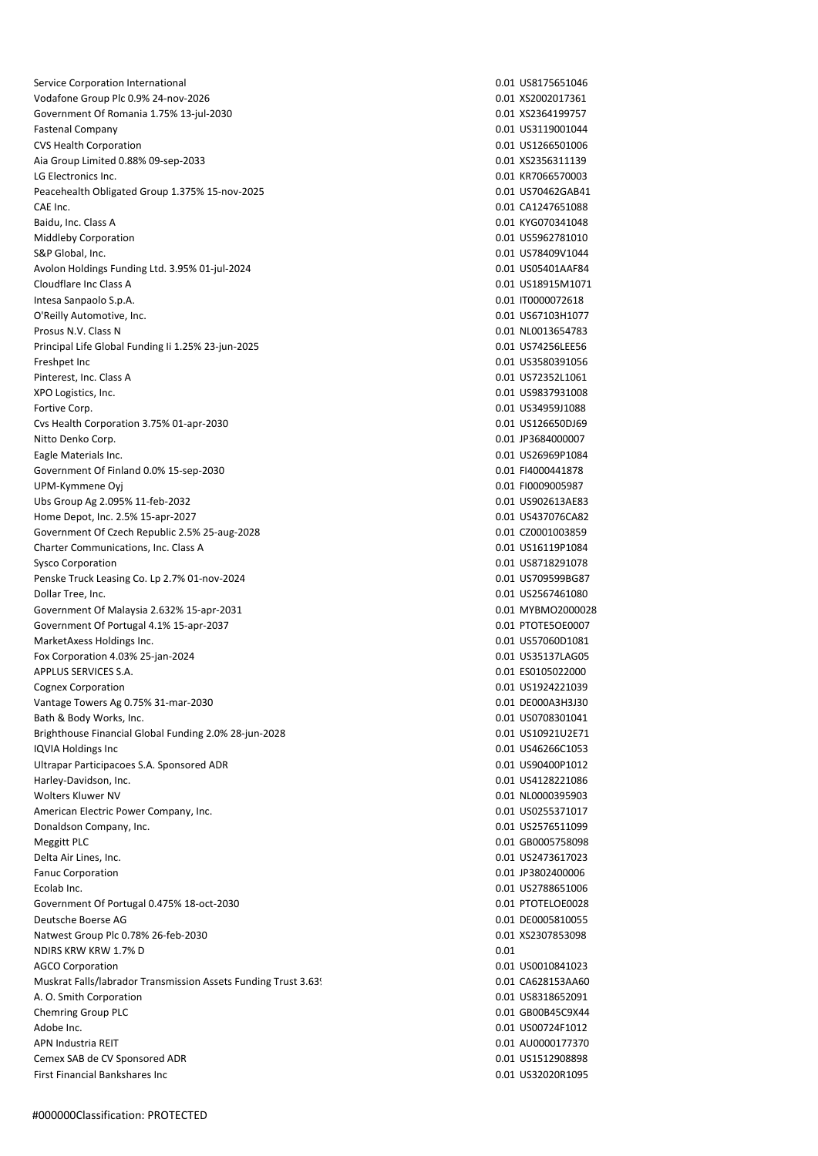Service Corporation International 0.01 US8175651046 Vodafone Group Plc 0.9% 24-nov-2026 0.01 XS2002017361 Government Of Romania 1.75% 13-jul-2030 0.01 XS2364199757 Fastenal Company 0.01 US3119001044 CVS Health Corporation 0.01 US1266501006 Aia Group Limited 0.88% 09-sep-2033 0.01 XS2356311139 LG Electronics Inc. 0.01 KR7066570003 Peacehealth Obligated Group 1.375% 15-nov-2025 0.01 US70462GAB41 CAE Inc. 6.01 CA1247651088 Baidu, Inc. Class A 0.01 KYG070341048 Middleby Corporation 0.01 US5962781010 S&P Global, Inc. 0.01 US78409V1044 Avolon Holdings Funding Ltd. 3.95% 01-jul-2024 0.01 0.01 0.01 0.01 0.01 0.055401AAF84 Cloudflare Inc Class A 0.01 US18915M1071 Intesa Sanpaolo S.p.A. 0.01 IT0000072618 O'Reilly Automotive, Inc. 0.01 US67103H1077 Prosus N.V. Class N 0.01 NL0013654783 Principal Life Global Funding Ii 1.25% 23-jun-2025 0.01 0574256LEE56 Freshpet Inc 0.01 US3580391056 Pinterest, Inc. Class A 0.01 US72352L1061 XPO Logistics, Inc. 6. 2012 12:33 12:34 12:35 12:35 12:35 12:35 12:35 12:35 12:35 12:35 12:35 12:35 12:35 12:35 12:35 12:35 12:35 12:35 12:35 12:35 12:35 12:35 12:35 12:35 12:35 12:35 12:35 12:35 12:35 12:35 12:35 12:35 12 Fortive Corp. 0.01 US34959J1088 Cvs Health Corporation 3.75% 01-apr-2030 0.01 US126650DJ69 Nitto Denko Corp. 0.01 JP3684000007 Eagle Materials Inc. 0.01 US26969P1084 Government Of Finland 0.0% 15-sep-2030 0.01 FI4000441878 UPM-Kymmene Oyj 0.01 FI0009005987 Ubs Group Ag 2.095% 11-feb-2032 0.01 US902613AE83 Home Depot, Inc. 2.5% 15-apr-2027 0.01 US437076CA82 Government Of Czech Republic 2.5% 25-aug-2028 0.01 CZ0001003859 Charter Communications, Inc. Class A 0.01 US16119P1084 Sysco Corporation 0.01 US8718291078 Penske Truck Leasing Co. Lp 2.7% 01-nov-2024 0.01 05709599BG87 0.01 05709599BG87 Dollar Tree, Inc. 0.01 US2567461080 Government Of Malaysia 2.632% 15-apr-2031 0.01 MYBMO2000028 Government Of Portugal 4.1% 15-apr-2037 **0.01 PTOTE5OE0007** 0.01 PTOTE5OE0007 MarketAxess Holdings Inc. **0.01 US57060D1081** 0.01 US57060D1081 Fox Corporation 4.03% 25-jan-2024 0.01 US35137LAG05 APPLUS SERVICES S.A. 0.01 ES0105022000 Cognex Corporation 0.01 US1924221039 Vantage Towers Ag 0.75% 31-mar-2030 0.01 DE000A3H3J30 Bath & Body Works, Inc. 2012 0.01 US0708301041 Brighthouse Financial Global Funding 2.0% 28-jun-2028 0.01 US10921U2E71 IQVIA Holdings Inc 0.01 US46266C1053 Ultrapar Participacoes S.A. Sponsored ADR 0.01 US90400P1012 Harley-Davidson, Inc. 0.01 US4128221086 Wolters Kluwer NV 0.01 NL0000395903 American Electric Power Company, Inc. 0.01 US0255371017 Donaldson Company, Inc. 0.01 US2576511099 Meggitt PLC 0.01 GB0005758098 Delta Air Lines, Inc. 0.01 US2473617023 Fanuc Corporation 0.01 JP3802400006 Ecolab Inc. 0.01 US2788651006 Government Of Portugal 0.475% 18-oct-2030 0.01 PTOTELOE0028 Deutsche Boerse AG 0.01 DE0005810055 Natwest Group Plc 0.78% 26-feb-2030 0.01 XS2307853098 NDIRS KRW KRW 1.7% D 0.01 AGCO Corporation 0.01 US0010841023 Muskrat Falls/labrador Transmission Assets Funding Trust 3.63% 01-jun-2029 0.01 CA628153AA60 A. O. Smith Corporation 0.01 US8318652091 Chemring Group PLC **Chemring Group PLC** 0.01 GB00B45C9X44 Adobe Inc. 2008 2012 12:00 12:00 12:00 12:00 12:00 12:00 12:00 12:00 12:00 12:00 12:00 12:00 12:00 12:00 12:00 APN Industria REIT and the contract of the contract of the contract of the contract of the contract of the contract of the contract of the contract of the contract of the contract of the contract of the contract of the con Cemex SAB de CV Sponsored ADR 0.01 US1512908898 First Financial Bankshares Inc 0.01 US32020R1095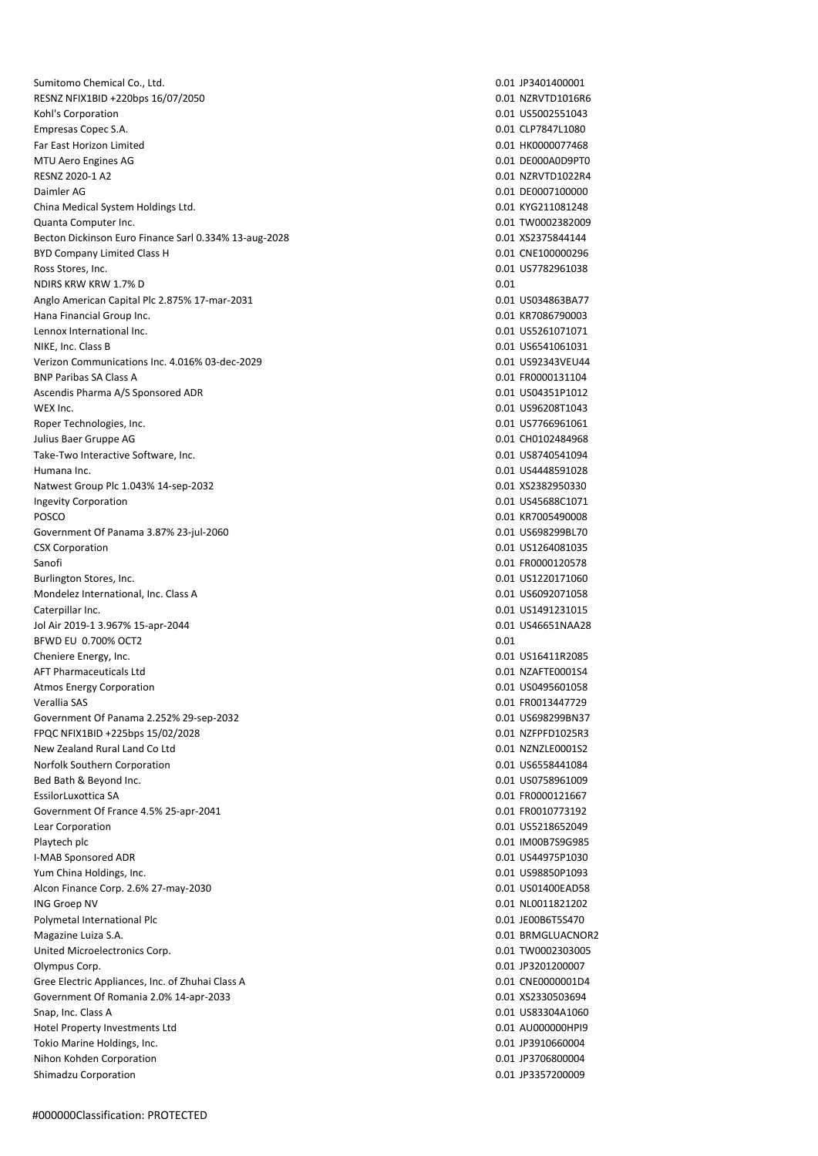Sumitomo Chemical Co., Ltd. 0.01 JP3401400001 RESNZ NFIX1BID +220bps 16/07/2050 0.01 NZRVTD1016R6 Kohl's Corporation 0.01 US5002551043 Empresas Copec S.A. 2002 2012 2022 2023 2024 2022 2023 2024 2022 2023 2024 2022 2023 2024 2022 2023 2024 2022 2023 2024 2022 2023 2022 2023 2022 2023 2022 2023 2022 2023 2023 2023 2023 2023 2023 2023 2023 2023 2023 2023 20 Far East Horizon Limited 0.01 HK0000077468 MTU Aero Engines AG 0.01 DE000A0D9PT0 RESNZ 2020-1 A2 0.01 NZRVTD1022R4 Daimler AG 0.01 DE0007100000 China Medical System Holdings Ltd. 0.01 KYG211081248 Quanta Computer Inc. 0.01 TW0002382009 Becton Dickinson Euro Finance Sarl 0.334% 13-aug-2028 0.01 XS2375844144 BYD Company Limited Class H 0.01 CNE100000296 Ross Stores, Inc. 0.01 US7782961038 NDIRS KRW KRW 1.7% D 0.01 Anglo American Capital Plc 2.875% 17-mar-2031 0.01 US034863BA77 Hana Financial Group Inc. 0.01 KR7086790003 Lennox International Inc. 0.01 US5261071071 NIKE, Inc. Class B 0.01 US6541061031 Verizon Communications Inc. 4.016% 03-dec-2029 0.01 US92343VEU44 BNP Paribas SA Class A 0.01 FR0000131104 Ascendis Pharma A/S Sponsored ADR 0.01 US04351P1012 WEX Inc. 0.01 US96208T1043 Roper Technologies, Inc. 2002 1057766961061 2012 12:00:001 2012 12:00:001 2012 12:00:001 2012 12:00:001 2012 1 Julius Baer Gruppe AG 0.01 CH0102484968 Take-Two Interactive Software, Inc. 0.01 US8740541094 Humana Inc. 0.01 US4448591028 Natwest Group Plc 1.043% 14-sep-2032 0.01 XS2382950330 Ingevity Corporation 0.01 US45688C1071 POSCO 0.01 KR7005490008 Government Of Panama 3.87% 23-jul-2060 0.01 US698299BL70 CSX Corporation 0.01 US1264081035 Sanofi 0.01 FR0000120578 Burlington Stores, Inc. **0.01 US1220171060 Burlington Stores, Inc.** 0.01 US1220171060 Mondelez International, Inc. Class A 0.01 US6092071058 Caterpillar Inc. 0.01 US1491231015 Jol Air 2019-1 3.967% 15-apr-2044 0.01 US46651NAA28 BFWD EU 0.700% OCT2 0.01 Cheniere Energy, Inc. 0.01 US16411R2085 AFT Pharmaceuticals Ltd 0.01 NZAFTE0001S4 Atmos Energy Corporation **Atmos** Energy Corporation **1.1 Contract Contract Contract Contract Contract Contract Contract Contract Contract Contract Contract Contract Contract Contract Contract Contract Contract Contract Con** Verallia SAS 0.01 FR0013447729 Government Of Panama 2.252% 29-sep-2032 0.01 US698299BN37 FPQC NFIX1BID +225bps 15/02/2028 0.01 NZFPFD1025R3 New Zealand Rural Land Co Ltd 0.01 NZNZLE0001S2 Norfolk Southern Corporation 0.01 US6558441084 Bed Bath & Beyond Inc. 0.01 US0758961009 EssilorLuxottica SA 0.01 FR0000121667 Government Of France 4.5% 25-apr-2041 0.01 FR0010773192 Lear Corporation 0.01 US5218652049 Playtech plc 0.01 IM00B7S9G985 I-MAB Sponsored ADR 0.01 US44975P1030 Yum China Holdings, Inc. 6. 2012 12:30 12:30 12:30 12:30 12:30 12:30 12:30 12:30 12:30 12:30 12:30 12:30 12:30 Alcon Finance Corp. 2.6% 27-may-2030 0.01 US01400EAD58 ING Groep NV 0.01 NL0011821202 Polymetal International Plc 0.01 JE00B6T5S470 Magazine Luiza S.A. **0.01 BRMGLUACNOR2 Magazine Luiza S.A.** 0.01 BRMGLUACNOR2 United Microelectronics Corp. 0.01 TW0002303005 Olympus Corp. 2012 200007 2012 2012 2013 2014 2014 2015 2016 2017 2022 2034 2017 2018 2019 2017 2018 2019 2017 2017 2018 2017 2018 2017 2018 2017 2018 2017 2018 2017 2018 2017 2018 2017 2018 2017 2018 2017 2018 2017 2018 2 Gree Electric Appliances, Inc. of Zhuhai Class A 0.01 CNE0000001D4 Government Of Romania 2.0% 14-apr-2033 0.01 XS2330503694 Snap, Inc. Class A 0.01 US83304A1060 Hotel Property Investments Ltd 0.01 AU000000HPI9 Tokio Marine Holdings, Inc. 2002 2012 12:30 12:30 12:30 12:30 12:30 12:30 12:30 12:30 12:30 12:30 12:30 12:30 12:30 12:30 12:30 12:30 12:30 12:30 12:30 12:30 12:30 12:30 12:30 12:30 12:30 12:30 12:30 12:30 12:30 12:30 12:3 Nihon Kohden Corporation 0.01 JP3706800004 Shimadzu Corporation 0.01 JP3357200009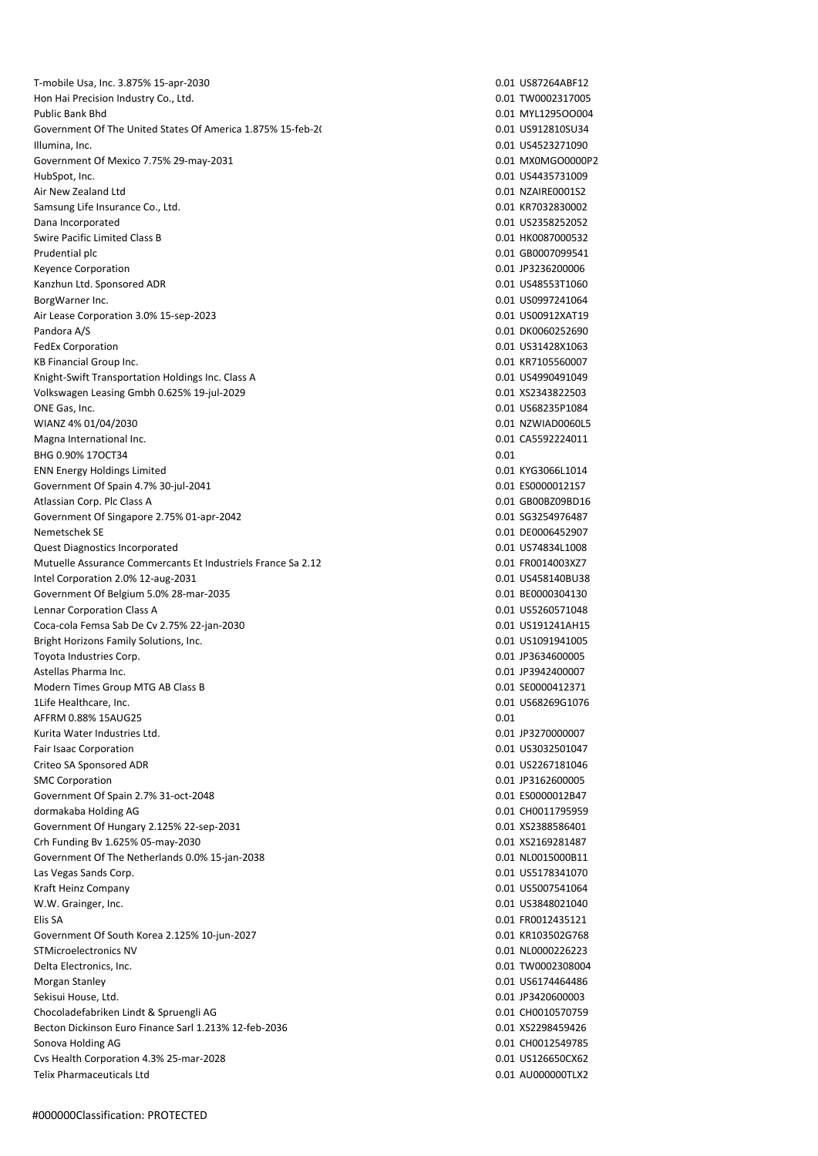T-mobile Usa, Inc. 3.875% 15-apr-2030 0.01 US87264ABF12 Hon Hai Precision Industry Co., Ltd. 0.01 TW0002317005 Public Bank Bhd 0.01 MYL1295OO004 Government Of The United States Of America 1.875% 15-feb-2051 0.01 US912810SU34 0.01 US912810SU34 Illumina, Inc. 0.01 US4523271090 Government Of Mexico 7.75% 29-may-2031 0.01 MX0MGO0000P2 HubSpot, Inc. 0.01 US4435731009 Air New Zealand Ltd 0.01 NZAIRE0001S2 Samsung Life Insurance Co., Ltd. 0.01 KR7032830002 Dana Incorporated 0.01 US2358252052 Swire Pacific Limited Class B 0.01 HK0087000532 Prudential plc 0.01 GB0007099541 Keyence Corporation **6.021 Section** 0.01 JP3236200006 Kanzhun Ltd. Sponsored ADR 0.01 US48553T1060 BorgWarner Inc. 0.01 US0997241064 Air Lease Corporation 3.0% 15-sep-2023 0.01 US00912XAT19 Pandora A/S 0.01 DK0060252690 FedEx Corporation 0.01 US31428X1063 KB Financial Group Inc. 6. The Contract of the Contract of the Contract of the Contract of the Contract of the Contract of the Contract of the Contract of the Contract of the Contract of the Contract of the Contract of the Knight-Swift Transportation Holdings Inc. Class A 0.01 054990491049 Volkswagen Leasing Gmbh 0.625% 19-jul-2029 0.01 XS2343822503 ONE Gas, Inc. 0.01 US68235P1084 WIANZ 4% 01/04/2030 0.01 NZWIAD0060L5 Magna International Inc. **0.01** CA5592224011 BHG 0.90% 17OCT34 0.01 ENN Energy Holdings Limited **Energy Holdings Limited CO2 ENERGY CO2 ENERGY CO2 CO2 CO2 CO2 CO2 CO2 CO2 CO2 CO2 CO2 CO2 CO2 CO2 CO2 CO2 CO2 CO2 CO2 CO2 CO2 CO2 CO2 CO2** Government Of Spain 4.7% 30-jul-2041 0.01 ES00000121S7 Atlassian Corp. Plc Class A 0.01 GB00BZ09BD16 Government Of Singapore 2.75% 01-apr-2042 0.01 0.01 0.01 SG3254976487 Nemetschek SE 0.01 DE0006452907 Quest Diagnostics Incorporated 0.01 US74834L1008 Mutuelle Assurance Commercants Et Industriels France Sa 2.12<br>5.125% 2001 0.01 FR0014003XZ7 Intel Corporation 2.0% 12-aug-2031 0.01 US458140BU38 Government Of Belgium 5.0% 28-mar-2035 0.01 BE0000304130 Lennar Corporation Class A 0.01 US5260571048 Coca-cola Femsa Sab De Cv 2.75% 22-jan-2030 0.01 US191241AH15 Bright Horizons Family Solutions, Inc. 0.01 US1091941005 Toyota Industries Corp. 0.01 JP3634600005 Astellas Pharma Inc. 0.01 JP3942400007 Modern Times Group MTG AB Class B 0.01 SE0000412371 1Life Healthcare, Inc. 0.01 US68269G1076 AFFRM 0.88% 15AUG25 0.01 Kurita Water Industries Ltd. 0.01 JP3270000007 Fair Isaac Corporation 0.01 US3032501047 Criteo SA Sponsored ADR 0.01 US2267181046 SMC Corporation 0.01 JP3162600005 Government Of Spain 2.7% 31-oct-2048 0.01 ES0000012B47 dormakaba Holding AG 0.01 CH0011795959 0.01 CH0011795959 Government Of Hungary 2.125% 22-sep-2031 0.01 XS2388586401 Crh Funding Bv 1.625% 05-may-2030 0.01 XS2169281487 Government Of The Netherlands 0.0% 15-jan-2038 0.01 0.01 0.01 NL0015000B11 Las Vegas Sands Corp. 0.01 US5178341070 Kraft Heinz Company 2008 120 US5007541064 W.W. Grainger, Inc. 0.01 US3848021040 Elis SA 0.01 FR0012435121 Government Of South Korea 2.125% 10-jun-2027 0.01 KR103502G768 STMicroelectronics NV 0.01 NL0000226223 Delta Electronics, Inc. 0.01 TW0002308004 Morgan Stanley 2001 US6174464486 US6174464486 US6174464486 US6174464486 US6174464486 Sekisui House, Ltd. 0.01 JP3420600003 Chocoladefabriken Lindt & Spruengli AG 0.01 CH0010570759 0.01 CH0010570759 Becton Dickinson Euro Finance Sarl 1.213% 12-feb-2036 0.01 XS2298459426 Sonova Holding AG 0.01 CH0012549785 Cvs Health Corporation 4.3% 25-mar-2028 0.01 US126650CX62 Telix Pharmaceuticals Ltd 0.01 AU000000TLX2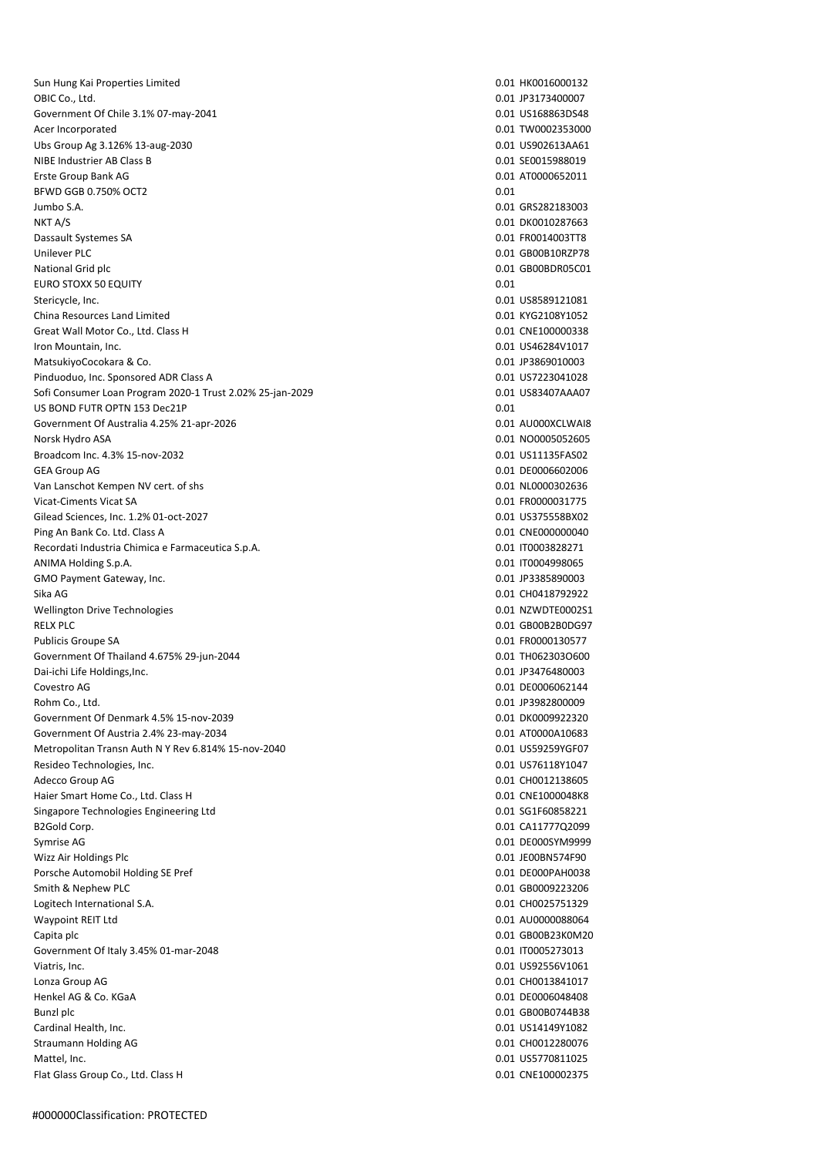Sun Hung Kai Properties Limited **Contract Contract Contract Contract Contract Contract Contract Contract Contract Contract Contract Contract Contract Contract Contract Contract Contract Contract Contract Contract Contract** OBIC Co., Ltd. 0.01 JP3173400007 Government Of Chile 3.1% 07-may-2041 0.01 US168863DS48 Acer Incorporated 0.01 TW0002353000 Ubs Group Ag 3.126% 13-aug-2030 0.01 US902613AA61 NIBE Industrier AB Class B 0.01 SE0015988019 Erste Group Bank AG 0.01 AT0000652011 BFWD GGB 0.750% OCT2 0.01 Jumbo S.A. 0.01 GRS282183003 NKT A/S 0.01 DK0010287663 Dassault Systemes SA 0.01 FR0014003TT8 Unilever PLC 8000B10RZP78 0.01 GB00B10RZP78 National Grid plc 0.01 GB00BDR05C01 COM GROUP OF COMPUTER COMPUTER OF COMPUTER OF COMPUTER OF COMPUTER OF COMPUTER OF COMPUTER OF COMPUTER OF COMPUTER OF COMPUTER OF COMPUTER OF COMPUTER OF COMPUTER OF COMPUTER OF COMPUTER EURO STOXX 50 EQUITY 0.01 Stericycle, Inc. 0.01 US8589121081 China Resources Land Limited **0.01 KYG2108Y1052** Great Wall Motor Co., Ltd. Class H 0.01 CNE100000338 Iron Mountain, Inc. 0.01 US46284V1017 MatsukiyoCocokara & Co. 001 JP3869010003 Pinduoduo, Inc. Sponsored ADR Class A 0.01 US7223041028 Sofi Consumer Loan Program 2020-1 Trust 2.02% 25-jan-2029 0.01 US83407AAA07 US BOND FUTR OPTN 153 Dec21P 0.01 Government Of Australia 4.25% 21-apr-2026 0.01 AU000XCLWAI8 Norsk Hydro ASA 0.01 NO0005052605 Broadcom Inc. 4.3% 15-nov-2032 0.01 US11135FAS02 GEA Group AG 0.01 DE0006602006 Van Lanschot Kempen NV cert. of shs 0.01 NL0000302636 Vicat-Ciments Vicat SA 0.01 FR0000031775 Gilead Sciences, Inc. 1.2% 01-oct-2027 0.01 US375558BX02 Ping An Bank Co. Ltd. Class A 0.01 CNE000000040 Recordati Industria Chimica e Farmaceutica S.p.A. 0.01 IT0003828271 ANIMA Holding S.p.A. 0.01 IT0004998065 GMO Payment Gateway, Inc. 6. 2012 19:385890003 CMO Payment Gateway, Inc. 6. 2012 Sika AG 0.01 CH0418792922 Wellington Drive Technologies **0.01 NZWDTE0002S1** 0.01 NZWDTE0002S1 RELX PLC 0.01 GB00B2B0DG97 Publicis Groupe SA 0.01 FR0000130577 Government Of Thailand 4.675% 29-jun-2044 1990 12:00 12:00 12:00:000 12:00:000 12:00:000 12:00:000 12:00:000 1 Dai-ichi Life Holdings,Inc. 0.01 JP3476480003 Covestro AG 0.01 DE0006062144 Rohm Co., Ltd. 0.01 JP3982800009 Government Of Denmark 4.5% 15-nov-2039 0.01 DK0009922320 Government Of Austria 2.4% 23-may-2034 0.01 AT0000A10683 Metropolitan Transn Auth N Y Rev 6.814% 15-nov-2040 0.01 US59259YGF07 Resideo Technologies, Inc. 2002 10:000 0.01 US76118Y1047 Adecco Group AG 0.01 CH0012138605 Haier Smart Home Co., Ltd. Class H 0.01 CNE1000048K8 Singapore Technologies Engineering Ltd 0.01 SG1F60858221 B2Gold Corp. 0.01 CA11777Q2099 Symrise AG 0.01 DE000SYM9999 Wizz Air Holdings Plc 0.01 JE00BN574F90 Porsche Automobil Holding SE Pref 0.01 DE000PAH0038 Smith & Nephew PLC 0.01 GB0009223206 Logitech International S.A. 6.001 CH0025751329 Waypoint REIT Ltd 0.01 AU0000088064 Capita plc 6.01 GB00B23K0M20 Capita plc 6.01 GB00B23K0M20 Government Of Italy 3.45% 01-mar-2048 0.01 IT0005273013 Viatris, Inc. 0.01 US92556V1061 Lonza Group AG 0.01 CH0013841017 Henkel AG & Co. KGaA 0.01 DE0006048408 Bunzl plc 0.01 GB00B0744B38 Cardinal Health, Inc. 0.01 US14149Y1082 Straumann Holding AG 0.01 CH0012280076 Mattel, Inc. 0.01 US5770811025 Flat Glass Group Co., Ltd. Class H 0.01 CNE100002375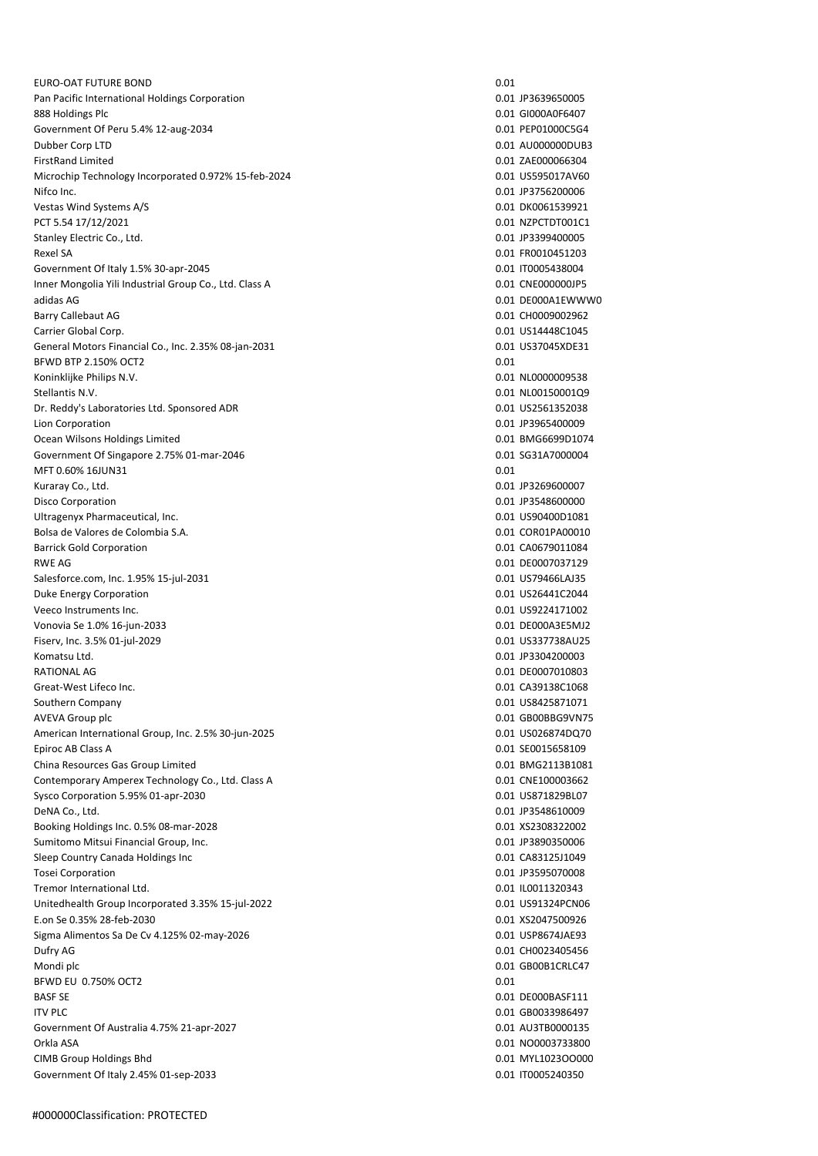EURO-OAT FUTURE BOND 0.01 Pan Pacific International Holdings Corporation 0.01 JP3639650005 888 Holdings Plc 0.01 GI000A0F6407 Government Of Peru 5.4% 12-aug-2034 0.01 PEP01000C5G4 Dubber Corp LTD 0.01 AU000000DUB3 FirstRand Limited 0.01 ZAE000066304 Microchip Technology Incorporated 0.972% 15-feb-2024 0.01 0.01 0.01 US595017AV60 Nifco Inc. 0.01 JP3756200006 Vestas Wind Systems A/S 0.01 DK0061539921 PCT 5.54 17/12/2021 0.01 NZPCTDT001C1 Stanley Electric Co., Ltd. 0.01 JP3399400005 Rexel SA 0.01 FR0010451203 Government Of Italy 1.5% 30-apr-2045 0.01 IT0005438004 Inner Mongolia Yili Industrial Group Co., Ltd. Class A 0.01 CNE000000JP5 adidas AG 0.01 DE000A1EWWW0 Barry Callebaut AG 0.01 CH0009002962 Carrier Global Corp. **0.01 US14448C1045** Carrier Global Corp. 0.01 US14448C1045 General Motors Financial Co., Inc. 2.35% 08-jan-2031 0.01 US37045XDE31 BFWD BTP 2.150% OCT2 0.01 Koninklijke Philips N.V. **Details and Allie Controlled Act and Act 201** NL0000000000009538 and Act 201 NL00000009538 Stellantis N.V. 0.01 NL00150001Q9 Dr. Reddy's Laboratories Ltd. Sponsored ADR 0.01 US2561352038 Lion Corporation 0.01 JP3965400009 Ocean Wilsons Holdings Limited **0.01 BMG6699D1074** 0.01 BMG6699D1074 Government Of Singapore 2.75% 01-mar-2046 0.01 SG31A7000004 0.01 SG31A7000004 MFT 0.60% 16JUN31 0.01 Kuraray Co., Ltd. 0.01 JP3269600007 Disco Corporation 0.01 JP3548600000 Ultragenyx Pharmaceutical, Inc. **0.01 US90400D1081** 0.01 US90400D1081 Bolsa de Valores de Colombia S.A. 0.01 COR01PA00010 Barrick Gold Corporation **6.000 CA0679011084** CORPORATION **0.01** CA0679011084 RWE AG 0.01 DE0007037129 Salesforce.com, Inc. 1.95% 15-jul-2031 0.01 US79466LAJ35 Duke Energy Corporation 0.01 US26441C2044 Veeco Instruments Inc. 0.01 US9224171002 Vonovia Se 1.0% 16-jun-2033 0.01 DE000A3E5MJ2 Fiserv, Inc. 3.5% 01-jul-2029 0.01 US337738AU25 Komatsu Ltd. 0.01 JP3304200003 RATIONAL AG 0.01 DE0007010803 Great-West Lifeco Inc. 0.01 CA39138C1068 Southern Company 0.01 US8425871071 AVEVA Group plc 0.01 GB00BBG9VN75 American International Group, Inc. 2.5% 30-jun-2025 0.01 0.01 US026874DQ70 Epiroc AB Class A 0.01 SE0015658109 China Resources Gas Group Limited **0.01 BMG2113B1081** 0.01 BMG2113B1081 Contemporary Amperex Technology Co., Ltd. Class A 0.01 CNE100003662 Sysco Corporation 5.95% 01-apr-2030 0.01 US871829BL07 DeNA Co., Ltd. 0.01 JP3548610009 Booking Holdings Inc. 0.5% 08-mar-2028 0.01 XS2308322002 0.01 XS2308322002 Sumitomo Mitsui Financial Group, Inc. 0.01 JP3890350006 193890350006 Sleep Country Canada Holdings Inc 0.01 CA83125J1049 Tosei Corporation 0.01 JP3595070008 Tremor International Ltd. **0.01 IL0011320343** and the state of the state of the state of the state of the state of the state of the state of the state of the state of the state of the state of the state of the state of the Unitedhealth Group Incorporated 3.35% 15-jul-2022 0.01 US91324PCN06 E.on Se 0.35% 28-feb-2030 0.01 XS2047500926 Sigma Alimentos Sa De Cv 4.125% 02-may-2026 0.01 USP8674JAE93 Dufry AG 0.01 CH0023405456 Mondi plc 0.01 GB00B1CRLC47 BFWD EU 0.750% OCT2 0.01 BASF SE 0.01 DE000BASF111 ITV PLC 0.01 GB0033986497 Government Of Australia 4.75% 21-apr-2027 0.01 AU3TB0000135 Orkla ASA 0.01 NO0003733800 CIMB Group Holdings Bhd 0.01 MYL1023OO000 Government Of Italy 2.45% 01-sep-2033 0.01 IT0005240350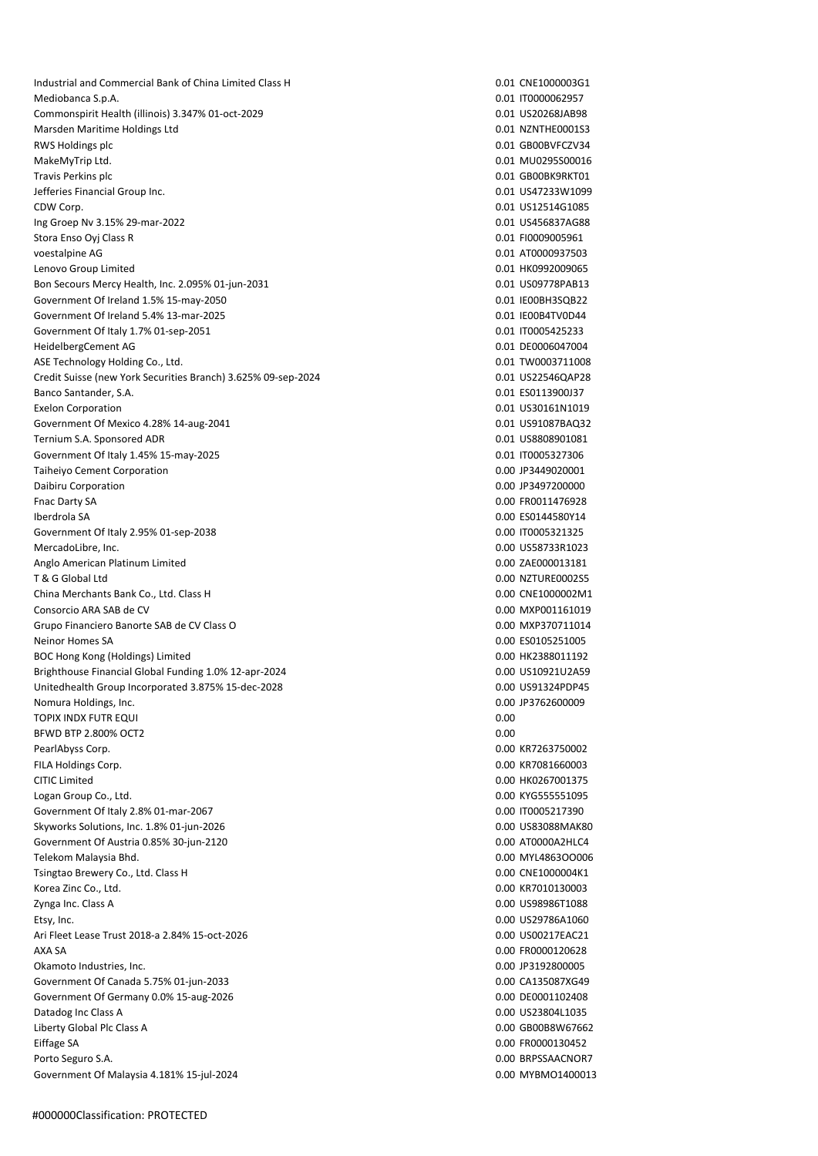Industrial and Commercial Bank of China Limited Class H 0.01 CNE1000003G1 Mediobanca S.p.A. 0.01 IT0000062957 Commonspirit Health (illinois) 3.347% 01-oct-2029 0.01 US20268JAB98 Marsden Maritime Holdings Ltd 0.01 NZNTHE0001S3 RWS Holdings plc 6.01 GB00BVFCZV34 MakeMyTrip Ltd. 2001 Multiple of the United States of the United States of the United States of the United States of the United States of the United States of the United States of the United States of the United States of Travis Perkins plc **CONTEX CONTEX CONTEX CONTEX CONTEX CONTEX CONTEX CONTEX CONTEX CONTEX CONTEX CONTEX CONTEX CONTEX CONTEX CONTEX CONTEX CONTEX CONTEX CONTEX CONTEX CONTEX CONTEX CONTEX CONTEX CONTEX CONTEX CONTEX CONTEX** Jefferies Financial Group Inc. 0.01 US47233W1099 CDW Corp. 0.01 US12514G1085 Ing Groep Nv 3.15% 29-mar-2022 0.01 US456837AG88 Stora Enso Oyj Class R 0.01 FI0009005961 voestalpine AG 0.01 AT0000937503 Lenovo Group Limited 0.01 HK0992009065 Bon Secours Mercy Health, Inc. 2.095% 01-jun-2031 0.01 US09778PAB13 Government Of Ireland 1.5% 15-may-2050 0.01 IE00BH3SQB22 Government Of Ireland 5.4% 13-mar-2025 0.01 IE00B4TV0D44 Government Of Italy 1.7% 01-sep-2051 0.01 IT0005425233 HeidelbergCement AG 0.01 DE0006047004 ASE Technology Holding Co., Ltd. 0.01 TW0003711008 Credit Suisse (new York Securities Branch) 3.625% 09-sep-2024 0.01 US22546QAP28 Banco Santander, S.A. 0.01 ES0113900J37 Exelon Corporation 0.01 US30161N1019 Government Of Mexico 4.28% 14-aug-2041 0.01 US91087BAQ32 Ternium S.A. Sponsored ADR 0.01 US8808901081 Government Of Italy 1.45% 15-may-2025 0.01 IT0005327306 Taiheiyo Cement Corporation 0.00 JP3449020001 Daibiru Corporation 0.00 JP3497200000 Fnac Darty SA 0.000 FR0011476928 Iberdrola SA 0.00 ES0144580Y14 Government Of Italy 2.95% 01-sep-2038 0.00 IT0005321325 MercadoLibre, Inc. 2002. 2003. 2004. 2006. 2012. 2013. 2014. 2015. 2016. 2017. 2018. 2019. 2017. 2018. 2019. 201 Anglo American Platinum Limited 0.00 ZAE000013181 T & G Global Ltd 0.00 NZTURE0002S5 China Merchants Bank Co., Ltd. Class H 0.00 CNE1000002M1 Consorcio ARA SAB de CV 0.00 MXP001161019 Grupo Financiero Banorte SAB de CV Class O 0.00 MXP370711014 Neinor Homes SA 0.00 ES0105251005 BOC Hong Kong (Holdings) Limited 6.000 HK2388011192 Brighthouse Financial Global Funding 1.0% 12-apr-2024 0.00 US10921U2A59 0.00 US10921U2A59 Unitedhealth Group Incorporated 3.875% 15-dec-2028 0.00 0.000 0.000 0.000 0.000 0.000 0.000 0.000 0.000 0.000 0.000 0.000 0.000 0.000 0.000 0.000 0.000 0.000 0.000 0.000 0.000 0.000 0.000 0.000 0.000 0.000 0.000 0.000 0.00 Nomura Holdings, Inc. 0.00 JP3762600009 TOPIX INDX FUTR EQUI **0.00** BFWD BTP 2.800% OCT2 0.00 PearlAbyss Corp. 0.00 KR7263750002 FILA Holdings Corp. 0.00 KR7081660003 CITIC Limited 0.00 HK0267001375 Logan Group Co., Ltd. 0.00 KYG555551095 Government Of Italy 2.8% 01-mar-2067 0.00 IT0005217390 Skyworks Solutions, Inc. 1.8% 01-jun-2026 0.00 US83088MAK80 Government Of Austria 0.85% 30-jun-2120 0.00 AT0000A2HLC4 Telekom Malaysia Bhd. 0.00 MYL4863OO006 Tsingtao Brewery Co., Ltd. Class H 0.00 CNE1000004K1 Korea Zinc Co., Ltd. 0.00 KR7010130003 Zynga Inc. Class A 0.00 US98986T1088 Etsy, Inc. 0.00 US29786A1060 Ari Fleet Lease Trust 2018-a 2.84% 15-oct-2026 0.00 US00217EAC21 AXA SA 0.00 FR0000120628 Okamoto Industries, Inc. 0.00 JP3192800005 Government Of Canada 5.75% 01-jun-2033 0.00 CA135087XG49 Government Of Germany 0.0% 15-aug-2026 0.000 0.000 0.000 0.000 0.000 0.000 0.000 0.000 0.000 0.000 0.000 0.000 0.000 0.000 0.000 0.000 0.000 0.000 0.000 0.000 0.000 0.000 0.000 0.000 0.000 0.000 0.000 0.000 0.000 0.000 0.0 Datadog Inc Class A 0.00 US23804L1035 Liberty Global Plc Class A 0.00 GB00B8W67662 Eiffage SA 0.00 FR0000130452 Porto Seguro S.A. 0.00 BRPSSAACNOR7 Government Of Malaysia 4.181% 15-jul-2024 0.00 MYBMO1400013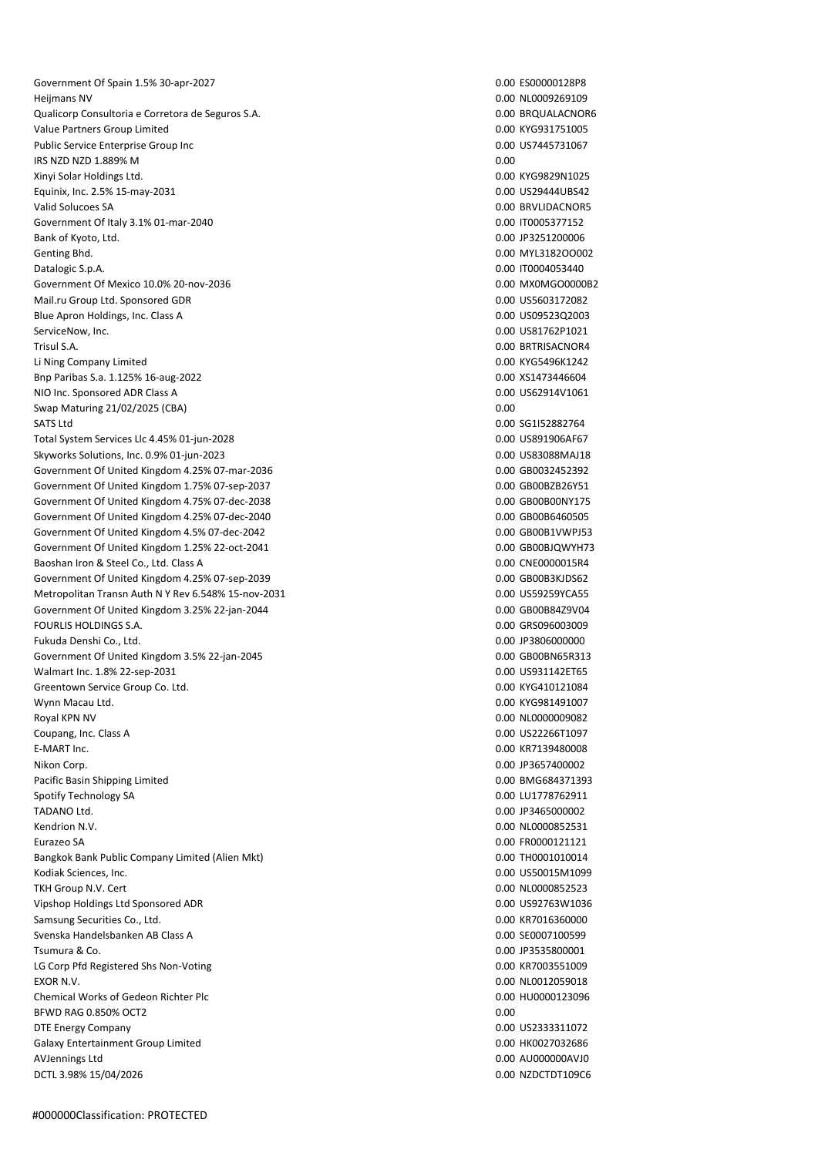Government Of Spain 1.5% 30-apr-2027 0.00 ES00000128P8 Heijmans NV 0.00 NL0009269109 Qualicorp Consultoria e Corretora de Seguros S.A. 0.00 BRQUALACNOR6 Value Partners Group Limited **0.00 KYG931751005** COM Public Service Enterprise Group Inc 0.000 US7445731067 IRS NZD NZD 1.889% M 0.00 Xinyi Solar Holdings Ltd. 0.00 KYG9829N1025 Equinix, Inc. 2.5% 15-may-2031 0.00 US29444UBS42 Valid Solucoes SA 0.00 BRVLIDACNOR5 Government Of Italy 3.1% 01-mar-2040 0.00 IT0005377152 Bank of Kyoto, Ltd. 0.00 JP3251200006 Genting Bhd. 0.000 MYL3182OO002 Datalogic S.p.A. 0.00 IT0004053440 Government Of Mexico 10.0% 20-nov-2036 0.00 MX0MGO0000B2 Mail.ru Group Ltd. Sponsored GDR 0.00 US5603172082 Blue Apron Holdings, Inc. Class A 0.00 US09523Q2003 ServiceNow, Inc. 2000 US81762P1021 Trisul S.A. 0.000 BRTRISACNOR4 Li Ning Company Limited 0.00 KYG5496K1242 Bnp Paribas S.a. 1.125% 16-aug-2022 0.00 XS1473446604 NIO Inc. Sponsored ADR Class A 0.00 US62914V1061 Swap Maturing 21/02/2025 (CBA) 0.00 SATS Ltd 0.00 SG1I52882764 Total System Services Llc 4.45% 01-jun-2028 0.00 US891906AF67 Skyworks Solutions, Inc. 0.9% 01-jun-2023 0.00 US83088MAJ18 Government Of United Kingdom 4.25% 07-mar-2036 0.00 0.00 0.00 GB0032452392 Government Of United Kingdom 1.75% 07-sep-2037 0.00 GB00BZB26Y51 Government Of United Kingdom 4.75% 07-dec-2038 0.00 CB00B00NY175 Government Of United Kingdom 4.25% 07-dec-2040 0.00 0.00 GB00B6460505 Government Of United Kingdom 4.5% 07-dec-2042 0.00 GB00B1VWPJ53 Government Of United Kingdom 1.25% 22-oct-2041 0.00 GB00BJQWYH73 Baoshan Iron & Steel Co., Ltd. Class A 0.000 CNE0000015R4 Government Of United Kingdom 4.25% 07-sep-2039 0.00 0.00 GB00B3KJDS62 Metropolitan Transn Auth N Y Rev 6.548% 15-nov-2031 0.00 US59259YCA55 Government Of United Kingdom 3.25% 22-jan-2044 0.00 CB00B8429V04 0.00 GB00B84Z9V04 FOURLIS HOLDINGS S.A. 0.00 GRS096003009 Fukuda Denshi Co., Ltd. 0.00 JP3806000000 Government Of United Kingdom 3.5% 22-jan-2045 0.00 CBOOBN65R313 Walmart Inc. 1.8% 22-sep-2031 0.00 US931142ET65 Greentown Service Group Co. Ltd. 6.000 KYG410121084 Wynn Macau Ltd. 0.00 KYG981491007 Royal KPN NV 0.00 NL0000009082 Coupang, Inc. Class A 0.00 US22266T1097 E-MART Inc. 0.00 KR7139480008 Nikon Corp. 0.00 JP3657400002 Pacific Basin Shipping Limited **Department of Contract Contract Contract Contract Contract Contract Contract Contract Contract Contract Contract Contract Contract Contract Contract Contract Contract Contract Contract Contr** Spotify Technology SA 0.00 LU1778762911 TADANO Ltd. 0.00 JP3465000002 Kendrion N.V. 0.00 NL0000852531 Eurazeo SA 0.00 FR0000121121 Bangkok Bank Public Company Limited (Alien Mkt) 0.00 TH0001010014 Kodiak Sciences, Inc. 0.00 US50015M1099 TKH Group N.V. Cert 0.00 NL0000852523 Vipshop Holdings Ltd Sponsored ADR 0.00 US92763W1036 Samsung Securities Co., Ltd. 0.00 KR7016360000 CO. 0.00 KR7016360000 CO. 0.000 KR7016360000 CO. 0.000 KR7016360000 Svenska Handelsbanken AB Class A 0.00 SE0007100599 Tsumura & Co. 0.00 JP3535800001 LG Corp Pfd Registered Shs Non-Voting 0.00 KR7003551009 EXOR N.V. 0.000 NL0012059018 Chemical Works of Gedeon Richter Plc 0.00 HU0000123096 BFWD RAG 0.850% OCT2 0.00 DTE Energy Company **DTE Energy Company DTE Energy Company 0.00 US2333311072** Galaxy Entertainment Group Limited **6.000 HK0027032686** Calaxy Entertainment Group Limited AVJennings Ltd 0.00 AU000000AVJ0 DCTL 3.98% 15/04/2026 0.00 NZDCTDT109C6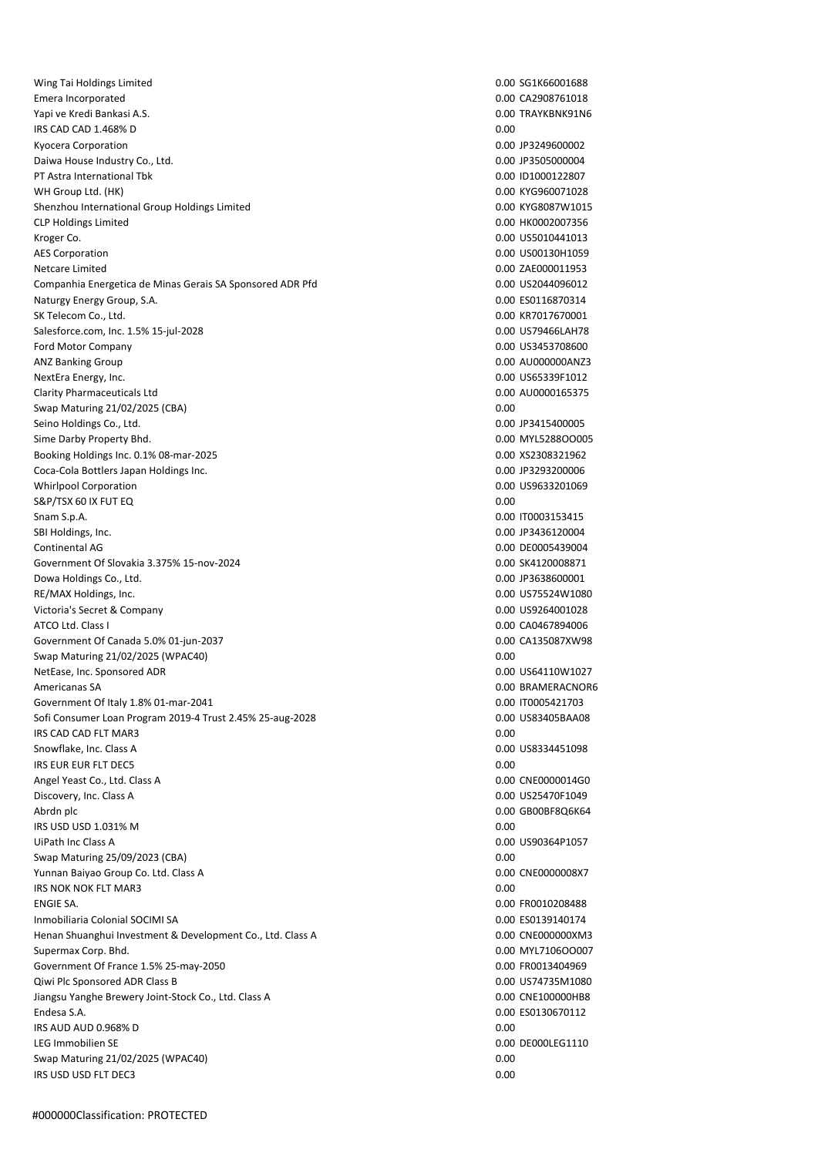Wing Tai Holdings Limited **1.1 Stuart 2.000 SG1K66001688** and 2.000 SG1K66001688 Emera Incorporated 0.00 CA2908761018 Yapi ve Kredi Bankasi A.S. 0.00 TRAYKBNK91N6 **IRS CAD CAD 1.468% D** 0.00 Kyocera Corporation 0.00 JP3249600002 Daiwa House Industry Co., Ltd. 0.00 JP3505000004 PT Astra International Tbk 0.00 ID1000122807 WH Group Ltd. (HK) 0.00 KYG960071028 Shenzhou International Group Holdings Limited 0.00 KYG8087W1015 CLP Holdings Limited **0.00 HK0002007356** CLP Holdings Limited **0.00 HK0002007356** Kroger Co. 6. 2000 US5010441013 AES Corporation **AES Corporation** 0.00 US00130H1059 Netcare Limited 0.00 ZAE000011953 Companhia Energetica de Minas Gerais SA Sponsored ADR Pfd 0.00 00 000 000 000 052044096012 Naturgy Energy Group, S.A. 0.000 ES0116870314 SK Telecom Co., Ltd. 0.00 KR7017670001 Salesforce.com, Inc. 1.5% 15-jul-2028 0.00 US79466LAH78 Ford Motor Company 0.00 US3453708600 ANZ Banking Group 0.00 AU000000ANZ3 NextEra Energy, Inc. 6. 2002. The state of the state of the state of the state of the state of the state of the state of the state of the state of the state of the state of the state of the state of the state of the state Clarity Pharmaceuticals Ltd 0.00 AU0000165375 Swap Maturing 21/02/2025 (CBA) 0.00 Seino Holdings Co., Ltd. 0.00 JP3415400005 Sime Darby Property Bhd. 0.000 MYL5288OO005 Booking Holdings Inc. 0.1% 08-mar-2025 0.00 XS2308321962 Coca-Cola Bottlers Japan Holdings Inc. 0.00 JP3293200006 Whirlpool Corporation **0.00 US9633201069** 0.00 US9633201069 S&P/TSX 60 IX FUT EQ 0.00 Snam S.p.A. 0.00 IT0003153415 SBI Holdings, Inc. 0.00 JP3436120004 Continental AG 0.00 DE0005439004 Government Of Slovakia 3.375% 15-nov-2024 0.00 SK4120008871 Dowa Holdings Co., Ltd. 0.00 JP3638600001 RE/MAX Holdings, Inc. 0.00 US75524W1080 Victoria's Secret & Company 0.00 US9264001028 ATCO Ltd. Class I 0.00 CA0467894006 Government Of Canada 5.0% 01-jun-2037 0.00 CA135087XW98 Swap Maturing 21/02/2025 (WPAC40) 0.00 NetEase, Inc. Sponsored ADR 0.00 US64110W1027 Americanas SA 0.00 BRAMERACNOR6 Government Of Italy 1.8% 01-mar-2041 0.00 IT0005421703 Sofi Consumer Loan Program 2019-4 Trust 2.45% 25-aug-2028 0.00 0.00 0.00 US83405BAA08 IRS CAD CAD FLT MAR3 Snowflake, Inc. Class A 0.000 US8334451098 IRS EUR EUR FLT DEC5 0.000 Angel Yeast Co., Ltd. Class A 0.00 CNE0000014G0 Discovery, Inc. Class A 0.00 US25470F1049 Abrdn plc 0.00 GB00BF8Q6K64 IRS USD USD 1.031% M 0.00 UiPath Inc Class A 0.00 US90364P1057 Swap Maturing 25/09/2023 (CBA) 0.00 Yunnan Baiyao Group Co. Ltd. Class A 0.00 CNE0000008X7 IRS NOK NOK FLT MAR3 0.00 ENGIE SA. 0.00 FR0010208488 Inmobiliaria Colonial SOCIMI SA 0.000 ES0139140174 Henan Shuanghui Investment & Development Co., Ltd. Class A 0.00 CNE000000XM3 Supermax Corp. Bhd. 0.00 MYL7106OO007 Government Of France 1.5% 25-may-2050 0.00 FR0013404969 Qiwi Plc Sponsored ADR Class B 0.00 US74735M1080 Jiangsu Yanghe Brewery Joint-Stock Co., Ltd. Class A 0.00 CNE100000HB8 Endesa S.A. 0.00 ES0130670112 IRS AUD AUD 0.968% D 0.00 LEG Immobilien SE 0.000 DE000LEG1110 Swap Maturing 21/02/2025 (WPAC40) 0.00 IRS USD USD FLT DEC3 0.00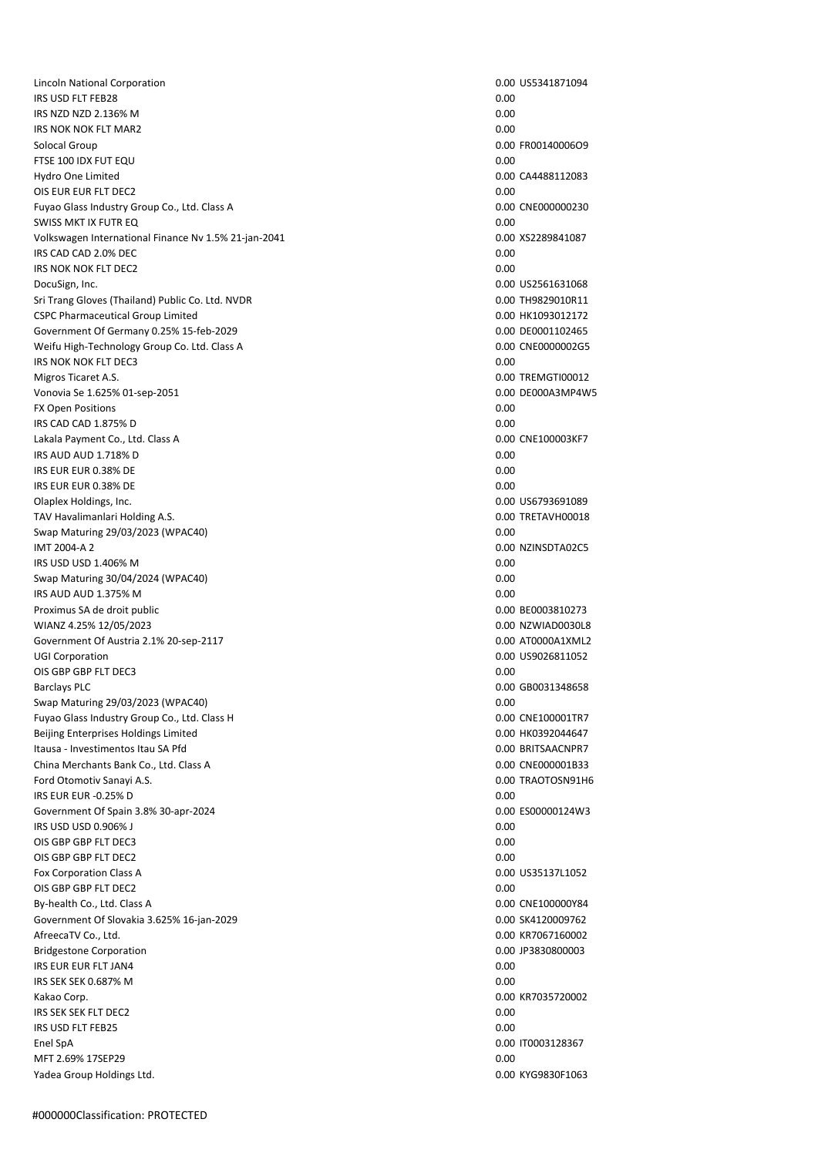Lincoln National Corporation 0.00 US5341871094 IRS USD FLT FEB28 0.00 IRS NZD NZD 2.136% M 0.00 **IRS NOK NOK FLT MAR2** 0.00 Solocal Group 0.00 FR00140006O9 FTSE 100 IDX FUT EQU 0.00 Hydro One Limited 0.00 CA4488112083 OIS EUR EUR FLT DEC2 0.00 Fuyao Glass Industry Group Co., Ltd. Class A 0.00 CNE000000230 SWISS MKT IX FUTR EQ 0.00 Volkswagen International Finance Nv 1.5% 21-jan-2041 0.00 XS2289841087 IRS CAD CAD 2.0% DEC 0.00 IRS NOK NOK FLT DEC2 0.00 DocuSign, Inc. 2000 052561631068 Sri Trang Gloves (Thailand) Public Co. Ltd. NVDR 0.00 TH9829010R11 CSPC Pharmaceutical Group Limited 0.00 HK1093012172 Government Of Germany 0.25% 15-feb-2029 0.00 DE0001102465 Weifu High-Technology Group Co. Ltd. Class A 0.00 CNE0000002C5 IRS NOK NOK FLT DEC3 0.00 Migros Ticaret A.S. 6. 2000 TREMGTI00012 Vonovia Se 1.625% 01-sep-2051 0.00 DE000A3MP4W5 FX Open Positions 0.00 **IRS CAD CAD 1.875% D** 0.00 Lakala Payment Co., Ltd. Class A 0.00 CNE100003KF7 IRS AUD AUD 1.718% D 0.00 IRS EUR EUR 0.38% DE 0.000 to the control of the control of the control of the control of the control of the control of the control of the control of the control of the control of the control of the control of the control IRS EUR EUR 0.38% DE 0.00 Olaplex Holdings, Inc. 2000 Control of the Control of the Control of the Control of the Control of the Control of the Control of the Control of the Control of the Control of the Control of the Control of the Control of the TAV Havalimanlari Holding A.S. 0.00 TRETAVH00018 Swap Maturing 29/03/2023 (WPAC40) 0.00 IMT 2004-A 2 0.00 NZINSDTA02C5 IRS USD USD 1.406% M 0.00 Swap Maturing 30/04/2024 (WPAC40) 0.00 IRS AUD AUD 1.375% M 0.00 Proximus SA de droit public 0.00 BE0003810273 WIANZ 4.25% 12/05/2023 0.00 NZWIAD0030L8 Government Of Austria 2.1% 20-sep-2117 degree and the control of Austria 2.1% 20-sep-2117 UGI Corporation 0.00 US9026811052 OIS GBP GBP FLT DEC3 0.00 Barclays PLC 80031348658 Swap Maturing 29/03/2023 (WPAC40) 0.00 Fuyao Glass Industry Group Co., Ltd. Class H 0.00 CNE100001TR7 Beijing Enterprises Holdings Limited **Contract Contract Contract Contract Contract Contract Contract Contract Contract Contract Contract Contract Contract Contract Contract Contract Contract Contract Contract Contract Cont** Itausa - Investimentos Itau SA Pfd 0.00 BRITSAACNPR7 China Merchants Bank Co., Ltd. Class A 0.00 CNE000001B33 Ford Otomotiv Sanayi A.S. 0.00 TRAOTOSN91H6 IRS EUR EUR -0.25% D 0.00 Government Of Spain 3.8% 30-apr-2024 0.00 ES00000124W3 IRS USD USD 0.906% J 0.00 OIS GBP GBP FLT DEC3 0.00 OIS GBP GBP FLT DEC2 0.00 Fox Corporation Class A 0.00 US35137L1052 OIS GBP GBP FLT DEC2 0.00 By-health Co., Ltd. Class A 0.000 CNE100000Y84 Government Of Slovakia 3.625% 16-jan-2029 0.00 SK4120009762 AfreecaTV Co., Ltd. 0.000 KR7067160002 Bridgestone Corporation **6.000 DP3830800003** and the corporation of the corporation of the corporation of the corporation of the corporation of the corporation of the corporation of the corporation of the corporation of th IRS EUR EUR FLT JAN4 0.00 IRS SEK SEK 0.687% M 0.00 Kakao Corp. 0.00 KR7035720002 IRS SEK SEK FLT DEC2 0.00 **IRS USD FLT FEB25** 0.00 Enel SpA 0.00 IT0003128367 MFT 2.69% 17SEP29 0.00 Yadea Group Holdings Ltd. 0.000 KYG9830F1063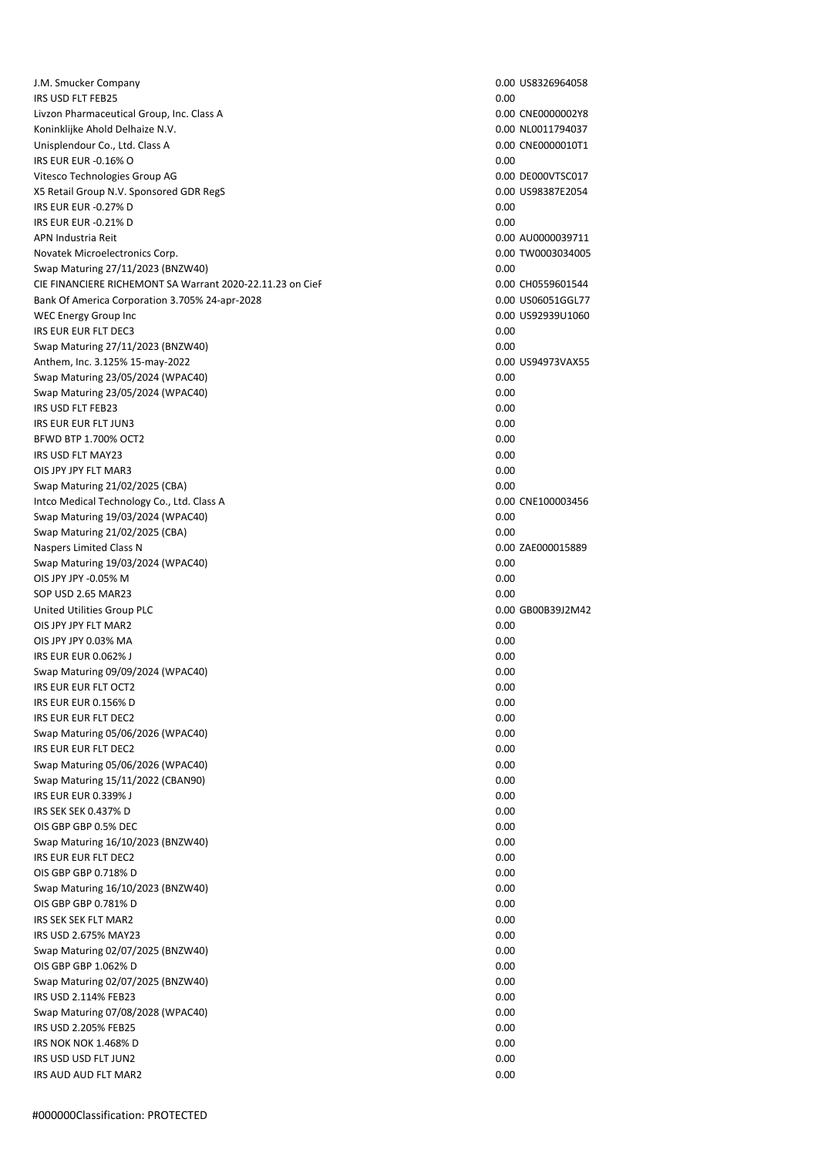J.M. Smucker Company 0.00 US8326964058 IRS USD FLT FEB25 0.00 Livzon Pharmaceutical Group, Inc. Class A 0.00 CNE0000002Y8 Koninklijke Ahold Delhaize N.V. **Details as a strategie and a strategie and a strategie and a strategie and a strategie and a strategie and a strategie and a strategie and a strategie and a strategie and a strategie and a** Unisplendour Co., Ltd. Class A 0.00 CNE0000010T1 IRS EUR EUR -0.16% O 0.00 Vitesco Technologies Group AG 0.00 DE000VTSC017 X5 Retail Group N.V. Sponsored GDR RegS 0.00 US98387E2054 IRS EUR EUR -0.27% D 0.00 **IRS EUR EUR -0.21% D** 0.00 APN Industria Reit 0.00 AU0000039711 Novatek Microelectronics Corp. 0.00 TW0003034005 Swap Maturing 27/11/2023 (BNZW40) 0.00 CIE FINANCIERE RICHEMONT SA Warrant 2020-22.11.23 on CieF<br>
0.00 CH0559601544 Bank Of America Corporation 3.705% 24-apr-2028 0.00 US06051GGL77 WEC Energy Group Inc 0.000 US92939U1060 IRS EUR EUR FLT DEC3 0.00 Swap Maturing 27/11/2023 (BNZW40) 0.00 Anthem, Inc. 3.125% 15-may-2022 0.00 US94973VAX55 Swap Maturing 23/05/2024 (WPAC40) 0.00 Swap Maturing 23/05/2024 (WPAC40) 0.00 IRS USD FLT FEB23 0.00 IRS EUR EUR FLT JUN3 0.00 BFWD BTP 1.700% OCT2 0.00 IRS USD FLT MAY23 0.00 OIS JPY JPY FLT MAR3 0.00 Swap Maturing 21/02/2025 (CBA) 0.00 Intco Medical Technology Co., Ltd. Class A 0.00 CNE100003456 Swap Maturing 19/03/2024 (WPAC40) 0.00 Swap Maturing 21/02/2025 (CBA) 0.00 Naspers Limited Class N 0.00 ZAE000015889 Swap Maturing 19/03/2024 (WPAC40) 0.00 OIS JPY JPY -0.05% M 0.00 SOP USD 2.65 MAR23 0.00 United Utilities Group PLC **0.000 GB00B39J2M42** OIS JPY JPY FLT MAR2 0.00 OIS JPY JPY 0.03% MA 0.00 IRS EUR EUR 0.062% J 0.00 Swap Maturing 09/09/2024 (WPAC40) 0.00 IRS EUR EUR FLT OCT2 0.000 IRS EUR EUR 0.156% D 0.00 IRS EUR EUR FLT DEC2 0.00 Swap Maturing 05/06/2026 (WPAC40) 0.00 IRS EUR EUR FLT DEC2 0.00 Swap Maturing 05/06/2026 (WPAC40) 0.00 Swap Maturing 15/11/2022 (CBAN90) 0.00 IRS EUR EUR 0.339% J 0.00 IRS SEK SEK 0.437% D  $\qquad \qquad 0.00$ OIS GBP GBP 0.5% DEC 0.00 Swap Maturing 16/10/2023 (BNZW40) 0.00 IRS EUR EUR FLT DEC2 0.000 OIS GBP GBP 0.718% D 0.00 Swap Maturing 16/10/2023 (BNZW40) 0.00 OIS GBP GBP 0.781% D 0.00 IRS SEK SEK FLT MAR2 0.00 IRS USD 2.675% MAY23 0.00 Swap Maturing 02/07/2025 (BNZW40) 0.00 OIS GBP GBP 1.062% D 0.00 Swap Maturing 02/07/2025 (BNZW40) 0.00 IRS USD 2.114% FEB23 0.00 Swap Maturing 07/08/2028 (WPAC40) 0.00 IRS USD 2.205% FEB25 0.00 IRS NOK NOK 1.468% D 0.00 IRS USD USD FLT JUN2 0.000 IRS AUD AUD FLT MAR2 0.00